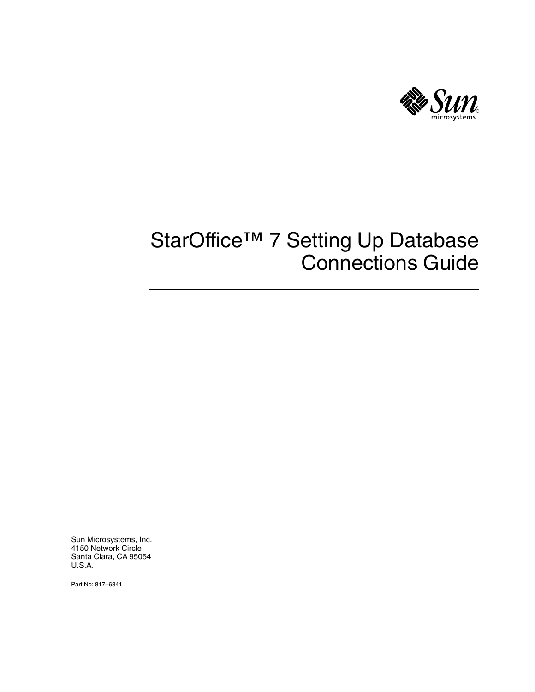

# StarOffice™ 7 Setting Up Database Connections Guide

Sun Microsystems, Inc. 4150 Network Circle Santa Clara, CA 95054 U.S.A.

Part No: 817–6341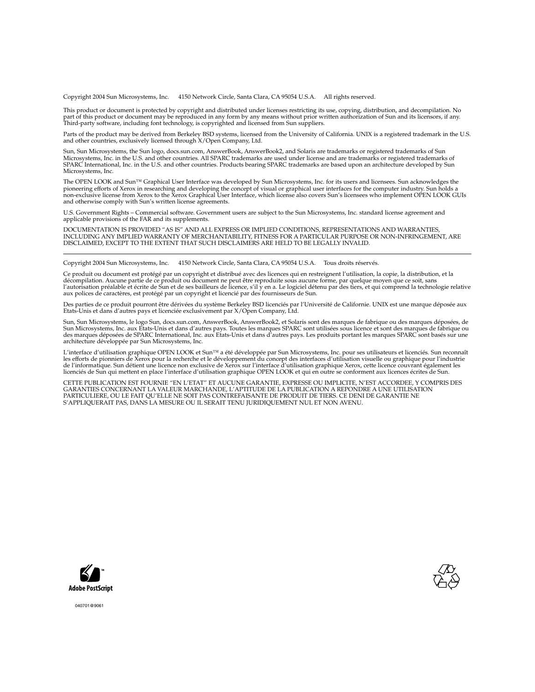Copyright 2004 Sun Microsystems, Inc. 4150 Network Circle, Santa Clara, CA 95054 U.S.A. All rights reserved.

This product or document is protected by copyright and distributed under licenses restricting its use, copying, distribution, and decompilation. No part of this product or document may be reproduced in any form by any means without prior written authorization of Sun and its licensors, if any.<br>Third-party software, including font technology, is copyrighted and licensed

Parts of the product may be derived from Berkeley BSD systems, licensed from the University of California. UNIX is a registered trademark in the U.S. and other countries, exclusively licensed through X/Open Company, Ltd.

Sun, Sun Microsystems, the Sun logo, docs.sun.com, AnswerBook, AnswerBook2, and Solaris are trademarks or registered trademarks of Sun<br>Microsystems, Inc. in the U.S. and other countries. All SPARC trademarks are used under Microsystems, Inc.

The OPEN LOOK and Sun™ Graphical User Interface was developed by Sun Microsystems, Inc. for its users and licensees. Sun acknowledges the pioneering efforts of Xerox in researching and developing the concept of visual or graphical user interfaces for the computer industry. Sun holds a<br>non-exclusive license from Xerox to the Xerox Graphical User Interface, wh and otherwise comply with Sun's written license agreements.

U.S. Government Rights – Commercial software. Government users are subject to the Sun Microsystems, Inc. standard license agreement and applicable provisions of the FAR and its supplements.

DOCUMENTATION IS PROVIDED "AS IS" AND ALL EXPRESS OR IMPLIED CONDITIONS, REPRESENTATIONS AND WARRANTIES,<br>INCLUDING ANY IMPLIED WARRANTY OF MERCHANTABILITY, FITNESS FOR A PARTICULAR PURPOSE OR NON-INFRINGEMENT, ARE<br>DISCLAIM

Copyright 2004 Sun Microsystems, Inc. 4150 Network Circle, Santa Clara, CA 95054 U.S.A. Tous droits réservés.

Ce produit ou document est protégé par un copyright et distribué avec des licences qui en restreignent l'utilisation, la copie, la distribution, et la décompilation. Aucune partie de ce produit ou document ne peut être reproduite sous aucune forme, par quelque moyen que ce soit, sans<br>l'autorisation préalable et écrite de Sun et de ses bailleurs de licence, s'il y en a. L

Des parties de ce produit pourront être dérivées du système Berkeley BSD licenciés par l'Université de Californie. UNIX est une marque déposée aux Etats-Unis et dans d'autres pays et licenciée exclusivement par X/Open Company, Ltd.

Sun, Sun Microsystems, le logo Sun, docs.sun.com, AnswerBook, AnswerBook2, et Solaris sont des marques de fabrique ou des marques déposées, de<br>Sun Microsystems, Inc. aux Etats-Unis et dans d'autres pays. Toutes les marques architecture développée par Sun Microsystems, Inc.

L'interface d'utilisation graphique OPEN LOOK et Sun™a été développée par Sun Microsystems, Inc. pour ses utilisateurs et licenciés. Sun reconnaît<br>les efforts de pionniers de Xerox pour la recherche et le développement du de l'informatique. Sun détient une licence non exclusive de Xerox sur l'interface d'utilisation graphique Xerox, cette licence couvrant également les<br>licenciés de Sun qui mettent en place l'interface d'utilisation graphiqu

CETTE PUBLICATION EST FOURNIE "EN L'ETAT" ET AUCUNE GARANTIE, EXPRESSE OU IMPLICITE, N'EST ACCORDEE, Y COMPRIS DES GARANTIES CONCERNANT LA VALEUR MARCHANDE, L'APTITUDE DE LA PUBLICATION A REPONDRE A UNE UTILISATION<br>PARTICULIERE, OU LE FAIT QU'ELLE NE SOIT PAS CONTREFAISANTE DE PRODUIT DE TIERS. CE DENI DE GARANTIE NE<br>S'APPLIQUERAIT PAS





040701@9061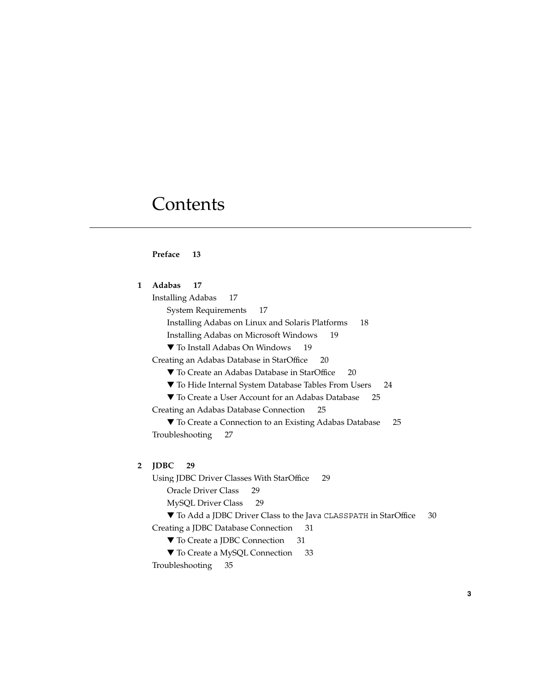## **Contents**

### **[Preface 13](#page-12-0)**

**[1 Adabas 17](#page-16-0)**

[Installing Adabas 17](#page-16-0) [System Requirements 17](#page-16-0) [Installing Adabas on Linux and Solaris Platforms 18](#page-17-0) [Installing Adabas on Microsoft Windows 19](#page-18-0) ▼ [To Install Adabas On Windows 19](#page-18-0) [Creating an Adabas Database in StarOffice 20](#page-19-0) ▼ [To Create an Adabas Database in StarOffice 20](#page-19-0) ▼ [To Hide Internal System Database Tables From Users 24](#page-23-0) ▼ [To Create a User Account for an Adabas Database 25](#page-24-0) [Creating an Adabas Database Connection 25](#page-24-0) ▼ [To Create a Connection to an Existing Adabas Database 25](#page-24-0) [Troubleshooting 27](#page-26-0)

### **[2 JDBC 29](#page-28-0)**

[Using JDBC Driver Classes With StarOffice 29](#page-28-0) [Oracle Driver Class 29](#page-28-0) [MySQL Driver Class 29](#page-28-0) ▼ [To Add a JDBC Driver Class to the Java](#page-29-0) CLASSPATH in StarOffice 30 [Creating a JDBC Database Connection 31](#page-30-0) ▼ [To Create a JDBC Connection 31](#page-30-0) ▼ [To Create a MySQL Connection 33](#page-32-0) [Troubleshooting 35](#page-34-0)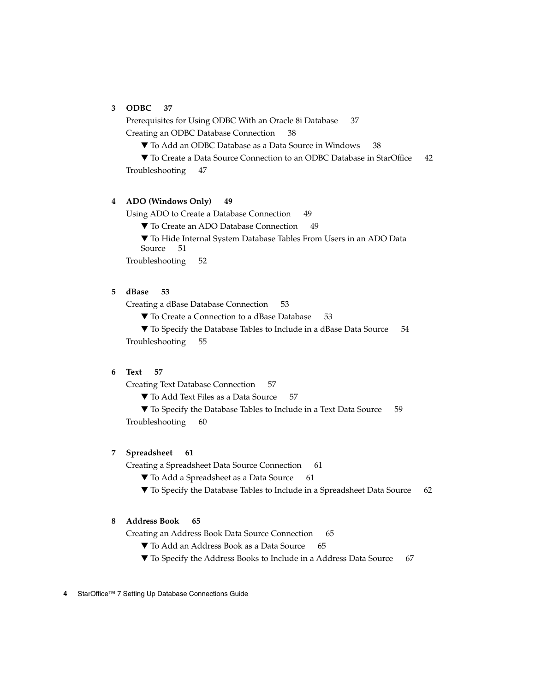#### **[3 ODBC 37](#page-36-0)**

[Prerequisites for Using ODBC With an Oracle 8i Database 37](#page-36-0) [Creating an ODBC Database Connection 38](#page-37-0)

▼ [To Add an ODBC Database as a Data Source in Windows 38](#page-37-0)

▼ [To Create a Data Source Connection to an ODBC Database in StarOffice 42](#page-41-0) [Troubleshooting 47](#page-46-0)

### **[4 ADO \(Windows Only\) 49](#page-48-0)**

[Using ADO to Create a Database Connection 49](#page-48-0)

▼ [To Create an ADO Database Connection 49](#page-48-0)

▼ [To Hide Internal System Database Tables From Users in an ADO Data](#page-50-0) [Source 51](#page-50-0)

[Troubleshooting 52](#page-51-0)

#### **[5 dBase 53](#page-52-0)**

[Creating a dBase Database Connection 53](#page-52-0)

▼ [To Create a Connection to a dBase Database 53](#page-52-0)

▼ [To Specify the Database Tables to Include in a dBase Data Source 54](#page-53-0) [Troubleshooting 55](#page-54-0)

#### **[6 Text 57](#page-56-0)**

[Creating Text Database Connection 57](#page-56-0)

▼ [To Add Text Files as a Data Source 57](#page-56-0)

▼ [To Specify the Database Tables to Include in a Text Data Source 59](#page-58-0) [Troubleshooting 60](#page-59-0)

#### **[7 Spreadsheet 61](#page-60-0)**

[Creating a Spreadsheet Data Source Connection 61](#page-60-0)

- ▼ [To Add a Spreadsheet as a Data Source 61](#page-60-0)
- ▼ [To Specify the Database Tables to Include in a Spreadsheet Data Source 62](#page-61-0)

#### **[8 Address Book 65](#page-64-0)**

[Creating an Address Book Data Source Connection 65](#page-64-0)

- ▼ [To Add an Address Book as a Data Source 65](#page-64-0)
- ▼ [To Specify the Address Books to Include in a Address Data Source 67](#page-66-0)
- **4** StarOffice™ 7 Setting Up Database Connections Guide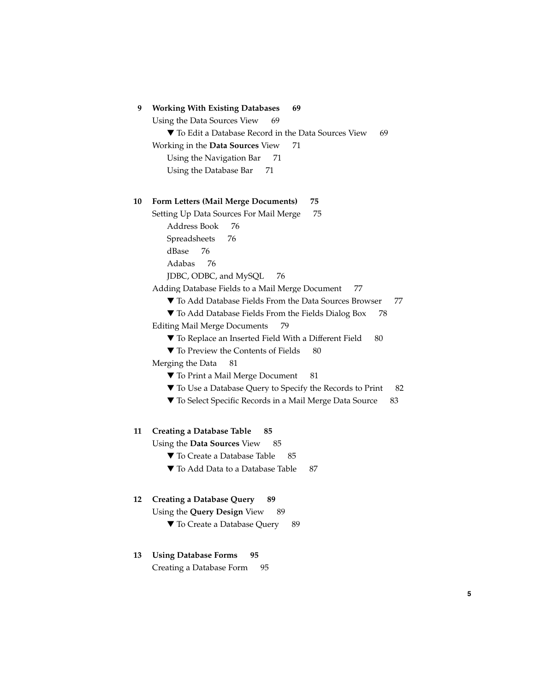[Using the Data Sources View 69](#page-68-0) ▼ [To Edit a Database Record in the Data Sources View 69](#page-68-0) [Working in the](#page-70-0) **Data Sources** View 71 [Using the Navigation Bar 71](#page-70-0) [Using the Database Bar 71](#page-70-0) **[10 Form Letters \(Mail Merge Documents\) 75](#page-74-0)** [Setting Up Data Sources For Mail Merge 75](#page-74-0) [Address Book 76](#page-75-0) [Spreadsheets 76](#page-75-0) [dBase 76](#page-75-0) [Adabas 76](#page-75-0) [JDBC, ODBC, and MySQL 76](#page-75-0) [Adding Database Fields to a Mail Merge Document 77](#page-76-0) ▼ [To Add Database Fields From the Data Sources Browser 77](#page-76-0) ▼ [To Add Database Fields From the Fields Dialog Box 78](#page-77-0) [Editing Mail Merge Documents 79](#page-78-0) ▼ [To Replace an Inserted Field With a Different Field 80](#page-79-0) ▼ [To Preview the Contents of Fields 80](#page-79-0) [Merging the Data 81](#page-80-0) ▼ [To Print a Mail Merge Document 81](#page-80-0) ▼ [To Use a Database Query to Specify the Records to Print 82](#page-81-0) ▼ [To Select Specific Records in a Mail Merge Data Source 83](#page-82-0) **[11 Creating a Database Table 85](#page-84-0)** Using the **[Data Sources](#page-84-0)** View 85 ▼ [To Create a Database Table 85](#page-84-0) ▼ [To Add Data to a Database Table 87](#page-86-0) **[12 Creating a Database Query 89](#page-88-0)** Using the **[Query Design](#page-88-0)** View 89 ▼ [To Create a Database Query 89](#page-88-0) **[13 Using Database Forms 95](#page-94-0)** [Creating a Database Form 95](#page-94-0)

**[9 Working With Existing Databases 69](#page-68-0)**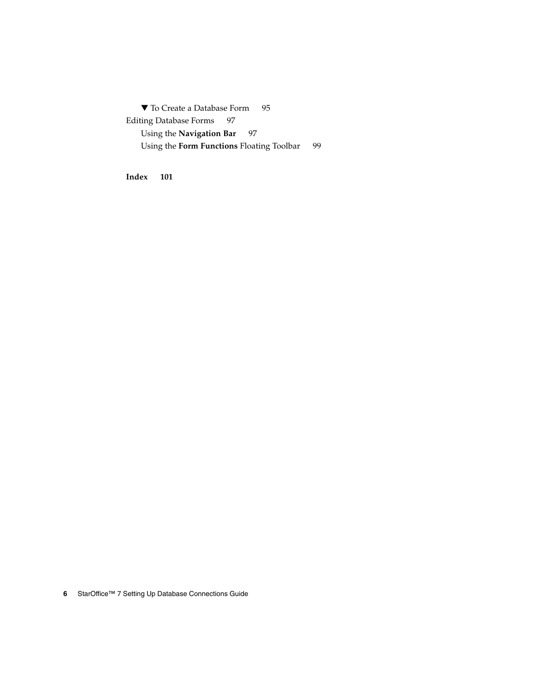▼ [To Create a Database Form 95](#page-94-0) [Editing Database Forms 97](#page-96-0) Using the **[Navigation Bar](#page-96-0)** 97 Using the **Form Functions** [Floating Toolbar 99](#page-98-0)

**[Index 101](#page-100-0)**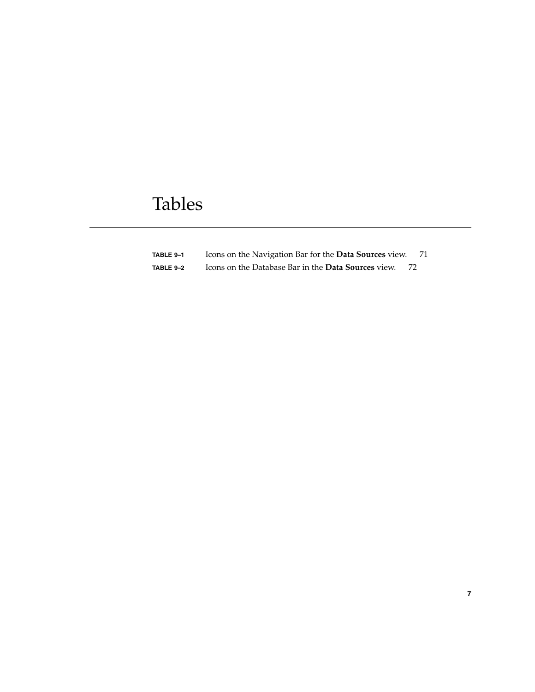# Tables

| TABLE 9-1 | Icons on the Navigation Bar for the Data Sources view.     | 71  |
|-----------|------------------------------------------------------------|-----|
| TABLE 9-2 | Icons on the Database Bar in the <b>Data Sources</b> view. | -72 |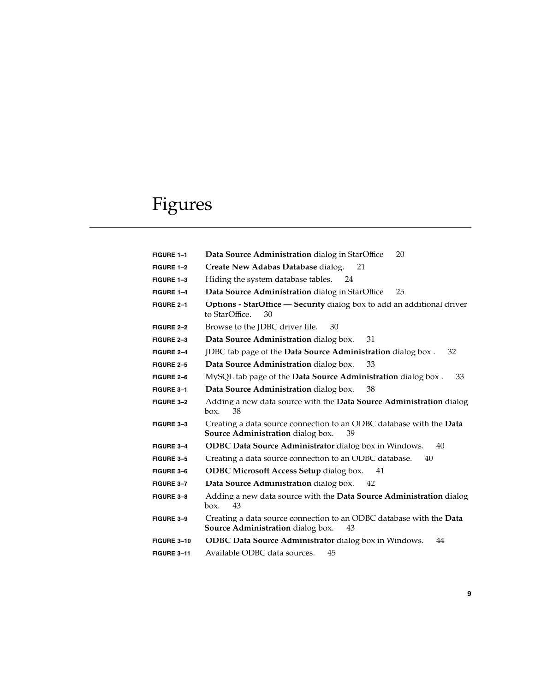# Figures

| FIGURE 1-1  | Data Source Administration dialog in StarOffice<br>20                                                          |
|-------------|----------------------------------------------------------------------------------------------------------------|
| FIGURE 1-2  | Create New Adabas Database dialog.<br>21                                                                       |
| FIGURE 1-3  | Hiding the system database tables.<br>24                                                                       |
| FIGURE 1-4  | Data Source Administration dialog in StarOffice<br>25                                                          |
| FIGURE 2-1  | Options - StarOffice - Security dialog box to add an additional driver<br>to StarOffice.<br>30                 |
| FIGURE 2-2  | Browse to the JDBC driver file.<br>30                                                                          |
| FIGURE 2-3  | Data Source Administration dialog box.<br>31                                                                   |
| FIGURE 2-4  | JDBC tab page of the Data Source Administration dialog box.<br>32                                              |
| FIGURE 2-5  | Data Source Administration dialog box.<br>33                                                                   |
| FIGURE 2-6  | MySQL tab page of the Data Source Administration dialog box.<br>33                                             |
| FIGURE 3-1  | Data Source Administration dialog box.<br>38                                                                   |
| FIGURE 3-2  | Adding a new data source with the Data Source Administration dialog<br>38<br>box.                              |
| FIGURE 3-3  | Creating a data source connection to an ODBC database with the Data<br>Source Administration dialog box.<br>39 |
| FIGURE 3-4  | <b>ODBC Data Source Administrator</b> dialog box in Windows.<br>40                                             |
| FIGURE 3-5  | Creating a data source connection to an ODBC database.<br>40                                                   |
| FIGURE 3-6  | <b>ODBC Microsoft Access Setup dialog box.</b><br>41                                                           |
| FIGURE 3-7  | Data Source Administration dialog box. 42                                                                      |
| FIGURE 3-8  | Adding a new data source with the Data Source Administration dialog<br>43<br>box.                              |
| FIGURE 3-9  | Creating a data source connection to an ODBC database with the Data<br>Source Administration dialog box.<br>43 |
| FIGURE 3-10 | <b>ODBC Data Source Administrator</b> dialog box in Windows.<br>44                                             |
| FIGURE 3-11 | Available ODBC data sources.<br>45                                                                             |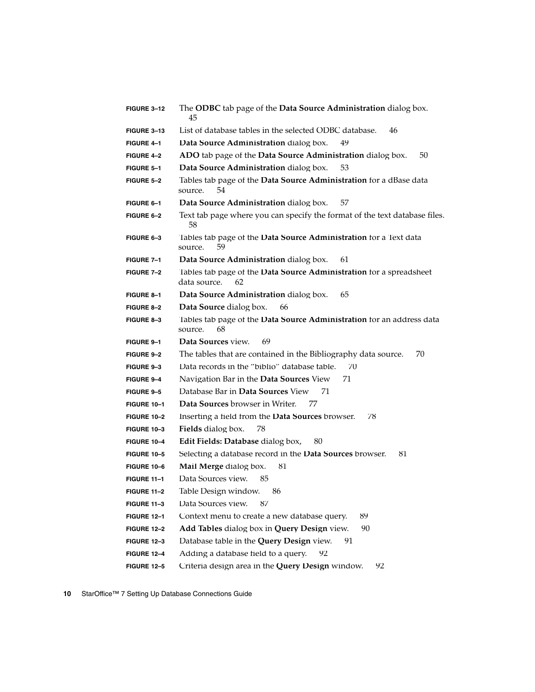| <b>FIGURE 3-12</b> | The ODBC tab page of the Data Source Administration dialog box.<br>45                     |
|--------------------|-------------------------------------------------------------------------------------------|
| <b>FIGURE 3-13</b> | List of database tables in the selected ODBC database.<br>46                              |
| <b>FIGURE 4-1</b>  | Data Source Administration dialog box.<br>49                                              |
| FIGURE 4-2         | ADO tab page of the Data Source Administration dialog box.<br>50                          |
| FIGURE 5-1         | Data Source Administration dialog box.<br>53                                              |
| FIGURE 5-2         | Tables tab page of the Data Source Administration for a dBase data<br>54<br>source.       |
| FIGURE 6-1         | 57<br>Data Source Administration dialog box.                                              |
| FIGURE 6-2         | Text tab page where you can specify the format of the text database files.<br>58          |
| FIGURE 6-3         | Tables tab page of the Data Source Administration for a Text data<br>59<br>source.        |
| FIGURE 7-1         | Data Source Administration dialog box.<br>61                                              |
| FIGURE 7-2         | Tables tab page of the Data Source Administration for a spreadsheet<br>data source.<br>62 |
| FIGURE 8-1         | 65<br>Data Source Administration dialog box.                                              |
| <b>FIGURE 8-2</b>  | Data Source dialog box.<br>66                                                             |
| FIGURE 8-3         | Tables tab page of the Data Source Administration for an address data<br>68<br>source.    |
| FIGURE 9-1         | Data Sources view.<br>69                                                                  |
| FIGURE 9-2         | The tables that are contained in the Bibliography data source.<br>70                      |
| FIGURE 9-3         | Data records in the "biblio" database table.<br>70                                        |
| FIGURE 9-4         | 71<br>Navigation Bar in the <b>Data Sources</b> View                                      |
| <b>FIGURE 9-5</b>  | Database Bar in Data Sources View<br>71                                                   |
| <b>FIGURE 10-1</b> | Data Sources browser in Writer.<br>77                                                     |
| <b>FIGURE 10-2</b> | Inserting a field from the Data Sources browser.<br>78                                    |
| <b>FIGURE 10-3</b> | Fields dialog box.<br>78                                                                  |
| <b>FIGURE 10-4</b> | Edit Fields: Database dialog box,<br>80                                                   |
| <b>FIGURE 10-5</b> | Selecting a database record in the Data Sources browser.<br>81                            |
| <b>FIGURE 10-6</b> | Mail Merge dialog box.<br>81                                                              |
| <b>FIGURE 11-1</b> | Data Sources view.<br>85                                                                  |
| <b>FIGURE 11–2</b> | Table Design window.<br>86                                                                |
| <b>FIGURE 11-3</b> | Data Sources view.<br>87                                                                  |
| <b>FIGURE 12–1</b> | Context menu to create a new database query.<br>89                                        |
| <b>FIGURE 12-2</b> | 90<br>Add Tables dialog box in Query Design view.                                         |
| <b>FIGURE 12-3</b> | Database table in the Query Design view.<br>91                                            |
| <b>FIGURE 12-4</b> | Adding a database field to a query.<br>92                                                 |
| FIGURE 12–5        | Criteria design area in the Query Design window.<br>92                                    |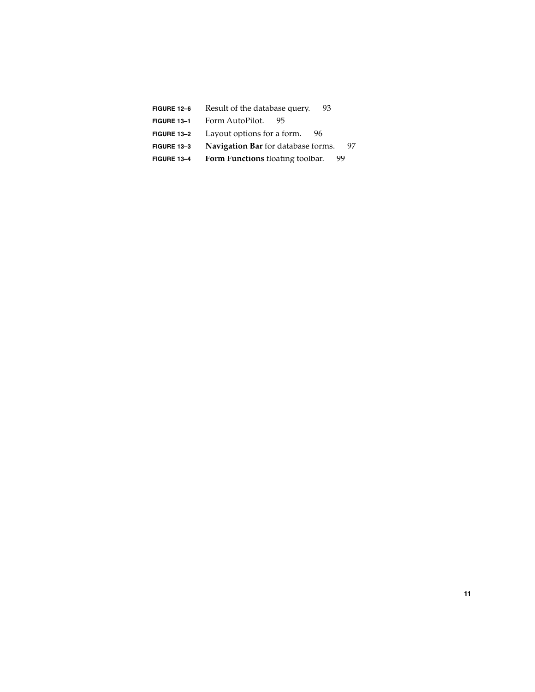| <b>FIGURE 12-6</b> | Result of the database query.<br>93      |
|--------------------|------------------------------------------|
| <b>FIGURE 13-1</b> | Form AutoPilot.<br>95                    |
| <b>FIGURE 13-2</b> | Layout options for a form.<br>96         |
| <b>FIGURE 13-3</b> | Navigation Bar for database forms.<br>97 |
| <b>FIGURE 13-4</b> | Form Functions floating toolbar.<br>99   |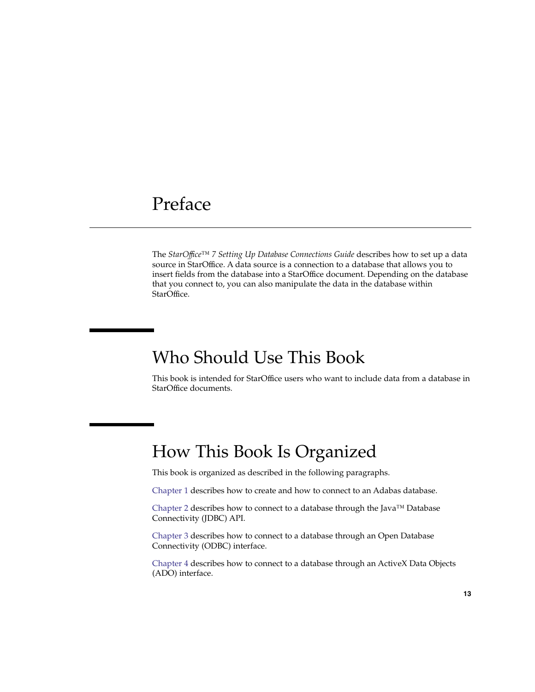## <span id="page-12-0"></span>Preface

The *StarOffice™ 7 Setting Up Database Connections Guide* describes how to set up a data source in StarOffice. A data source is a connection to a database that allows you to insert fields from the database into a StarOffice document. Depending on the database that you connect to, you can also manipulate the data in the database within StarOffice.

### Who Should Use This Book

This book is intended for StarOffice users who want to include data from a database in StarOffice documents.

## How This Book Is Organized

This book is organized as described in the following paragraphs.

[Chapter 1](#page-16-0) describes how to create and how to connect to an Adabas database.

[Chapter 2](#page-28-0) describes how to connect to a database through the Java™ Database Connectivity (JDBC) API.

[Chapter 3](#page-36-0) describes how to connect to a database through an Open Database Connectivity (ODBC) interface.

[Chapter 4](#page-48-0) describes how to connect to a database through an ActiveX Data Objects (ADO) interface.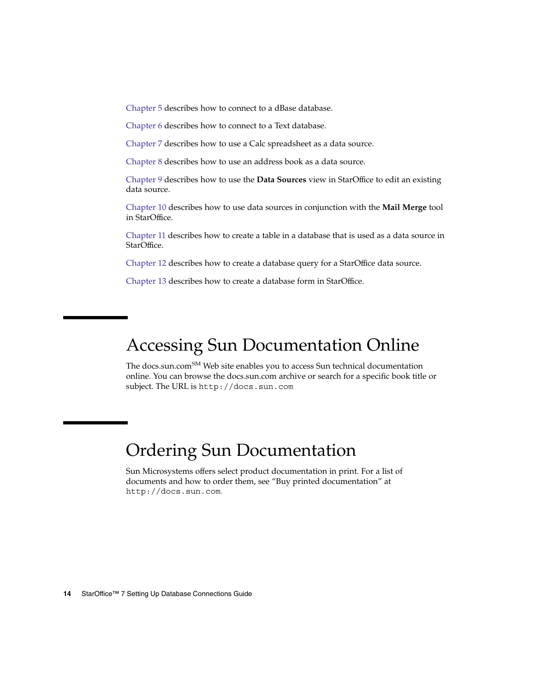[Chapter 5](#page-52-0) describes how to connect to a dBase database.

[Chapter 6](#page-56-0) describes how to connect to a Text database.

[Chapter 7](#page-60-0) describes how to use a Calc spreadsheet as a data source.

[Chapter 8](#page-64-0) describes how to use an address book as a data source.

[Chapter 9](#page-68-0) describes how to use the **Data Sources** view in StarOffice to edit an existing data source.

[Chapter 10](#page-74-0) describes how to use data sources in conjunction with the **Mail Merge** tool in StarOffice.

[Chapter 11](#page-84-0) describes how to create a table in a database that is used as a data source in StarOffice.

[Chapter 12](#page-88-0) describes how to create a database query for a StarOffice data source.

[Chapter 13](#page-94-0) describes how to create a database form in StarOffice.

### Accessing Sun Documentation Online

The docs.sun.com<sup>SM</sup> Web site enables you to access Sun technical documentation online. You can browse the docs.sun.com archive or search for a specific book title or subject. The URL is <http://docs.sun.com>.

### Ordering Sun Documentation

Sun Microsystems offers select product documentation in print. For a list of documents and how to order them, see "Buy printed documentation" at <http://docs.sun.com>.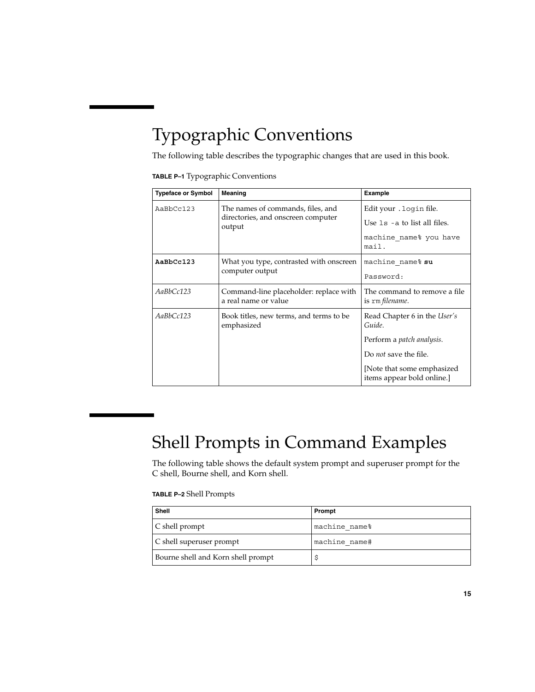## Typographic Conventions

The following table describes the typographic changes that are used in this book.

| <b>TABLE P–1</b> Typographic Conventions |  |  |
|------------------------------------------|--|--|
|------------------------------------------|--|--|

| <b>Typeface or Symbol</b> | Meaning                                                                           | <b>Example</b>                                            |
|---------------------------|-----------------------------------------------------------------------------------|-----------------------------------------------------------|
| AaBbCc123                 | The names of commands, files, and<br>directories, and onscreen computer<br>output | Edit your . login file.<br>Use $1s$ -a to list all files. |
|                           |                                                                                   | machine name% you have<br>mail.                           |
| AaBbCc123                 | What you type, contrasted with onscreen                                           | machine name% su                                          |
|                           | computer output                                                                   | Password:                                                 |
| AaBbCc123                 | Command-line placeholder: replace with<br>a real name or value                    | The command to remove a file<br>is rm filename.           |
| AaBbCc123                 | Book titles, new terms, and terms to be<br>emphasized                             | Read Chapter 6 in the User's<br>Guide.                    |
|                           |                                                                                   | Perform a <i>patch analysis</i> .                         |
|                           |                                                                                   | Do <i>not</i> save the file.                              |
|                           |                                                                                   | [Note that some emphasized]<br>items appear bold online.] |

## Shell Prompts in Command Examples

The following table shows the default system prompt and superuser prompt for the C shell, Bourne shell, and Korn shell.

#### **TABLE P–2** Shell Prompts

| Shell                              | Prompt        |
|------------------------------------|---------------|
| C shell prompt                     | machine name% |
| C shell superuser prompt           | machine name# |
| Bourne shell and Korn shell prompt |               |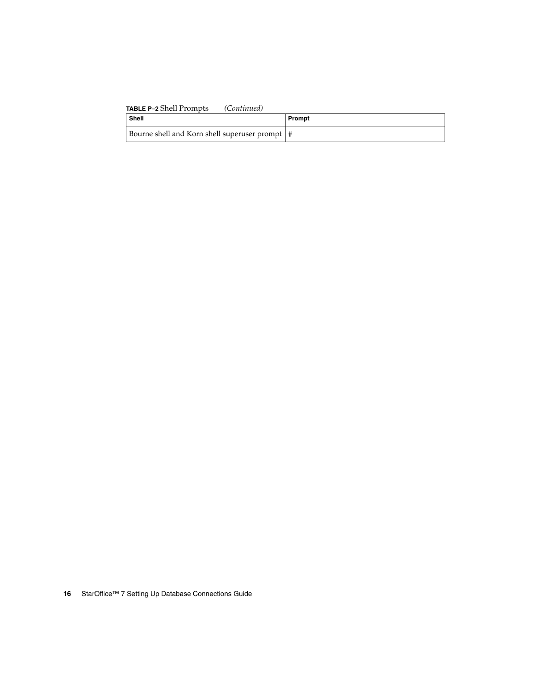### **TABLE P–2** Shell Prompts *(Continued)*

| Shell                                            | Prompt |
|--------------------------------------------------|--------|
| Bourne shell and Korn shell superuser prompt   # |        |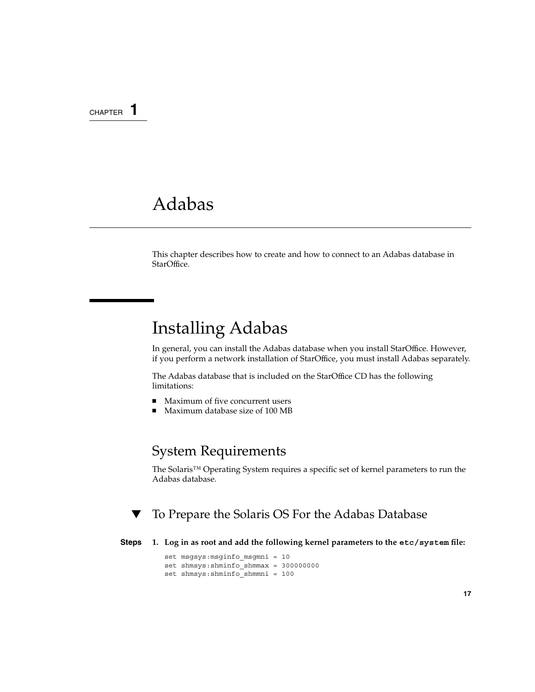<span id="page-16-0"></span>CHAPTER **1**

## Adabas

This chapter describes how to create and how to connect to an Adabas database in StarOffice.

## Installing Adabas

In general, you can install the Adabas database when you install StarOffice. However, if you perform a network installation of StarOffice, you must install Adabas separately.

The Adabas database that is included on the StarOffice CD has the following limitations:

- Maximum of five concurrent users
- Maximum database size of 100 MB

### System Requirements

The Solaris™ Operating System requires a specific set of kernel parameters to run the Adabas database.

### To Prepare the Solaris OS For the Adabas Database

**1. Log in as root and add the following kernel parameters to the etc/system file: Steps**

```
set msgsys:msginfo_msgmni = 10
set shmsys:shminfo_shmmax = 300000000
set shmsys:shminfo_shmmni = 100
```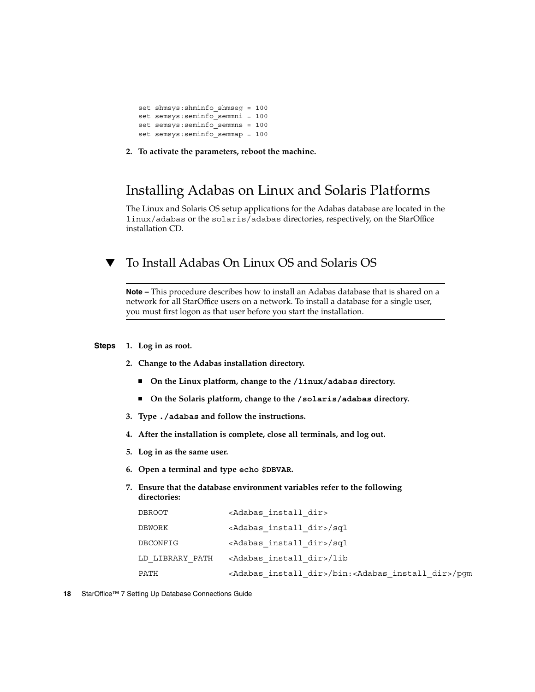<span id="page-17-0"></span>

| set shmsys: shminfo shmseq = $100$ |  |
|------------------------------------|--|
| $set$ semsys: seminfo semmni = 100 |  |
| $set$ semsys: seminfo semmns = 100 |  |
| $set$ semsys: seminfo semmap = 100 |  |

**2. To activate the parameters, reboot the machine.**

### Installing Adabas on Linux and Solaris Platforms

The Linux and Solaris OS setup applications for the Adabas database are located in the linux/adabas or the solaris/adabas directories, respectively, on the StarOffice installation CD.

▼ To Install Adabas On Linux OS and Solaris OS

**Note –** This procedure describes how to install an Adabas database that is shared on a network for all StarOffice users on a network. To install a database for a single user, you must first logon as that user before you start the installation.

#### **1. Log in as root. Steps**

- **2. Change to the Adabas installation directory.**
	- **On the Linux platform, change to the /linux/adabas directory.**
	- **On the Solaris platform, change to the /solaris/adabas directory.**
- **3. Type ./adabas and follow the instructions.**
- **4. After the installation is complete, close all terminals, and log out.**
- **5. Log in as the same user.**
- **6. Open a terminal and type echo \$DBVAR.**
- **7. Ensure that the database environment variables refer to the following directories:**

| DBROOT          | <adabas dir="" install=""></adabas>                                             |
|-----------------|---------------------------------------------------------------------------------|
| DBWORK          | <adabas dir="" install="">/sql</adabas>                                         |
| DBCONFIG        | <adabas dir="" install="">/sql</adabas>                                         |
| LD LIBRARY PATH | <adabas dir="" install="">/lib</adabas>                                         |
| PATH            | <adabas dir="" install="">/bin:<adabas dir="" install="">/pgm</adabas></adabas> |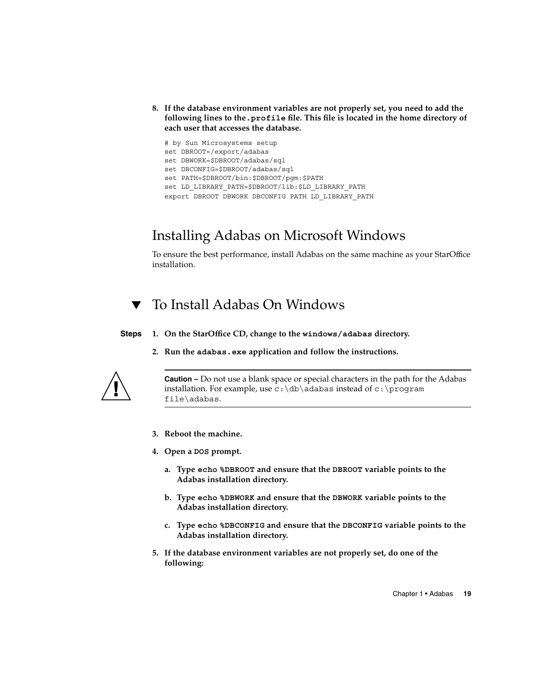<span id="page-18-0"></span>**8. If the database environment variables are not properly set, you need to add the following lines to the.profile file. This file is located in the home directory of each user that accesses the database.**

# by Sun Microsystems setup set DBROOT=/export/adabas set DBWORK=\$DBROOT/adabas/sql set DBCONFIG=\$DBROOT/adabas/sql set PATH=\$DBROOT/bin:\$DBROOT/pgm:\$PATH set LD\_LIBRARY\_PATH=\$DBROOT/lib:\$LD\_LIBRARY\_PATH export DBROOT DBWORK DBCONFIG PATH LD\_LIBRARY\_PATH

### Installing Adabas on Microsoft Windows

To ensure the best performance, install Adabas on the same machine as your StarOffice installation.



#### **1. On the StarOffice CD, change to the windows/adabas directory. Steps**

**2. Run the adabas.exe application and follow the instructions.**



**Caution –** Do not use a blank space or special characters in the path for the Adabas installation. For example, use  $c:\db\ad{\abla}a$  instead of  $c:\pp{\dagger}a$ file\adabas.

- **3. Reboot the machine.**
- **4. Open a DOS prompt.**
	- **a. Type echo %DBROOT and ensure that the DBROOT variable points to the Adabas installation directory.**
	- **b. Type echo %DBWORK and ensure that the DBWORK variable points to the Adabas installation directory.**
	- **c. Type echo %DBCONFIG and ensure that the DBCONFIG variable points to the Adabas installation directory.**
- **5. If the database environment variables are not properly set, do one of the following:**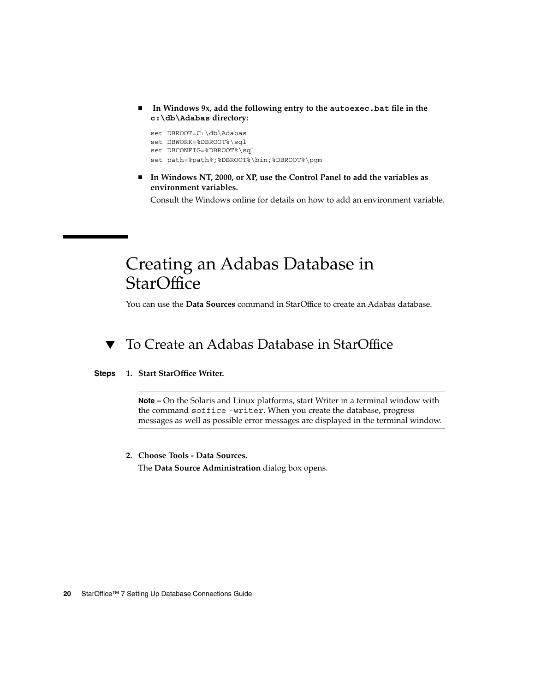<span id="page-19-0"></span>■ **In Windows 9x, add the following entry to the autoexec.bat file in the c:\db\Adabas directory:**

```
set DBROOT=C:\db\Adabas
set DBWORK=%DBROOT%\sql
set DBCONFIG=%DBROOT%\sql
set path=%path%;%DBROOT%\bin;%DBROOT%\pgm
```
■ **In Windows NT, 2000, or XP, use the Control Panel to add the variables as environment variables.**

Consult the Windows online for details on how to add an environment variable.

### Creating an Adabas Database in **StarOffice**

You can use the **Data Sources** command in StarOffice to create an Adabas database.

### To Create an Adabas Database in StarOffice

#### **1. Start StarOffice Writer. Steps**

**Note –** On the Solaris and Linux platforms, start Writer in a terminal window with the command soffice -writer. When you create the database, progress messages as well as possible error messages are displayed in the terminal window.

#### **2. Choose Tools - Data Sources.**

The **Data Source Administration** dialog box opens.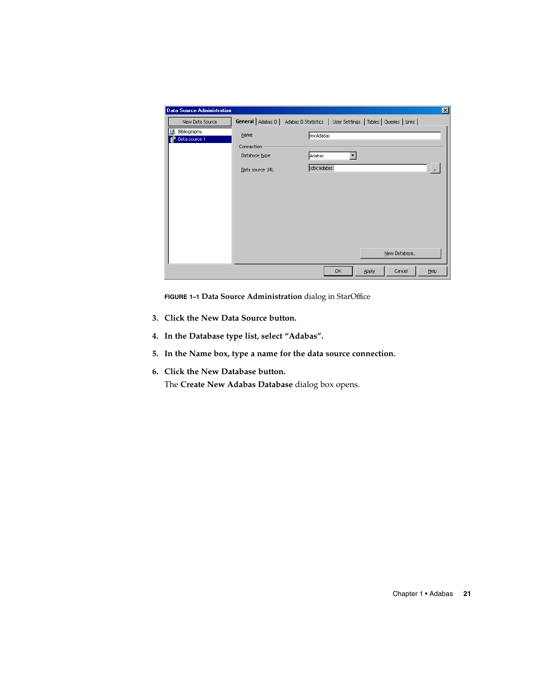<span id="page-20-0"></span>

| <b>Data Source Administration</b>  |                 | $\vert \mathbf{x} \vert$                                                                 |
|------------------------------------|-----------------|------------------------------------------------------------------------------------------|
| New Data Source                    |                 | <b>General</b> Adabas D   Adabas D Statistics   User Settings   Tables   Queries   Links |
| Bibliography<br>屋<br>Data source 1 | $Name$          | myAdabas                                                                                 |
|                                    | Connection      |                                                                                          |
|                                    | Database type   | Adabas                                                                                   |
|                                    | Data source URL | sdbc:adabas:<br><b>P</b>                                                                 |
|                                    |                 |                                                                                          |
|                                    |                 |                                                                                          |
|                                    |                 |                                                                                          |
|                                    |                 |                                                                                          |
|                                    |                 |                                                                                          |
|                                    |                 |                                                                                          |
|                                    |                 | New Database                                                                             |
|                                    |                 |                                                                                          |
|                                    |                 | 0K<br>Cancel<br>Help<br>Apply                                                            |

**FIGURE 1–1 Data Source Administration** dialog in StarOffice

- **3. Click the New Data Source button.**
- **4. In the Database type list, select "Adabas".**
- **5. In the Name box, type a name for the data source connection.**
- **6. Click the New Database button.**

The **Create New Adabas Database** dialog box opens.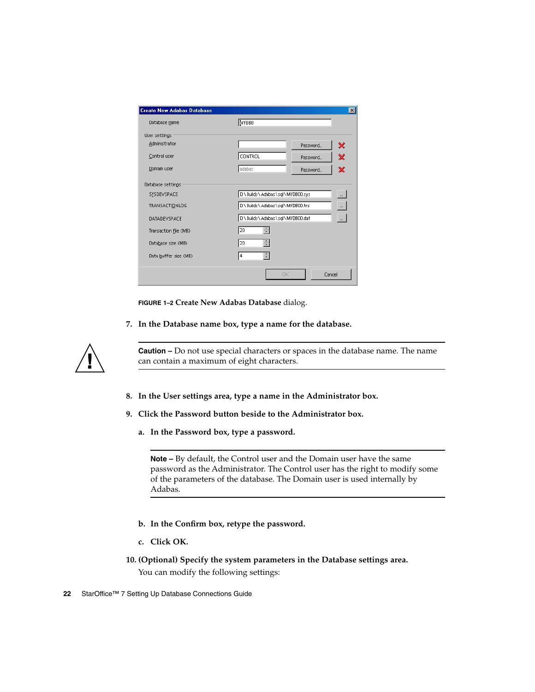| <b>Create New Adabas Database</b> |                                 | $\vert x \vert$ |
|-----------------------------------|---------------------------------|-----------------|
| Database name                     | MYDB0                           |                 |
| User settings                     |                                 |                 |
| Administrator                     | Password                        | x               |
| Control user                      | CONTROL<br>Password             | X               |
| Domain user                       | adabas<br>Password              | x               |
| Database settings                 |                                 |                 |
| SYSDEVSPACE                       | D:\Builds\Adabas\sql\MYDB00.sys | $\sim$          |
| TRANSACTIONLOG                    | D:\Builds\Adabas\sql\MYDB00.trs | $\cdots$        |
| DATADEVSPACE                      | D:\Builds\Adabas\sql\MYDB00.dat | $\ldots$        |
| Transaction file (MB)             | ÷<br>20                         |                 |
| Database size (MB)                | ÷<br>20                         |                 |
| Data buffer size (MB)             | ÷<br>4                          |                 |
|                                   | <b>OK</b>                       | Cancel          |

**FIGURE 1–2 Create New Adabas Database** dialog.

**7. In the Database name box, type a name for the database.**



**Caution –** Do not use special characters or spaces in the database name. The name can contain a maximum of eight characters.

- **8. In the User settings area, type a name in the Administrator box.**
- **9. Click the Password button beside to the Administrator box.**
	- **a. In the Password box, type a password.**

**Note –** By default, the Control user and the Domain user have the same password as the Administrator. The Control user has the right to modify some of the parameters of the database. The Domain user is used internally by Adabas.

- **b. In the Confirm box, retype the password.**
- **c. Click OK.**
- **10. (Optional) Specify the system parameters in the Database settings area.**

You can modify the following settings: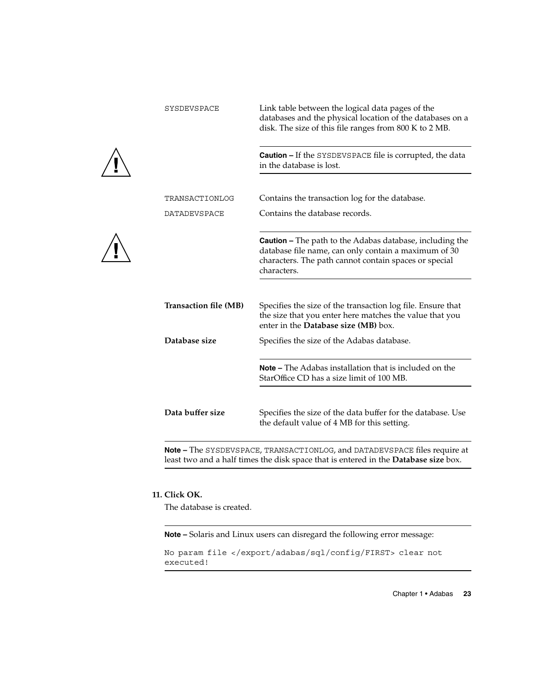| SYSDEVSPACE                  | Link table between the logical data pages of the<br>databases and the physical location of the databases on a<br>disk. The size of this file ranges from 800 K to 2 MB.                         |
|------------------------------|-------------------------------------------------------------------------------------------------------------------------------------------------------------------------------------------------|
|                              | <b>Caution - If the SYSDEVSPACE file is corrupted, the data</b><br>in the database is lost.                                                                                                     |
| TRANSACTIONLOG               | Contains the transaction log for the database.                                                                                                                                                  |
| DATADEVSPACE                 | Contains the database records.                                                                                                                                                                  |
|                              | <b>Caution -</b> The path to the Adabas database, including the<br>database file name, can only contain a maximum of 30<br>characters. The path cannot contain spaces or special<br>characters. |
| <b>Transaction file (MB)</b> | Specifies the size of the transaction log file. Ensure that<br>the size that you enter here matches the value that you<br>enter in the Database size (MB) box.                                  |
| Database size                | Specifies the size of the Adabas database.                                                                                                                                                      |
|                              | Note - The Adabas installation that is included on the<br>StarOffice CD has a size limit of 100 MB.                                                                                             |
| Data buffer size             | Specifies the size of the data buffer for the database. Use<br>the default value of 4 MB for this setting.                                                                                      |
|                              | Note - The SYSDEVSPACE, TRANSACTIONLOG, and DATADEVSPACE files require at<br>least two and a half times the disk space that is entered in the Database size box.                                |

### **11. Click OK.**

The database is created.

**Note –** Solaris and Linux users can disregard the following error message:

No param file </export/adabas/sql/config/FIRST> clear not executed!

Chapter 1 • Adabas **23**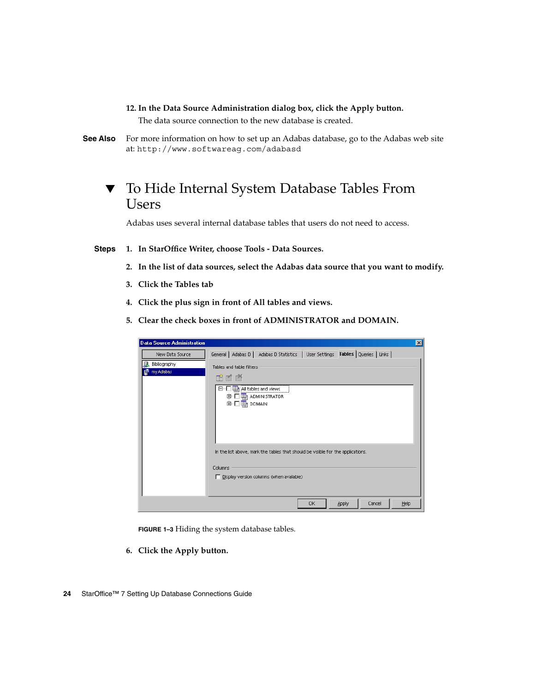**12. In the Data Source Administration dialog box, click the Apply button.** The data source connection to the new database is created.

<span id="page-23-0"></span>For more information on how to set up an Adabas database, go to the Adabas web site at: <http://www.softwareag.com/adabasd> **See Also**

### ▼ To Hide Internal System Database Tables From Users

Adabas uses several internal database tables that users do not need to access.

#### **1. In StarOffice Writer, choose Tools - Data Sources. Steps**

- **2. In the list of data sources, select the Adabas data source that you want to modify.**
- **3. Click the Tables tab**
- **4. Click the plus sign in front of All tables and views.**
- **5. Clear the check boxes in front of ADMINISTRATOR and DOMAIN.**

| <b>Data Source Administration</b>                      |                                                                                                                                                                                                                                                                                                                                                  | $\vert x \vert$ |
|--------------------------------------------------------|--------------------------------------------------------------------------------------------------------------------------------------------------------------------------------------------------------------------------------------------------------------------------------------------------------------------------------------------------|-----------------|
| New Data Source<br>Bibliography<br>扈<br>my Adabas<br>固 | General   Adabas D   Adabas D Statistics   User Settings   Tables   Queries   Links  <br>Tables and table filters<br><b>Ti</b> Ed Ed<br><b>申□ R</b> adMINISTRATOR<br><b>由一口               DOMAIN</b><br>In the list above, mark the tables that should be visible for the applications.<br>Columns<br>□ Display version columns (when available) |                 |
|                                                        | OK<br>Apply<br>Cancel<br>Help                                                                                                                                                                                                                                                                                                                    |                 |

**FIGURE 1–3** Hiding the system database tables.

**6. Click the Apply button.**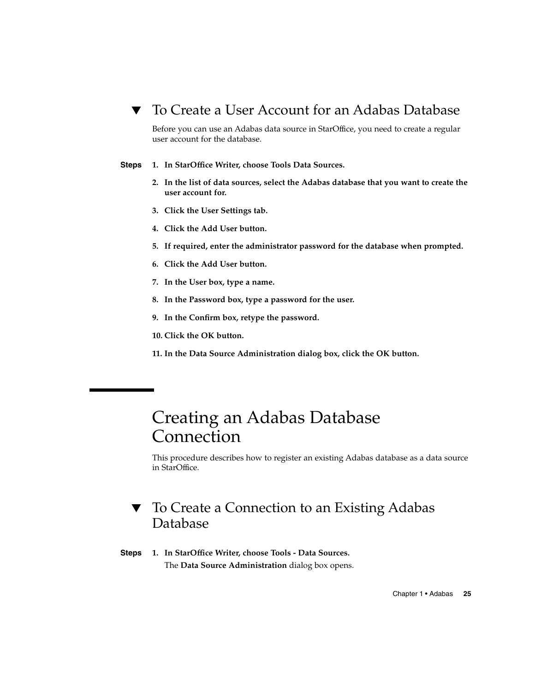### <span id="page-24-0"></span>▼ To Create a User Account for an Adabas Database

Before you can use an Adabas data source in StarOffice, you need to create a regular user account for the database.

#### **1. In StarOffice Writer, choose Tools Data Sources. Steps**

- **2. In the list of data sources, select the Adabas database that you want to create the user account for.**
- **3. Click the User Settings tab.**
- **4. Click the Add User button.**
- **5. If required, enter the administrator password for the database when prompted.**
- **6. Click the Add User button.**
- **7. In the User box, type a name.**
- **8. In the Password box, type a password for the user.**
- **9. In the Confirm box, retype the password.**
- **10. Click the OK button.**
- **11. In the Data Source Administration dialog box, click the OK button.**

## Creating an Adabas Database Connection

This procedure describes how to register an existing Adabas database as a data source in StarOffice.

### ▼ To Create a Connection to an Existing Adabas Database

**1. In StarOffice Writer, choose Tools - Data Sources.** The **Data Source Administration** dialog box opens. **Steps**

Chapter 1 • Adabas **25**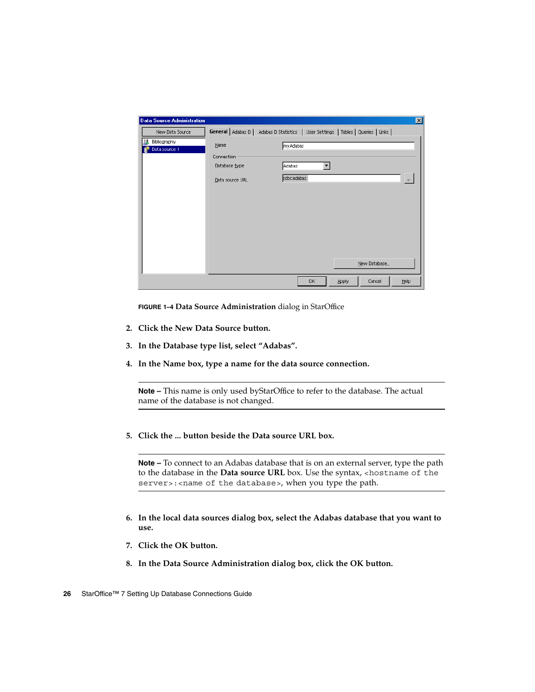| <b>Data Source Administration</b>  |                 | $\vert x \vert$                                                                     |
|------------------------------------|-----------------|-------------------------------------------------------------------------------------|
| New Data Source                    |                 | General   Adabas D   Adabas D Statistics   User Settings   Tables   Queries   Links |
| B<br>Bibliography<br>Data source 1 | $Name$          | my Adabas                                                                           |
|                                    | Connection      |                                                                                     |
|                                    | Database type   | Adabas                                                                              |
|                                    | Data source URL | sdbc:adabas:<br>$\mathbf{r}$                                                        |
|                                    |                 |                                                                                     |
|                                    |                 |                                                                                     |
|                                    |                 |                                                                                     |
|                                    |                 |                                                                                     |
|                                    |                 |                                                                                     |
|                                    |                 |                                                                                     |
|                                    |                 |                                                                                     |
|                                    |                 | New Database                                                                        |
|                                    |                 | 0K<br>Apply<br>Cancel<br>Help                                                       |

**FIGURE 1–4 Data Source Administration** dialog in StarOffice

- **2. Click the New Data Source button.**
- **3. In the Database type list, select "Adabas".**
- **4. In the Name box, type a name for the data source connection.**

**Note –** This name is only used byStarOffice to refer to the database. The actual name of the database is not changed.

**5. Click the ... button beside the Data source URL box.**

**Note –** To connect to an Adabas database that is on an external server, type the path to the database in the **Data source URL** box. Use the syntax, <hostname of the server>:<name of the database>, when you type the path.

- **6. In the local data sources dialog box, select the Adabas database that you want to use.**
- **7. Click the OK button.**
- **8. In the Data Source Administration dialog box, click the OK button.**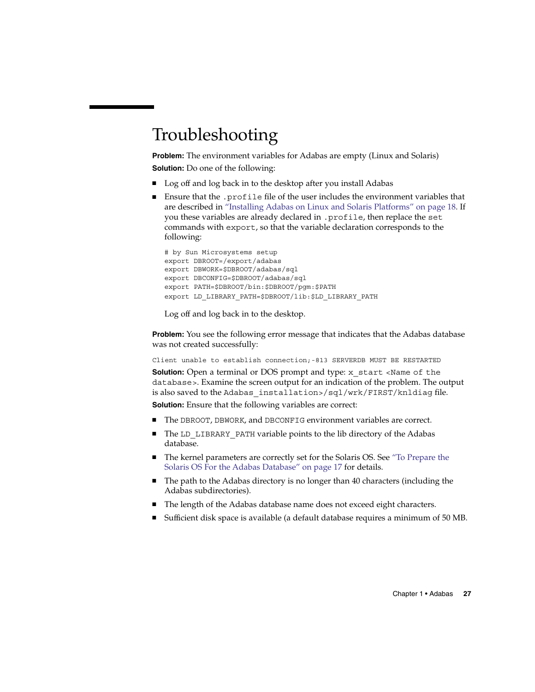## <span id="page-26-0"></span>Troubleshooting

**Problem:** The environment variables for Adabas are empty (Linux and Solaris) **Solution:** Do one of the following:

- Log off and log back in to the desktop after you install Adabas
- Ensure that the .profile file of the user includes the environment variables that are described in ["Installing Adabas on Linux and Solaris Platforms"](#page-17-0) on page 18. If you these variables are already declared in .profile, then replace the set commands with export, so that the variable declaration corresponds to the following:

```
# by Sun Microsystems setup
export DBROOT=/export/adabas
export DBWORK=$DBROOT/adabas/sql
export DBCONFIG=$DBROOT/adabas/sql
export PATH=$DBROOT/bin:$DBROOT/pgm:$PATH
export LD_LIBRARY_PATH=$DBROOT/lib:$LD_LIBRARY_PATH
```
Log off and log back in to the desktop.

**Problem:** You see the following error message that indicates that the Adabas database was not created successfully:

Client unable to establish connection;-813 SERVERDB MUST BE RESTARTED **Solution:** Open a terminal or DOS prompt and type: x\_start <Name of the database>. Examine the screen output for an indication of the problem. The output is also saved to the Adabas\_installation>/sql/wrk/FIRST/knldiag file.

**Solution:** Ensure that the following variables are correct:

- The DBROOT, DBWORK, and DBCONFIG environment variables are correct.
- The LD\_LIBRARY\_PATH variable points to the lib directory of the Adabas database.
- The kernel parameters are correctly set for the Solaris OS. See ["To Prepare the](#page-16-0) [Solaris OS For the Adabas Database"](#page-16-0) on page 17 for details.
- The path to the Adabas directory is no longer than 40 characters (including the Adabas subdirectories).
- The length of the Adabas database name does not exceed eight characters.
- Sufficient disk space is available (a default database requires a minimum of 50 MB.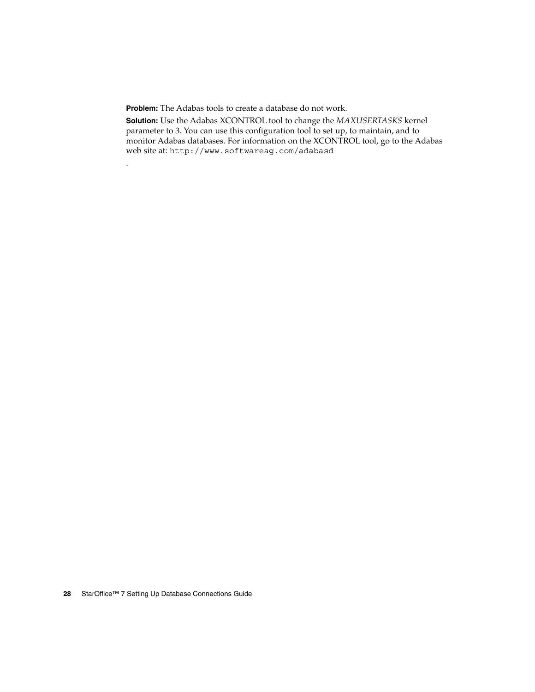**Problem:** The Adabas tools to create a database do not work.

**Solution:** Use the Adabas XCONTROL tool to change the *MAXUSERTASKS* kernel parameter to 3. You can use this configuration tool to set up, to maintain, and to monitor Adabas databases. For information on the XCONTROL tool, go to the Adabas web site at: <http://www.softwareag.com/adabasd>

.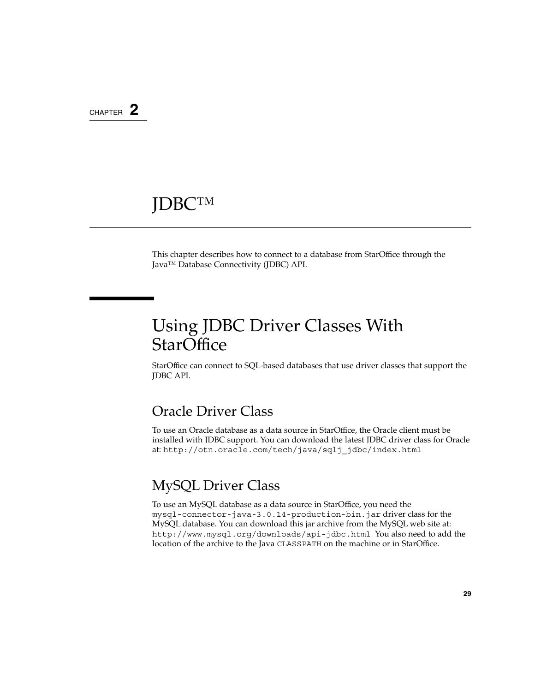<span id="page-28-0"></span>CHAPTER **2**

## JDBC™

This chapter describes how to connect to a database from StarOffice through the Java™ Database Connectivity (JDBC) API.

## Using JDBC Driver Classes With **StarOffice**

StarOffice can connect to SQL-based databases that use driver classes that support the JDBC API.

### Oracle Driver Class

To use an Oracle database as a data source in StarOffice, the Oracle client must be installed with JDBC support. You can download the latest JDBC driver class for Oracle at: [http://otn.oracle.com/tech/java/sqlj\\_jdbc/index.html](http://otn.oracle.com/tech/java/sqlj_jdbc/index.html)

### MySQL Driver Class

To use an MySQL database as a data source in StarOffice, you need the mysql-connector-java-3.0.14-production-bin.jar driver class for the MySQL database. You can download this jar archive from the MySQL web site at: <http://www.mysql.org/downloads/api-jdbc.html>. You also need to add the location of the archive to the Java CLASSPATH on the machine or in StarOffice.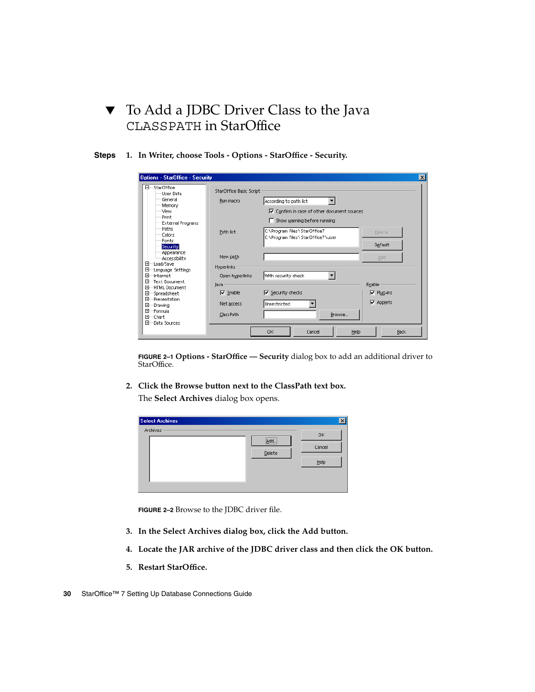### <span id="page-29-0"></span>▼ To Add a JDBC Driver Class to the Java CLASSPATH in StarOffice

#### **1. In Writer, choose Tools - Options - StarOffice - Security. Steps**

| Options - StarOffice - Security                                                                                     |                                       |                                                                                                                                 | $\vert x \vert$                       |
|---------------------------------------------------------------------------------------------------------------------|---------------------------------------|---------------------------------------------------------------------------------------------------------------------------------|---------------------------------------|
| Star Office<br>Θ<br>User Data<br>General<br>Memory                                                                  | Star Office Basic Script<br>Run macro | According to path list                                                                                                          |                                       |
| View<br>Print<br>External Programs<br>Paths<br>Colors                                                               | Path list                             | $\triangledown$ Confirm in case of other document sources<br>$\Box$ Show warning before running<br>C:\Program Files\StarOffice7 | <b>Delete</b>                         |
| Fonts<br>Security<br>Appearance<br>Accessibility                                                                    | New path                              | C:\Program Files\StarOffice7\user                                                                                               | Default<br>Add                        |
| Load/Save<br>⊞<br>⊞<br>Language Settings<br>⊞<br><b>Internet</b><br>⊞<br>Text Document<br>田<br><b>HTML Document</b> | Hyperlinks<br>Open hyperlinks<br>lava | With security check                                                                                                             | Enable                                |
| ⊞<br>-Spreadsheet<br>-Presentation<br>田<br>⊞<br>-Drawing                                                            | $\nabla$ Enable<br>Net access         | $\nabla$ Security checks<br>Unrestricted                                                                                        | $\nabla$ Plug-ins<br>$\nabla$ Applets |
| 田<br>-Formula<br>田<br>-Chart<br>田<br>Data Sources                                                                   | ClassPath                             | Browse                                                                                                                          |                                       |
|                                                                                                                     |                                       | <b>OK</b><br>Cancel                                                                                                             | Help<br>Back                          |

**FIGURE 2–1 Options - StarOffice — Security** dialog box to add an additional driver to StarOffice.

**2. Click the Browse button next to the ClassPath text box.**

The **Select Archives** dialog box opens.

| <b>Select Archives</b>                                  | $\boldsymbol{\mathsf{x}}$ |
|---------------------------------------------------------|---------------------------|
| <b>Archives</b><br>"<br>Add<br>--------------<br>Delete | OK<br>Cancel<br>Help      |

**FIGURE 2–2** Browse to the JDBC driver file.

- **3. In the Select Archives dialog box, click the Add button.**
- **4. Locate the JAR archive of the JDBC driver class and then click the OK button.**
- **5. Restart StarOffice.**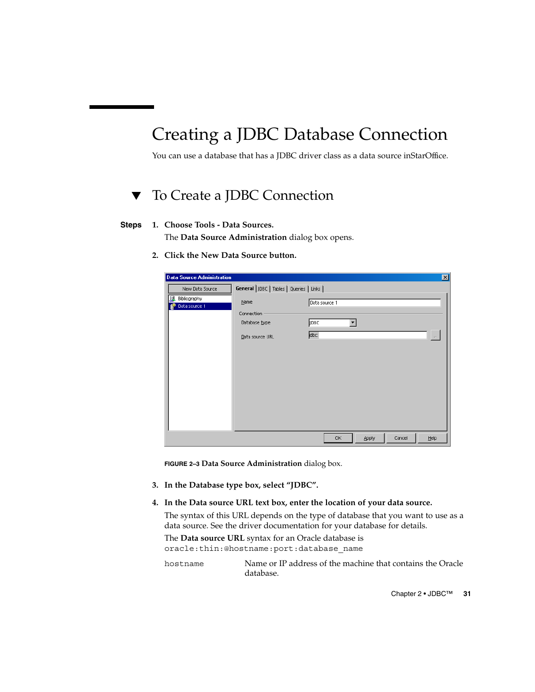## <span id="page-30-0"></span>Creating a JDBC Database Connection

You can use a database that has a JDBC driver class as a data source inStarOffice.

### ▼ To Create a JDBC Connection

#### **1. Choose Tools - Data Sources. Steps**

The **Data Source Administration** dialog box opens.

**2. Click the New Data Source button.**

| <b>Data Source Administration</b>   |                                           | 図                             |
|-------------------------------------|-------------------------------------------|-------------------------------|
| New Data Source                     | General   JDBC   Tables   Queries   Links |                               |
| B.<br>Bibliography<br>Data source 1 | Name                                      | Data source 1                 |
|                                     | Connection                                |                               |
|                                     | Database type                             | јовс                          |
|                                     | Data source URL                           | dbc:<br>$\vert \psi \rangle$  |
|                                     |                                           |                               |
|                                     |                                           |                               |
|                                     |                                           |                               |
|                                     |                                           |                               |
|                                     |                                           |                               |
|                                     |                                           |                               |
|                                     |                                           |                               |
|                                     |                                           |                               |
|                                     |                                           | 0K<br>Cancel<br>Help<br>Apply |

**FIGURE 2–3 Data Source Administration** dialog box.

- **3. In the Database type box, select "JDBC".**
- **4. In the Data source URL text box, enter the location of your data source.**

The syntax of this URL depends on the type of database that you want to use as a data source. See the driver documentation for your database for details.

The **Data source URL** syntax for an Oracle database is oracle:thin:@hostname:port:database\_name

hostname Name or IP address of the machine that contains the Oracle database.

Chapter 2 • JDBC™ **31**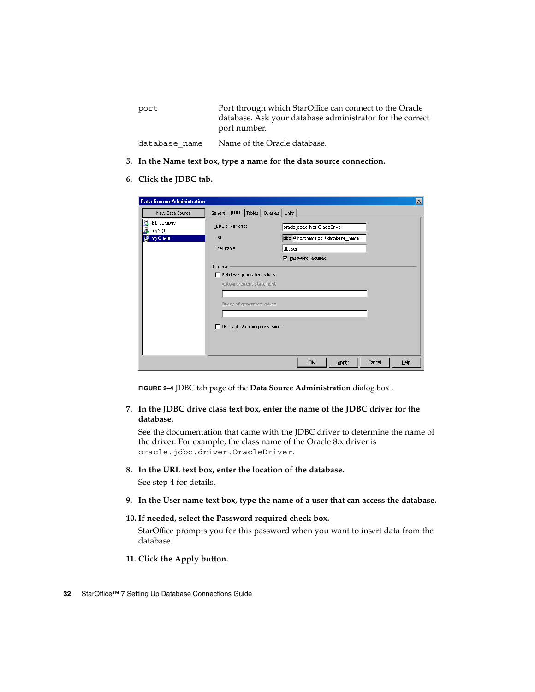<span id="page-31-0"></span>port Port through which StarOffice can connect to the Oracle database. Ask your database administrator for the correct port number.

- database\_name Name of the Oracle database.
- **5. In the Name text box, type a name for the data source connection.**
- **6. Click the JDBC tab.**

| <b>Data Source Administration</b> |                                         |                                   | $\vert x \vert$ |
|-----------------------------------|-----------------------------------------|-----------------------------------|-----------------|
| New Data Source                   | General JDBC   Tables   Queries   Links |                                   |                 |
| B.<br>Bibliography<br>扈<br>mySQL  | JDBC driver class                       | oracle.jdbc.driver.OracleDriver   |                 |
| my Oracle<br>ш                    | <b>URL</b>                              | dbc: @hostname:port:database_name |                 |
|                                   | User name                               | dbuser                            |                 |
|                                   |                                         | $\nabla$ Password required        |                 |
|                                   | General                                 |                                   |                 |
|                                   | □ Retrieve generated values             |                                   |                 |
|                                   | Auto-increment statement                |                                   |                 |
|                                   |                                         |                                   |                 |
|                                   | Query of generated values               |                                   |                 |
|                                   |                                         |                                   |                 |
|                                   |                                         |                                   |                 |
|                                   | $\Box$ Use $50192$ naming constraints   |                                   |                 |
|                                   |                                         |                                   |                 |
|                                   |                                         |                                   |                 |
|                                   |                                         |                                   |                 |
|                                   |                                         | 0K<br><b>Apply</b>                | Help<br>Cancel  |

**FIGURE 2–4** JDBC tab page of the **Data Source Administration** dialog box .

#### **7. In the JDBC drive class text box, enter the name of the JDBC driver for the database.**

See the documentation that came with the JDBC driver to determine the name of the driver. For example, the class name of the Oracle 8.x driver is oracle.jdbc.driver.OracleDriver.

**8. In the URL text box, enter the location of the database.**

See step 4 for details.

- **9. In the User name text box, type the name of a user that can access the database.**
- **10. If needed, select the Password required check box.**

StarOffice prompts you for this password when you want to insert data from the database.

- **11. Click the Apply button.**
- **32** StarOffice™ 7 Setting Up Database Connections Guide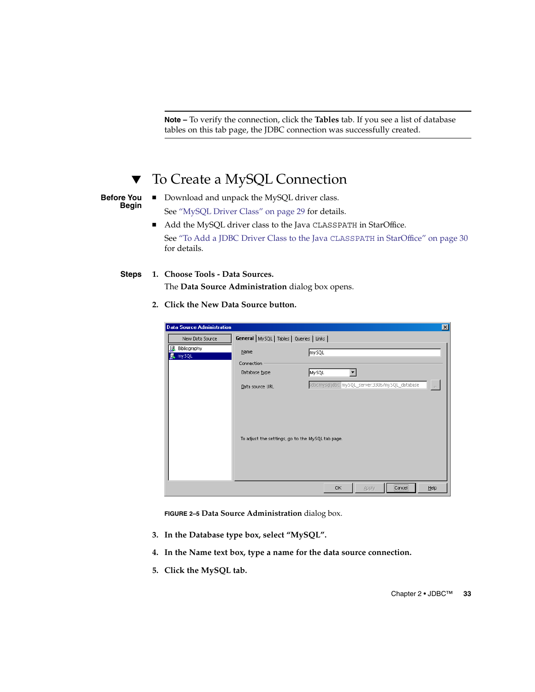**Note –** To verify the connection, click the **Tables** tab. If you see a list of database tables on this tab page, the JDBC connection was successfully created.

<span id="page-32-0"></span>

■ Add the MySQL driver class to the Java CLASSPATH in StarOffice. See ["To Add a JDBC Driver Class to the Java](#page-29-0) CLASSPATH in StarOffice" on page 30 for details.

#### **1. Choose Tools - Data Sources. Steps**

The **Data Source Administration** dialog box opens.

**2. Click the New Data Source button.**

| <b>Data Source Administration</b> |                                                   | $\vert x \vert$                                                 |
|-----------------------------------|---------------------------------------------------|-----------------------------------------------------------------|
| New Data Source                   | General   MySQL   Tables   Queries   Links        |                                                                 |
| B<br>Bibliography<br>mySQL        | Name                                              | mySQL                                                           |
|                                   | Connection                                        |                                                                 |
|                                   | Database type                                     | MySQL                                                           |
|                                   | Data source URL                                   | sdbc:mysqljdbc: mySQL_server:3306/mySQL_database<br>$\bar{\nu}$ |
|                                   | To adjust the settings, go to the MySQL tab page. |                                                                 |
|                                   |                                                   | ------------<br>0K<br>Cancel<br>Help<br>Apply                   |

**FIGURE 2–5 Data Source Administration** dialog box.

- **3. In the Database type box, select "MySQL".**
- **4. In the Name text box, type a name for the data source connection.**
- **5. Click the MySQL tab.**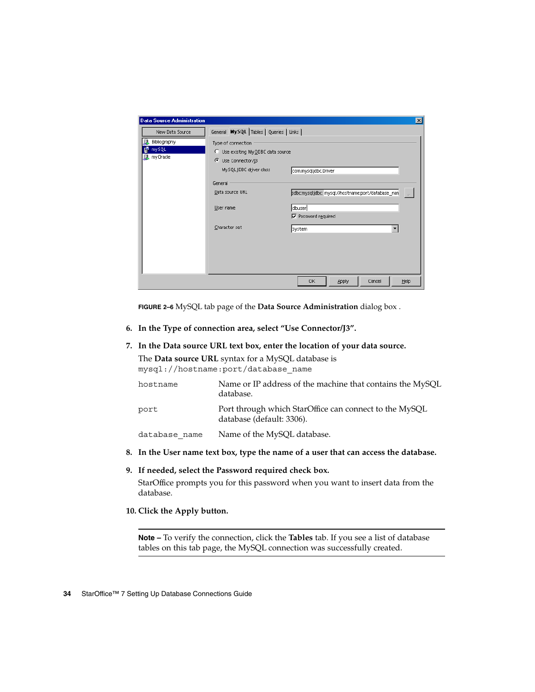| <b>Data Source Administration</b>       |                                                                                                                                                      | $\vert x \vert$                                                                        |
|-----------------------------------------|------------------------------------------------------------------------------------------------------------------------------------------------------|----------------------------------------------------------------------------------------|
| New Data Source                         | General MySQL Tables   Queries   Links                                                                                                               |                                                                                        |
| Bibliography<br>扈<br>mySQL<br>my Oracle | Type of connection<br>C Use existing MyODBC data source<br>C Use Connector/J3<br>My SQL JDBC driver class<br>General<br>Data source URL<br>User name | com.mysql.jdbc.Driver<br>sdbc:mysql;jdbc: mysql://hostname:port/database_nan<br>dbuser |
|                                         | Character set                                                                                                                                        | $\nabla$ Password required<br>System                                                   |
|                                         |                                                                                                                                                      | 0K<br>Cancel<br>$He$ lp<br><b>Apply</b>                                                |

**FIGURE 2–6** MySQL tab page of the **Data Source Administration** dialog box .

- **6. In the Type of connection area, select "Use Connector/J3".**
- **7. In the Data source URL text box, enter the location of your data source.** The **Data source URL** syntax for a MySQL database is

mysql://hostname:port/database\_name

| hostname | Name or IP address of the machine that contains the MySQL<br>database.              |
|----------|-------------------------------------------------------------------------------------|
| port     | Port through which StarOffice can connect to the MySQL<br>database (default: 3306). |

database\_name Name of the MySQL database.

- **8. In the User name text box, type the name of a user that can access the database.**
- **9. If needed, select the Password required check box.**

StarOffice prompts you for this password when you want to insert data from the database.

**10. Click the Apply button.**

**Note –** To verify the connection, click the **Tables** tab. If you see a list of database tables on this tab page, the MySQL connection was successfully created.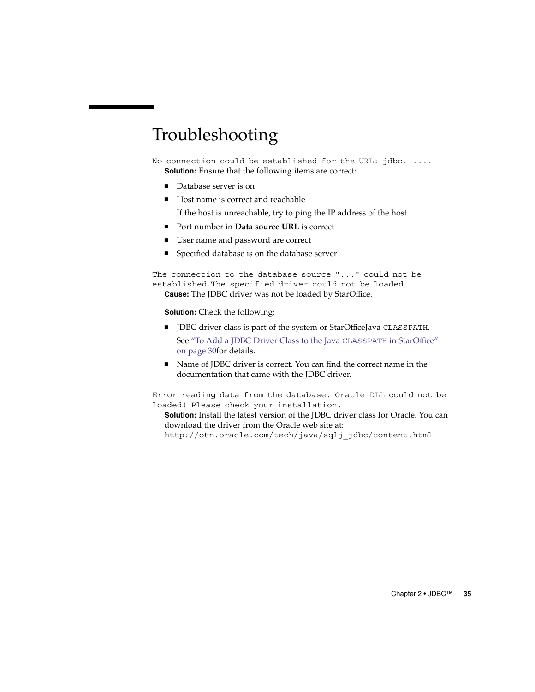## <span id="page-34-0"></span>Troubleshooting

No connection could be established for the URL: jdbc...... **Solution:** Ensure that the following items are correct:

- Database server is on
- Host name is correct and reachable
	- If the host is unreachable, try to ping the IP address of the host.
- Port number in **Data source URL** is correct
- User name and password are correct
- Specified database is on the database server

The connection to the database source "..." could not be established The specified driver could not be loaded **Cause:** The JDBC driver was not be loaded by StarOffice.

**Solution:** Check the following:

- JDBC driver class is part of the system or StarOfficeJava CLASSPATH. See ["To Add a JDBC Driver Class to the Java](#page-29-0) CLASSPATH in StarOffice" [on page 30f](#page-29-0)or details.
- Name of JDBC driver is correct. You can find the correct name in the documentation that came with the JDBC driver.

Error reading data from the database. Oracle-DLL could not be loaded! Please check your installation.

**Solution:** Install the latest version of the JDBC driver class for Oracle. You can download the driver from the Oracle web site at:

[http://otn.oracle.com/tech/java/sqlj\\_jdbc/content.html]( http://otn.oracle.com/tech/java/sqlj_jdbc/content.html)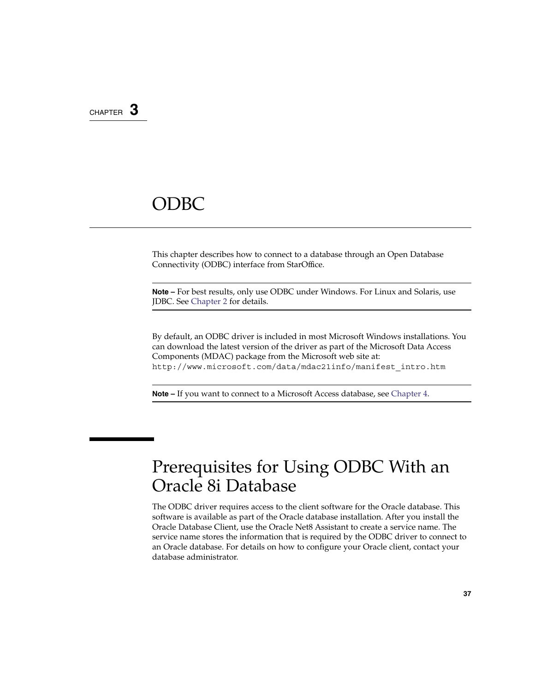## ODBC

This chapter describes how to connect to a database through an Open Database Connectivity (ODBC) interface from StarOffice.

**Note –** For best results, only use ODBC under Windows. For Linux and Solaris, use JDBC. See [Chapter 2](#page-28-0) for details.

By default, an ODBC driver is included in most Microsoft Windows installations. You can download the latest version of the driver as part of the Microsoft Data Access Components (MDAC) package from the Microsoft web site at: [http://www.microsoft.com/data/mdac21info/manifest\\_intro.htm]( http://www.microsoft.com/data/mdac21info/manifest_intro.htm)

**Note –** If you want to connect to a Microsoft Access database, see [Chapter 4.](#page-48-0)

# Prerequisites for Using ODBC With an Oracle 8i Database

The ODBC driver requires access to the client software for the Oracle database. This software is available as part of the Oracle database installation. After you install the Oracle Database Client, use the Oracle Net8 Assistant to create a service name. The service name stores the information that is required by the ODBC driver to connect to an Oracle database. For details on how to configure your Oracle client, contact your database administrator.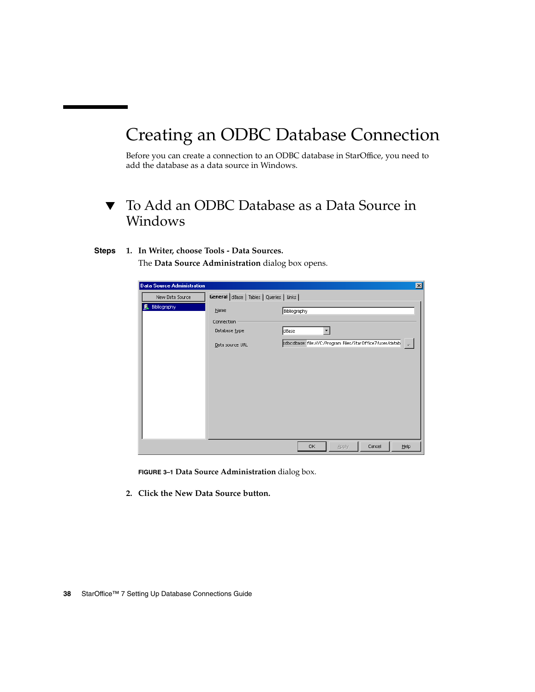# Creating an ODBC Database Connection

Before you can create a connection to an ODBC database in StarOffice, you need to add the database as a data source in Windows.

### ▼ To Add an ODBC Database as a Data Source in Windows

#### **1. In Writer, choose Tools - Data Sources. Steps**

The **Data Source Administration** dialog box opens.

| <b>Data Source Administration</b> |                                          | 図                                                                      |
|-----------------------------------|------------------------------------------|------------------------------------------------------------------------|
| New Data Source                   | General dBase   Tables   Queries   Links |                                                                        |
| Bibliography<br>E                 | $Name$                                   | Bibliography                                                           |
|                                   | Connection                               |                                                                        |
|                                   | Database type                            | dBase                                                                  |
|                                   | Data source URL                          | sdbc:dbase: file:///C:/Program Files/StarOffice7/user/datab<br>$\circ$ |
|                                   |                                          |                                                                        |
|                                   |                                          |                                                                        |
|                                   |                                          |                                                                        |
|                                   |                                          |                                                                        |
|                                   |                                          |                                                                        |
|                                   |                                          |                                                                        |
|                                   |                                          |                                                                        |
|                                   |                                          | 0K<br>Help<br>Cancel<br>Apply                                          |

**FIGURE 3–1 Data Source Administration** dialog box.

**2. Click the New Data Source button.**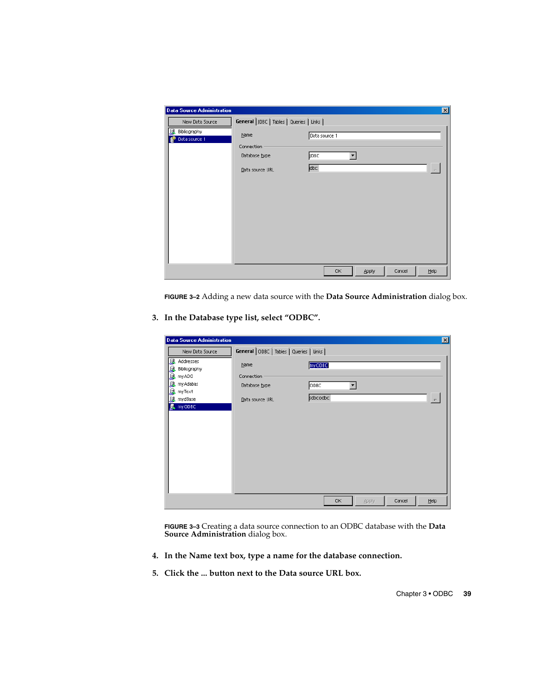| Data Source Administration          |                                           | 図                                    |
|-------------------------------------|-------------------------------------------|--------------------------------------|
| New Data Source                     | General   JDBC   Tables   Queries   Links |                                      |
| Bibliography<br>B.<br>Data source 1 | Name                                      | Data source 1                        |
|                                     | Connection<br>Database type               | јрвс                                 |
|                                     | Data source URL                           | jdbc:<br>$\vert \psi \rangle$        |
|                                     |                                           |                                      |
|                                     |                                           |                                      |
|                                     |                                           |                                      |
|                                     |                                           |                                      |
|                                     |                                           |                                      |
|                                     |                                           |                                      |
|                                     |                                           |                                      |
|                                     |                                           | 0K<br>Cancel<br>Help<br><b>Apply</b> |

**FIGURE 3–2** Adding a new data source with the **Data Source Administration** dialog box.

**3. In the Database type list, select "ODBC".**

| <b>Data Source Administration</b> |                                           | $\mathbf{z}$                       |
|-----------------------------------|-------------------------------------------|------------------------------------|
| New Data Source                   | General   ODBC   Tables   Queries   Links |                                    |
| 医急性<br>Addresses<br>Bibliography  | Name                                      | myODBC                             |
| myADO                             | Connection                                |                                    |
| j<br>my Adabas<br>j<br>myText     | Database type                             | ODBC<br>▼                          |
| <b>A</b> mydBase                  | Data source URL                           | sdbc:odbc:<br>$\mathbf{r}^{\star}$ |
| myODBC<br>E                       |                                           |                                    |
|                                   |                                           | OK<br>Cancel<br>Help<br>Apply      |

**FIGURE 3–3** Creating a data source connection to an ODBC database with the **Data Source Administration** dialog box.

- **4. In the Name text box, type a name for the database connection.**
- **5. Click the ... button next to the Data source URL box.**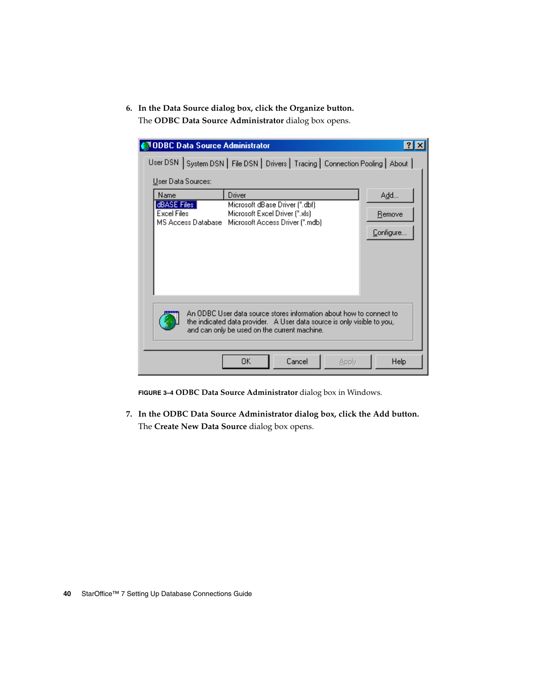**6. In the Data Source dialog box, click the Organize button.**

The **ODBC Data Source Administrator** dialog box opens.

| <b>C</b> VODBC Data Source Administrator  |                                                                                                                                                                                                                         |                            |
|-------------------------------------------|-------------------------------------------------------------------------------------------------------------------------------------------------------------------------------------------------------------------------|----------------------------|
|                                           | User DSN System DSN   File DSN   Drivers   Tracing   Connection Pooling   About                                                                                                                                         |                            |
| User Data Sources:                        |                                                                                                                                                                                                                         |                            |
| Name<br>dBASE Files<br><b>Excel Files</b> | Driver<br>Microsoft dBase Driver (".dbf)<br>Microsoft Excel Driver (".xls)<br>MS Access Database Microsoft Access Driver (".mdb)                                                                                        | Add<br>Remove<br>Configure |
|                                           | An ODBC User data source stores information about how to connect to<br>the indicated data provider. A User data source is only visible to you,<br>and can only be used on the current machine.<br>0K<br>Cancel<br>Apply | Help                       |

**FIGURE 3–4 ODBC Data Source Administrator** dialog box in Windows.

**7. In the ODBC Data Source Administrator dialog box, click the Add button.** The **Create New Data Source** dialog box opens.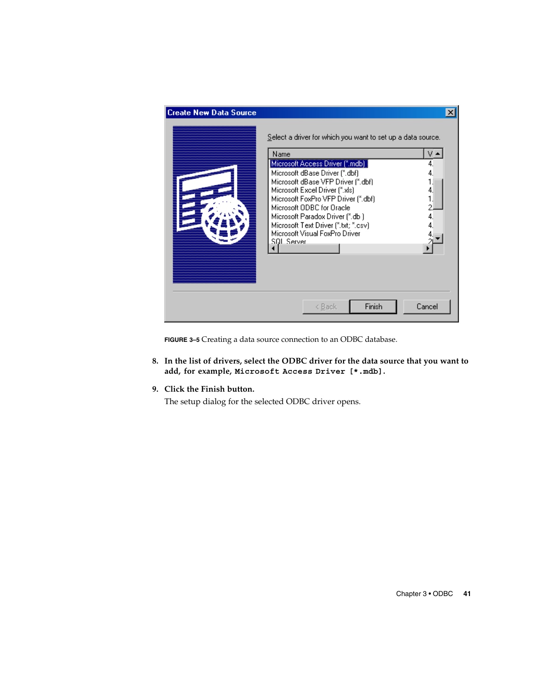| <b>Create New Data Source</b> | Select a driver for which you want to set up a data source.           |        |
|-------------------------------|-----------------------------------------------------------------------|--------|
|                               | Name                                                                  |        |
|                               | Microsoft Access Driver (".mdb)                                       |        |
|                               | Microsoft dBase Driver (".dbf)                                        |        |
|                               | Microsoft dBase VFP Driver (*.dbf)                                    |        |
|                               | Microsoft Excel Driver (*.xls)<br>Microsoft FoxPro VFP Driver (".dbf) |        |
|                               | Microsoft ODBC for Oracle                                             |        |
|                               | Microsoft Paradox Driver (".db )                                      |        |
|                               | Microsoft Text Driver (".txt; ".csv)                                  |        |
|                               | Microsoft Visual FoxPro Driver                                        |        |
|                               | SQL Server                                                            |        |
|                               |                                                                       |        |
|                               |                                                                       |        |
|                               |                                                                       |        |
|                               |                                                                       |        |
|                               | Finish<br>< Back                                                      | Cancel |

**FIGURE 3–5** Creating a data source connection to an ODBC database.

- **8. In the list of drivers, select the ODBC driver for the data source that you want to add, for example, Microsoft Access Driver [\*.mdb].**
- **9. Click the Finish button.**

The setup dialog for the selected ODBC driver opens.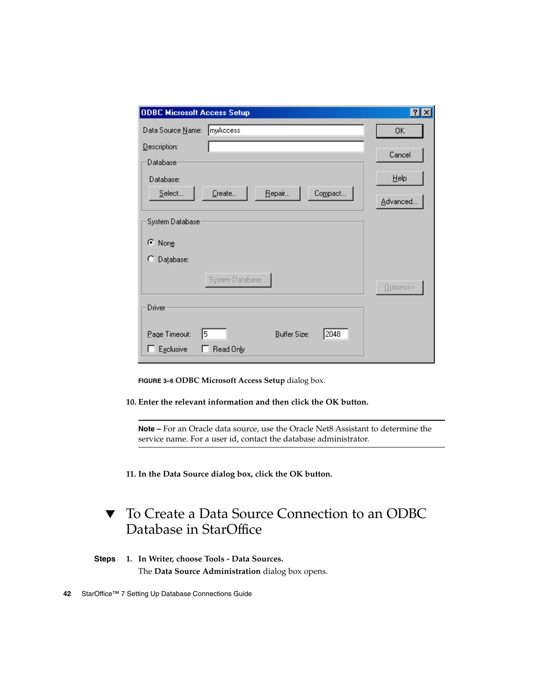| <b>ODBC Microsoft Access Setup</b>                 | $ ?  \times$ |
|----------------------------------------------------|--------------|
| Data Source Name:<br>myAccess                      | 0K           |
| Description:<br>Database                           | Cancel       |
| Database:<br>Repair<br>Compact<br>Select<br>Create | Help         |
|                                                    | Advanced     |
| System Database                                    |              |
| $\odot$ None                                       |              |
| Database:<br>n.                                    |              |
| System Database                                    | Options>>    |
| Driver                                             |              |
| 5<br>2048<br><b>Buffer Size:</b><br>Page Timeout:  |              |
| Exclusive<br>Read Only                             |              |

**FIGURE 3–6 ODBC Microsoft Access Setup** dialog box.

**10. Enter the relevant information and then click the OK button.**

**Note –** For an Oracle data source, use the Oracle Net8 Assistant to determine the service name. For a user id, contact the database administrator.

**11. In the Data Source dialog box, click the OK button.**

#### ▼ To Create a Data Source Connection to an ODBC Database in StarOffice

#### **1. In Writer, choose Tools - Data Sources. Steps** The **Data Source Administration** dialog box opens.

**42** StarOffice™ 7 Setting Up Database Connections Guide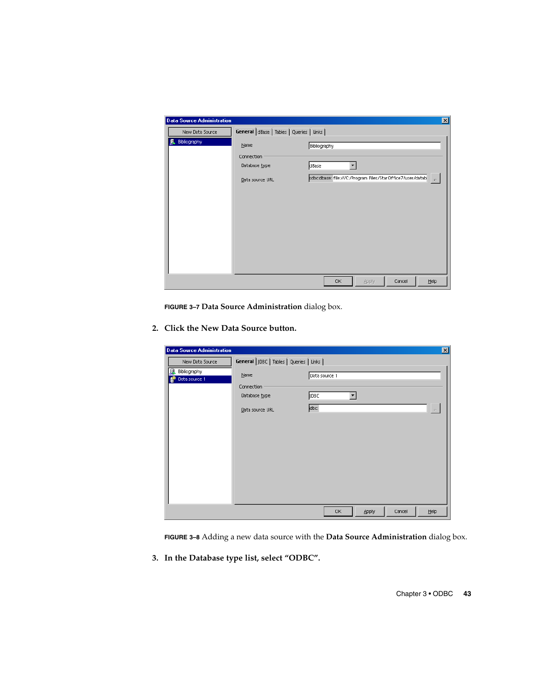| <b>Data Source Administration</b> |                                          | 図                                                                             |
|-----------------------------------|------------------------------------------|-------------------------------------------------------------------------------|
| New Data Source                   | General dBase   Tables   Queries   Links |                                                                               |
| Bibliography<br>E                 | Name                                     | Bibliography                                                                  |
|                                   | Connection                               |                                                                               |
|                                   | Database type                            | dBase                                                                         |
|                                   | Data source URL                          | sdbc:dbase: file:///C:/Program Files/StarOffice7/user/datab<br>$\mathbb{R}^2$ |
|                                   |                                          |                                                                               |
|                                   |                                          |                                                                               |
|                                   |                                          |                                                                               |
|                                   |                                          |                                                                               |
|                                   |                                          |                                                                               |
|                                   |                                          |                                                                               |
|                                   |                                          |                                                                               |
|                                   |                                          |                                                                               |
|                                   |                                          | 0K<br>Cancel<br>Help<br>Apply                                                 |

**FIGURE 3–7 Data Source Administration** dialog box.

**2. Click the New Data Source button.**

| Data Source Administration         |                                         |               |              |        | 図                      |
|------------------------------------|-----------------------------------------|---------------|--------------|--------|------------------------|
| New Data Source                    | General JDBC   Tables   Queries   Links |               |              |        |                        |
| B<br>Bibliography<br>Data source 1 | Mane                                    | Data source 1 |              |        |                        |
|                                    | Connection                              |               |              |        |                        |
|                                    | Database type                           | рвс           |              |        |                        |
|                                    | Data source URL                         | jdbc:         |              |        | $\mathcal{V}^{\prime}$ |
|                                    |                                         |               |              |        |                        |
|                                    |                                         |               |              |        |                        |
|                                    |                                         |               |              |        |                        |
|                                    |                                         |               |              |        |                        |
|                                    |                                         |               |              |        |                        |
|                                    |                                         |               |              |        |                        |
|                                    |                                         |               |              |        |                        |
|                                    |                                         |               |              |        |                        |
|                                    |                                         | 0K            | <b>Apply</b> | Cancel | Help                   |

**FIGURE 3–8** Adding a new data source with the **Data Source Administration** dialog box.

**3. In the Database type list, select "ODBC".**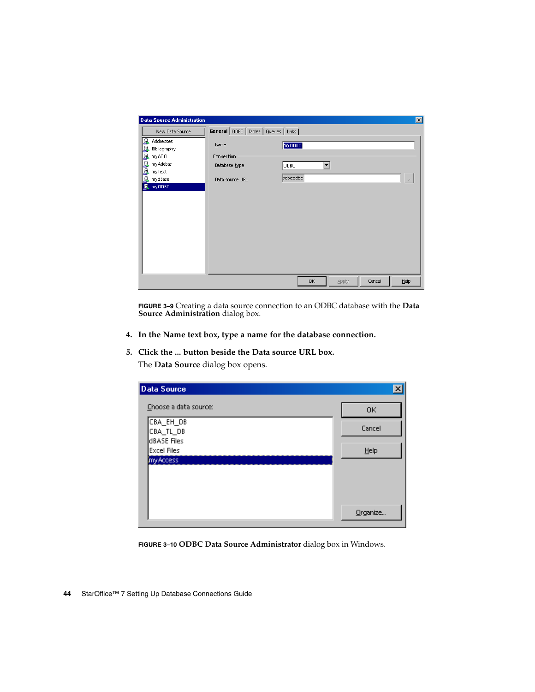| Data Source Administration                  |                                           | 図                                |
|---------------------------------------------|-------------------------------------------|----------------------------------|
| New Data Source                             | General   ODBC   Tables   Queries   Links |                                  |
| B<br>Addresses<br>B<br>Bibliography         | Name<br>Connection                        | myODBC                           |
| j<br>myADO<br>j<br>my Adabas<br>j<br>myText | Database type                             | ODBC<br>$\overline{\phantom{a}}$ |
| j<br>mydBase<br>島 myODBC                    | Data source URL                           | sdbc:odbc:<br><b>Part</b>        |
|                                             |                                           |                                  |
|                                             |                                           | OK<br>Cancel<br>Help<br>Apply    |

**FIGURE 3–9** Creating a data source connection to an ODBC database with the **Data Source Administration** dialog box.

- **4. In the Name text box, type a name for the database connection.**
- **5. Click the ... button beside the Data source URL box.**

The **Data Source** dialog box opens.

| <b>Data Source</b>                |           |
|-----------------------------------|-----------|
| Choose a data source:             | <b>OK</b> |
| CBA_EH_DB<br>CBA_TL_DB            | Cancel    |
| dBASE Files<br><b>Excel Files</b> | Help      |
| my Access                         |           |
|                                   |           |
|                                   | Organize  |

**FIGURE 3–10 ODBC Data Source Administrator** dialog box in Windows.

**44** StarOffice™ 7 Setting Up Database Connections Guide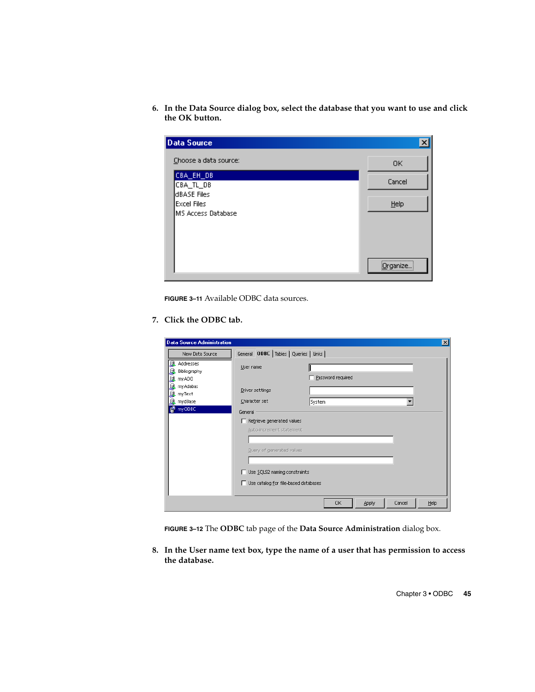<span id="page-44-0"></span>**6. In the Data Source dialog box, select the database that you want to use and click the OK button.**

| <b>Data Source</b>                                | $\times$      |
|---------------------------------------------------|---------------|
| Choose a data source:                             | <b>OK</b>     |
| CBA_EH_DB<br>CBA_TL_DB                            | Cancel        |
| dBASE Files<br>Excel Files<br>IMS Access Database | Help          |
|                                                   |               |
|                                                   |               |
|                                                   | ,<br>Organize |

**FIGURE 3–11** Available ODBC data sources.

**7. Click the ODBC tab.**

| <b>Data Source Administration</b>                                                                                    |                                                                                                                                                  |                             | $\vert x \vert$ |
|----------------------------------------------------------------------------------------------------------------------|--------------------------------------------------------------------------------------------------------------------------------------------------|-----------------------------|-----------------|
| New Data Source                                                                                                      | General ODBC Tables   Queries   Links                                                                                                            |                             |                 |
| B.<br>Addresses<br>B.<br>Bibliography<br>旦<br>myADO<br>B<br>my Adabas<br>B.<br>myText<br>ß.<br>mydBase<br>the myODBC | User name<br>Driver settings<br>Character set<br>General<br>Retrieve generated values<br>┍                                                       | Password required<br>System |                 |
|                                                                                                                      | Auto-increment statement<br>Query of generated values<br>$\Box$ Use $\Omega$ L92 naming constraints<br>Use catalog for file-based databases<br>п |                             |                 |
|                                                                                                                      |                                                                                                                                                  | OK<br>Cancel<br>Apply       | Help            |

**FIGURE 3–12** The **ODBC** tab page of the **Data Source Administration** dialog box.

**8. In the User name text box, type the name of a user that has permission to access the database.**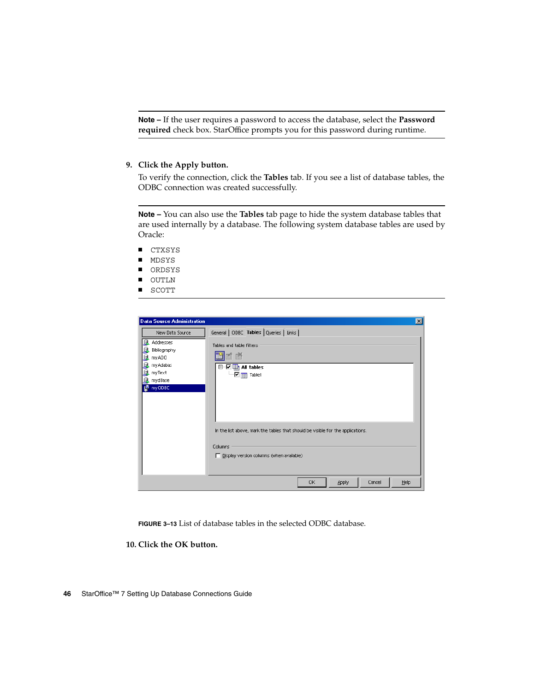**Note –** If the user requires a password to access the database, select the **Password required** check box. StarOffice prompts you for this password during runtime.

#### **9. Click the Apply button.**

To verify the connection, click the **Tables** tab. If you see a list of database tables, the ODBC connection was created successfully.

**Note –** You can also use the **Tables** tab page to hide the system database tables that are used internally by a database. The following system database tables are used by Oracle:

- CTXSYS
- MDSYS
- ORDSYS
- OUTLN
- SCOTT

| Data Source Administration                                                                                                             |                                                                                                                                                                                                                                                                                       | $\vert x \vert$ |
|----------------------------------------------------------------------------------------------------------------------------------------|---------------------------------------------------------------------------------------------------------------------------------------------------------------------------------------------------------------------------------------------------------------------------------------|-----------------|
| New Data Source<br>s<br>Addresses<br>j<br>Bibliography<br>j<br>myADO<br>B<br>my Adabas<br>B<br>myText<br><b>B</b> mydBase<br>re myODBC | General   ODBC Tables   Queries   Links  <br>Tables and table filters<br>Ee<br>H<br>嗣<br>日 回 1 Mil tables<br>$\nabla$ $\boxed{1}$ Table 1<br>In the list above, mark the tables that should be visible for the applications.<br>Columns<br>□ Display version columns (when available) |                 |
|                                                                                                                                        | 0K<br>Cancel<br>Help<br><b>Apply</b>                                                                                                                                                                                                                                                  |                 |

**FIGURE 3–13** List of database tables in the selected ODBC database.

**10. Click the OK button.**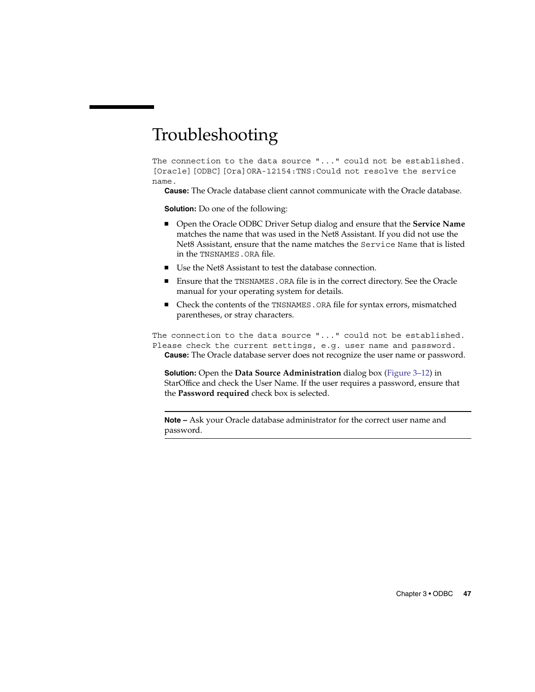# Troubleshooting

The connection to the data source "..." could not be established. [Oracle][ODBC][Ora]ORA-12154:TNS:Could not resolve the service name.

**Cause:** The Oracle database client cannot communicate with the Oracle database.

**Solution:** Do one of the following:

- Open the Oracle ODBC Driver Setup dialog and ensure that the **Service Name** matches the name that was used in the Net8 Assistant. If you did not use the Net8 Assistant, ensure that the name matches the Service Name that is listed in the TNSNAMES.ORA file.
- Use the Net8 Assistant to test the database connection.
- Ensure that the TNSNAMES . ORA file is in the correct directory. See the Oracle manual for your operating system for details.
- Check the contents of the TNSNAMES . ORA file for syntax errors, mismatched parentheses, or stray characters.

The connection to the data source "..." could not be established. Please check the current settings, e.g. user name and password. **Cause:** The Oracle database server does not recognize the user name or password.

**Solution:** Open the **Data Source Administration** dialog box [\(Figure 3–12\)](#page-44-0) in StarOffice and check the User Name. If the user requires a password, ensure that the **Password required** check box is selected.

**Note –** Ask your Oracle database administrator for the correct user name and password.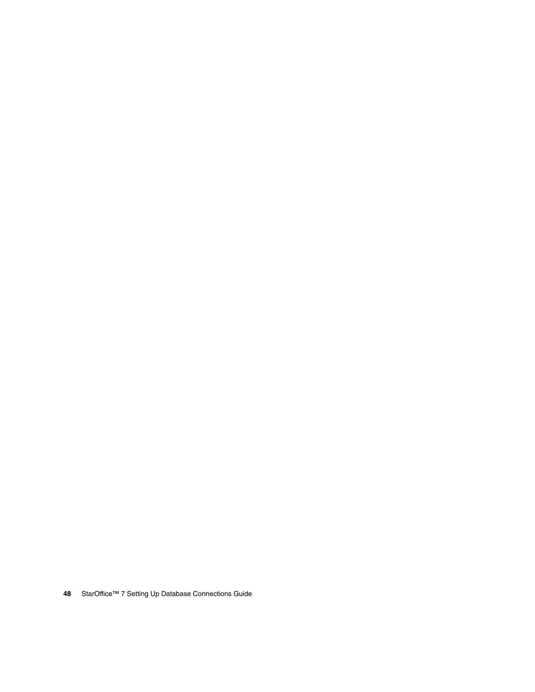StarOffice™ 7 Setting Up Database Connections Guide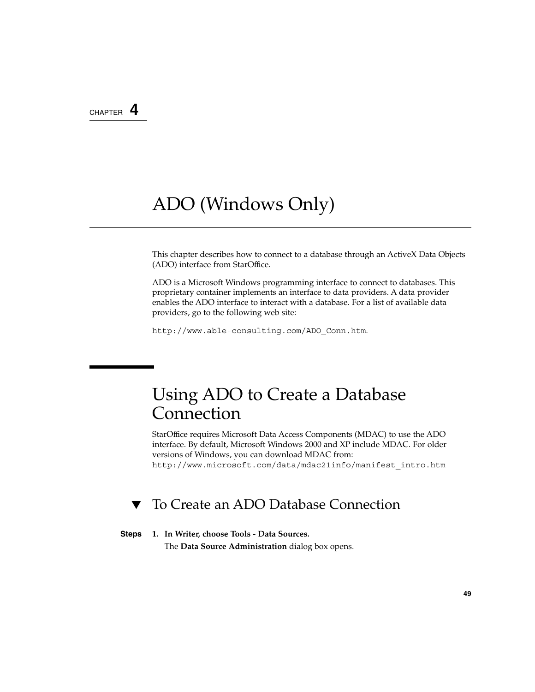# <span id="page-48-0"></span>ADO (Windows Only)

This chapter describes how to connect to a database through an ActiveX Data Objects (ADO) interface from StarOffice.

ADO is a Microsoft Windows programming interface to connect to databases. This proprietary container implements an interface to data providers. A data provider enables the ADO interface to interact with a database. For a list of available data providers, go to the following web site:

[http://www.able-consulting.com/ADO\\_Conn.htm](http://www.able-consulting.com/ADO_Conn.htm).

# Using ADO to Create a Database Connection

StarOffice requires Microsoft Data Access Components (MDAC) to use the ADO interface. By default, Microsoft Windows 2000 and XP include MDAC. For older versions of Windows, you can download MDAC from: [http://www.microsoft.com/data/mdac21info/manifest\\_intro.htm](http://www.microsoft.com/data/mdac21info/manifest_intro.htm)

#### ▼ To Create an ADO Database Connection

#### **1. In Writer, choose Tools - Data Sources.** The **Data Source Administration** dialog box opens. **Steps**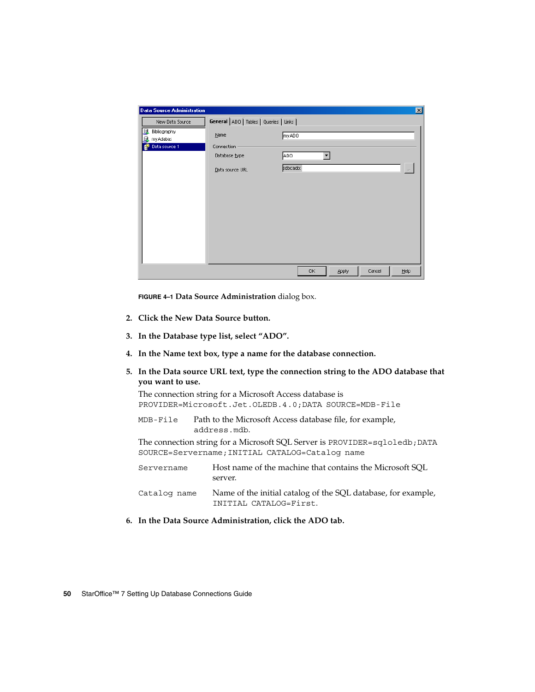| <b>Data Source Administration</b>   |                                        | $\vert x \vert$                      |
|-------------------------------------|----------------------------------------|--------------------------------------|
| New Data Source                     | General ADO   Tables   Queries   Links |                                      |
| B<br>Bibliography<br>B<br>my Adabas | $Name$                                 | myADO                                |
| Data source 1                       | Connection<br>Database type            | ado                                  |
|                                     | Data source URL                        | sdbc:ado:<br>$\sim$                  |
|                                     |                                        |                                      |
|                                     |                                        |                                      |
|                                     |                                        |                                      |
|                                     |                                        |                                      |
|                                     |                                        |                                      |
|                                     |                                        | 0K<br><b>Apply</b><br>Cancel<br>Help |

**FIGURE 4–1 Data Source Administration** dialog box.

- **2. Click the New Data Source button.**
- **3. In the Database type list, select "ADO".**
- **4. In the Name text box, type a name for the database connection.**
- **5. In the Data source URL text, type the connection string to the ADO database that you want to use.**

The connection string for a Microsoft Access database is PROVIDER=Microsoft.Jet.OLEDB.4.0;DATA SOURCE=MDB-File

MDB-File Path to the Microsoft Access database file, for example, address.mdb.

The connection string for a Microsoft SQL Server is PROVIDER=sqloledb;DATA SOURCE=Servername;INITIAL CATALOG=Catalog name

| Servername   | Host name of the machine that contains the Microsoft SOL<br>server.                     |
|--------------|-----------------------------------------------------------------------------------------|
| Catalog name | Name of the initial catalog of the SQL database, for example,<br>INITIAL CATALOG=First. |

**6. In the Data Source Administration, click the ADO tab.**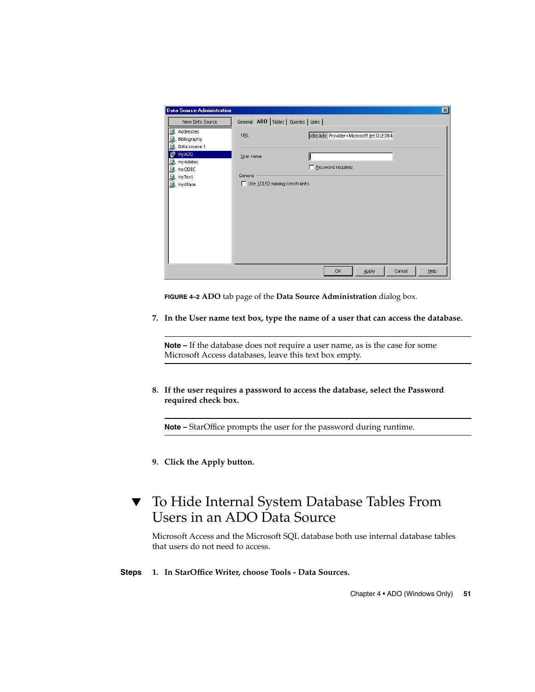

**FIGURE 4–2 ADO** tab page of the **Data Source Administration** dialog box.

**7. In the User name text box, type the name of a user that can access the database.**

**Note –** If the database does not require a user name, as is the case for some Microsoft Access databases, leave this text box empty.

**8. If the user requires a password to access the database, select the Password required check box.**

**Note –** StarOffice prompts the user for the password during runtime.

**9. Click the Apply button.**

### To Hide Internal System Database Tables From Users in an ADO Data Source

Microsoft Access and the Microsoft SQL database both use internal database tables that users do not need to access.

**Steps 1. In StarOffice Writer, choose Tools - Data Sources.**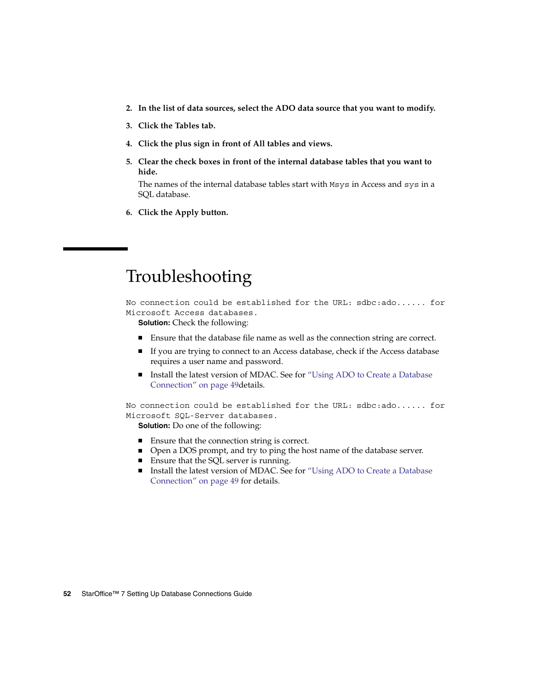- **2. In the list of data sources, select the ADO data source that you want to modify.**
- **3. Click the Tables tab.**
- **4. Click the plus sign in front of All tables and views.**
- **5. Clear the check boxes in front of the internal database tables that you want to hide.**

The names of the internal database tables start with Msys in Access and sys in a SQL database.

**6. Click the Apply button.**

# Troubleshooting

No connection could be established for the URL: sdbc:ado...... for Microsoft Access databases.

**Solution:** Check the following:

- Ensure that the database file name as well as the connection string are correct.
- If you are trying to connect to an Access database, check if the Access database requires a user name and password.
- Install the latest version of MDAC. See for ["Using ADO to Create a Database](#page-48-0) [Connection"](#page-48-0) on page 49details.

No connection could be established for the URL: sdbc:ado...... for Microsoft SQL-Server databases. **Solution:** Do one of the following:

- Ensure that the connection string is correct.
- Open a DOS prompt, and try to ping the host name of the database server.
- Ensure that the SQL server is running.
- Install the latest version of MDAC. See for ["Using ADO to Create a Database](#page-48-0) [Connection"](#page-48-0) on page 49 for details.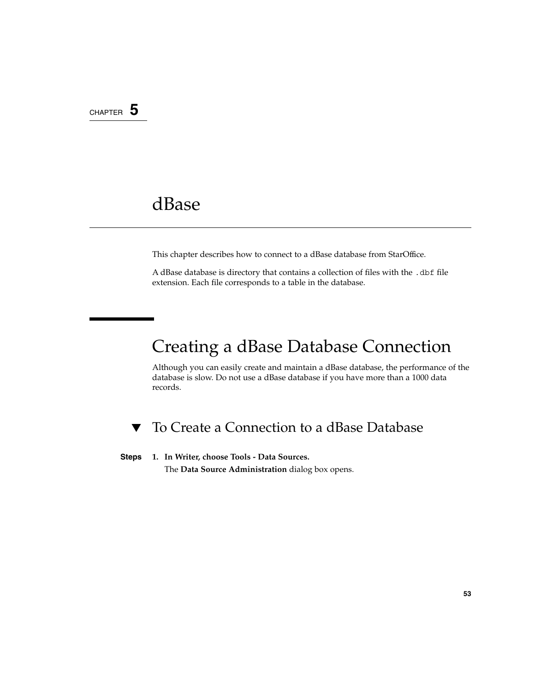# <span id="page-52-0"></span>dBase

This chapter describes how to connect to a dBase database from StarOffice.

A dBase database is directory that contains a collection of files with the .dbf file extension. Each file corresponds to a table in the database.

# Creating a dBase Database Connection

Although you can easily create and maintain a dBase database, the performance of the database is slow. Do not use a dBase database if you have more than a 1000 data records.



**1. In Writer, choose Tools - Data Sources.** The **Data Source Administration** dialog box opens. **Steps**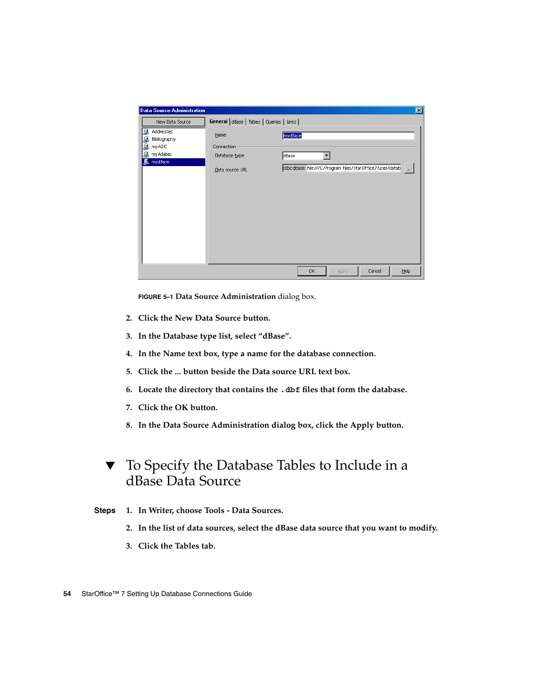| <b>Data Source Administration</b>   |                                          | $\vert x \vert$                                                               |
|-------------------------------------|------------------------------------------|-------------------------------------------------------------------------------|
| New Data Source                     | General dBase   Tables   Queries   Links |                                                                               |
| s<br>Addresses<br>j<br>Bibliography | $Name$                                   | mydBase                                                                       |
| B<br>my ADO                         | Connection                               |                                                                               |
| ₿<br>my Adabas                      | Database type                            | dBase                                                                         |
| mydBase<br>E                        | Data source URL                          | sdbc:dbase: file:///C:/Program Files/StarOffice7/user/datab<br>$\mathbb{R}^2$ |
|                                     |                                          | OK<br>Cancel<br>Help<br>Apply                                                 |

**FIGURE 5–1 Data Source Administration** dialog box.

- **2. Click the New Data Source button.**
- **3. In the Database type list, select "dBase".**
- **4. In the Name text box, type a name for the database connection.**
- **5. Click the ... button beside the Data source URL text box.**
- **6. Locate the directory that contains the .dbf files that form the database.**
- **7. Click the OK button.**
- **8. In the Data Source Administration dialog box, click the Apply button.**

### ▼ To Specify the Database Tables to Include in a dBase Data Source

- **1. In Writer, choose Tools Data Sources. Steps**
	- **2. In the list of data sources, select the dBase data source that you want to modify.**
	- **3. Click the Tables tab.**
- **54** StarOffice™ 7 Setting Up Database Connections Guide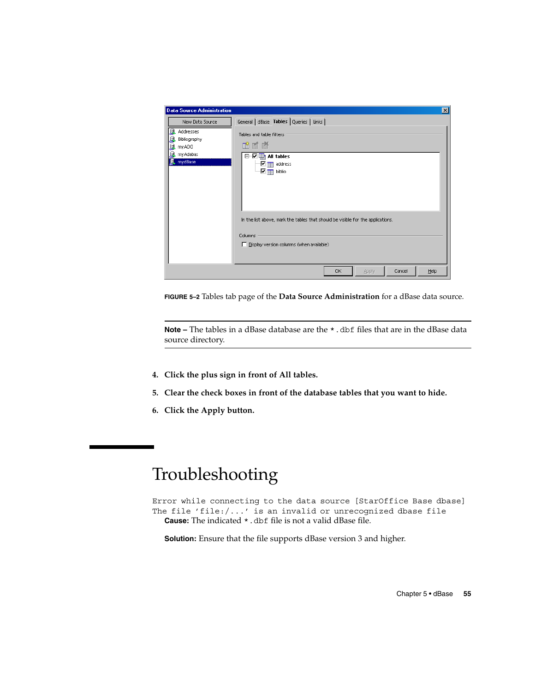| <b>Data Source Administration</b>                                                                 |                                                                                                                                                                                                                                                                                                                                               | $\vert x \vert$ |
|---------------------------------------------------------------------------------------------------|-----------------------------------------------------------------------------------------------------------------------------------------------------------------------------------------------------------------------------------------------------------------------------------------------------------------------------------------------|-----------------|
| New Data Source<br>e<br>Addresses<br>8<br>Bibliography<br>B<br>myADO<br>凰<br>my Adabas<br>mydBase | General   dBase Tables   Queries   Links  <br>Tables and table filters<br><b>THE REAL</b><br>日 区 鼎 All tables<br>$\boxed{\blacksquare}$ address<br>$\overline{\mathbf{v}}$ $_{\text{eff}}$ biblio<br>In the list above, mark the tables that should be visible for the applications.<br>Columns<br>□ Display version columns (when available) |                 |
|                                                                                                   | 0K<br>Cancel<br>Help<br><b>Apply</b>                                                                                                                                                                                                                                                                                                          |                 |

**FIGURE 5–2** Tables tab page of the **Data Source Administration** for a dBase data source.

**Note –** The tables in a dBase database are the \*.dbf files that are in the dBase data source directory.

- **4. Click the plus sign in front of All tables.**
- **5. Clear the check boxes in front of the database tables that you want to hide.**
- **6. Click the Apply button.**

# Troubleshooting

Error while connecting to the data source [StarOffice Base dbase] The file 'file:/...' is an invalid or unrecognized dbase file **Cause:** The indicated \*.dbf file is not a valid dBase file.

**Solution:** Ensure that the file supports dBase version 3 and higher.

Chapter 5 • dBase **55**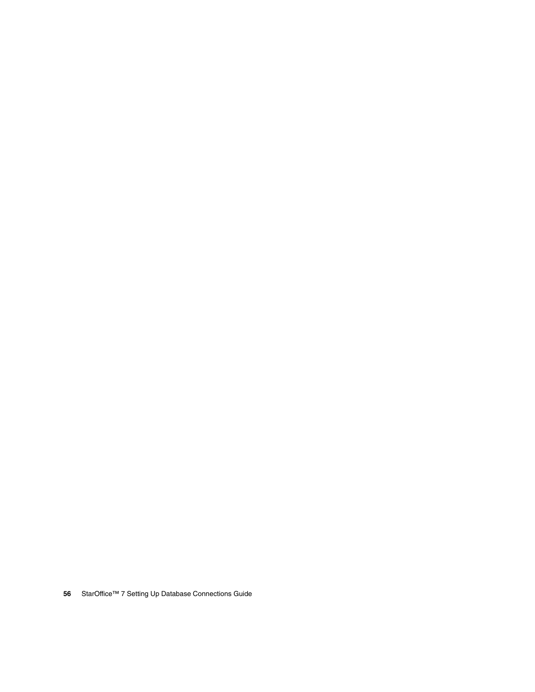StarOffice™ 7 Setting Up Database Connections Guide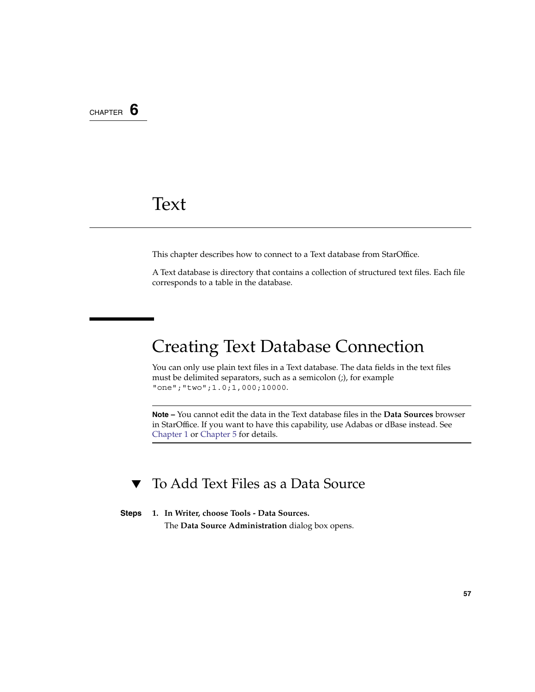## Text

This chapter describes how to connect to a Text database from StarOffice.

A Text database is directory that contains a collection of structured text files. Each file corresponds to a table in the database.

# Creating Text Database Connection

You can only use plain text files in a Text database. The data fields in the text files must be delimited separators, such as a semicolon (;), for example "one";"two";1.0;1,000;10000.

**Note –** You cannot edit the data in the Text database files in the **Data Sources** browser in StarOffice. If you want to have this capability, use Adabas or dBase instead. See [Chapter 1](#page-16-0) or [Chapter 5](#page-52-0) for details.

### To Add Text Files as a Data Source

**1. In Writer, choose Tools - Data Sources.** The **Data Source Administration** dialog box opens. **Steps**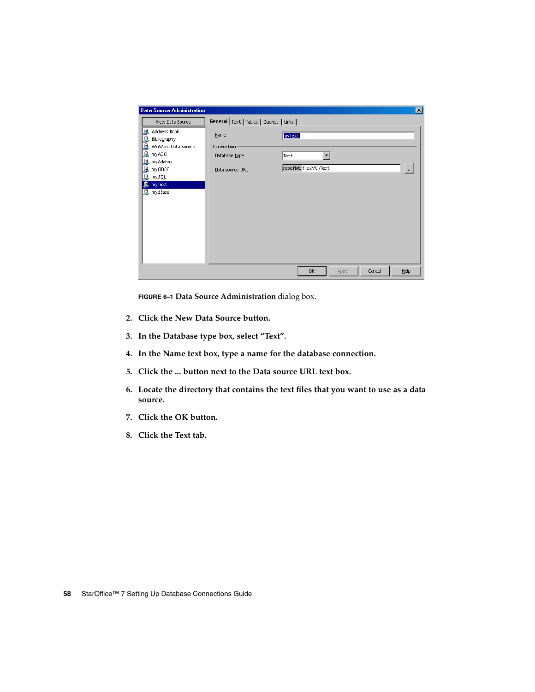

**FIGURE 6–1 Data Source Administration** dialog box.

- **2. Click the New Data Source button.**
- **3. In the Database type box, select "Text".**
- **4. In the Name text box, type a name for the database connection.**
- **5. Click the ... button next to the Data source URL text box.**
- **6. Locate the directory that contains the text files that you want to use as a data source.**
- **7. Click the OK button.**
- **8. Click the Text tab.**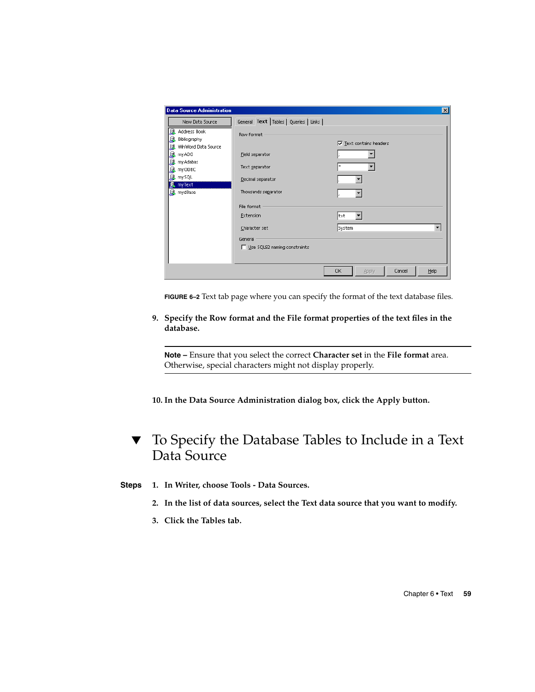| <b>Data Source Administration</b>                                                                                                                             |                                                                                                                                                                                     | $\vert x \vert$                                                 |
|---------------------------------------------------------------------------------------------------------------------------------------------------------------|-------------------------------------------------------------------------------------------------------------------------------------------------------------------------------------|-----------------------------------------------------------------|
| New Data Source                                                                                                                                               | General Text   Tables   Queries   Links                                                                                                                                             |                                                                 |
| Address Book<br>B.<br>Bibliography<br>L<br>WinWord Data Source<br>g<br>myADO<br>B<br>my Adabas<br><b>B</b> myODBC<br><b>R</b> mySQL<br>myText<br>mydBase<br>旦 | Row format<br>Field separator<br>Text separator<br>Decimal separator<br>Thousands separator<br>File format<br>Extension<br>Character set<br>General<br>Use SQL92 naming constraints | $\nabla$ Text contains headers<br>$\mathbf{u}$<br>txt<br>System |
|                                                                                                                                                               |                                                                                                                                                                                     | OK<br>Cancel<br>Help<br>Apply                                   |

**FIGURE 6–2** Text tab page where you can specify the format of the text database files.

**9. Specify the Row format and the File format properties of the text files in the database.**

**Note –** Ensure that you select the correct **Character set** in the **File format** area. Otherwise, special characters might not display properly.

**10. In the Data Source Administration dialog box, click the Apply button.**

#### ▼ To Specify the Database Tables to Include in a Text Data Source

- **1. In Writer, choose Tools Data Sources. Steps**
	- **2. In the list of data sources, select the Text data source that you want to modify.**
	- **3. Click the Tables tab.**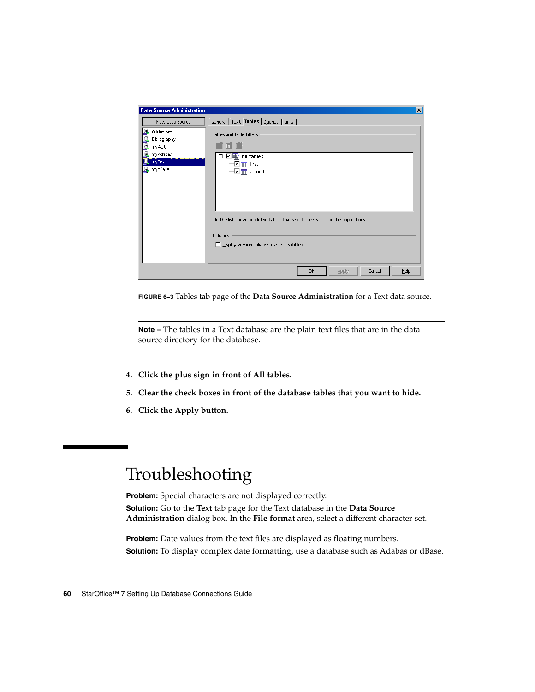| <b>Data Source Administration</b>                                                                  |                                                                                                                                                                                                                                                                              | $\vert x \vert$ |
|----------------------------------------------------------------------------------------------------|------------------------------------------------------------------------------------------------------------------------------------------------------------------------------------------------------------------------------------------------------------------------------|-----------------|
| New Data Source                                                                                    | General   Text   Tables   Queries   Links                                                                                                                                                                                                                                    |                 |
| B.<br>Addresses<br>s<br>Bibliography<br>B<br>myADO<br><b>B</b> my Adabas<br>myText<br>凰<br>mydBase | Tables and table filters<br><b>Ed Ed Ed</b><br>日 回 1 Mil tables<br>$\boxdot$ $_{\boxdot}$ first<br>$\boxed{\blacksquare}$ second<br>In the list above, mark the tables that should be visible for the applications.<br>Columns<br>□ Display version columns (when available) |                 |
|                                                                                                    | 0K<br>Help<br><b>Apply</b><br>Cancel                                                                                                                                                                                                                                         |                 |

**FIGURE 6–3** Tables tab page of the **Data Source Administration** for a Text data source.

**Note –** The tables in a Text database are the plain text files that are in the data source directory for the database.

- **4. Click the plus sign in front of All tables.**
- **5. Clear the check boxes in front of the database tables that you want to hide.**
- **6. Click the Apply button.**

# Troubleshooting

**Problem:** Special characters are not displayed correctly. **Solution:** Go to the **Text** tab page for the Text database in the **Data Source Administration** dialog box. In the **File format** area, select a different character set.

**Problem:** Date values from the text files are displayed as floating numbers. **Solution:** To display complex date formatting, use a database such as Adabas or dBase.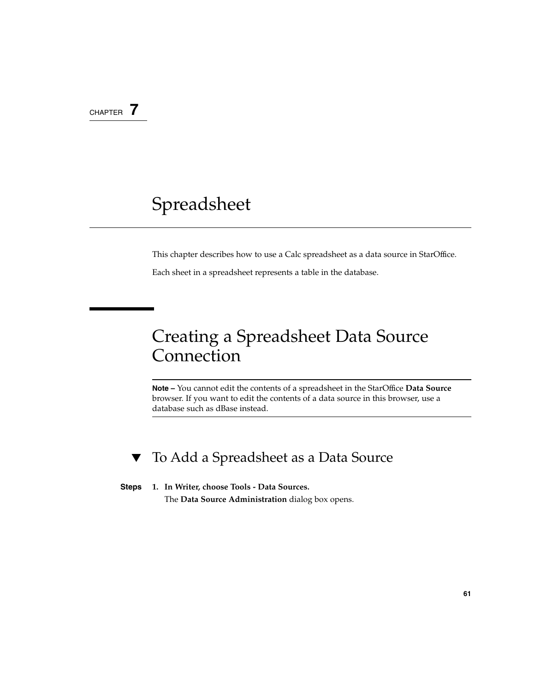# Spreadsheet

This chapter describes how to use a Calc spreadsheet as a data source in StarOffice. Each sheet in a spreadsheet represents a table in the database.

# Creating a Spreadsheet Data Source Connection

**Note –** You cannot edit the contents of a spreadsheet in the StarOffice **Data Source** browser. If you want to edit the contents of a data source in this browser, use a database such as dBase instead.

#### ▼ To Add a Spreadsheet as a Data Source

**1. In Writer, choose Tools - Data Sources.** The **Data Source Administration** dialog box opens. **Steps**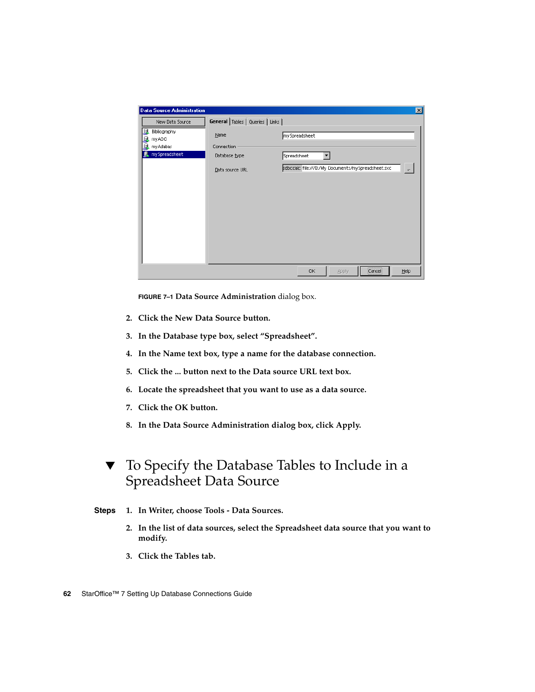| <b>Data Source Administration</b> |                                  | 図                                                         |
|-----------------------------------|----------------------------------|-----------------------------------------------------------|
| New Data Source                   | General Tables   Queries   Links |                                                           |
| s<br>Bibliography<br>J<br>myADO   | $Name$                           | my Spreadsheet                                            |
| j<br>my Adabas                    | Connection                       |                                                           |
| my Spreadsheet<br>티               | Database type                    | Spreadsheet                                               |
|                                   | Data source URL                  | sdbc:calc: file:///D:/My Documents/mySpreadsheet.sxc<br>Ð |
|                                   |                                  |                                                           |
|                                   |                                  |                                                           |
|                                   |                                  |                                                           |
|                                   |                                  |                                                           |
|                                   |                                  |                                                           |
|                                   |                                  |                                                           |
|                                   |                                  |                                                           |
|                                   |                                  | 0K<br>Help<br>Cancel<br>Apply                             |

**FIGURE 7–1 Data Source Administration** dialog box.

- **2. Click the New Data Source button.**
- **3. In the Database type box, select "Spreadsheet".**
- **4. In the Name text box, type a name for the database connection.**
- **5. Click the ... button next to the Data source URL text box.**
- **6. Locate the spreadsheet that you want to use as a data source.**
- **7. Click the OK button.**
- **8. In the Data Source Administration dialog box, click Apply.**

### ▼ To Specify the Database Tables to Include in a Spreadsheet Data Source

- **1. In Writer, choose Tools Data Sources. Steps**
	- **2. In the list of data sources, select the Spreadsheet data source that you want to modify.**
	- **3. Click the Tables tab.**
- **62** StarOffice™ 7 Setting Up Database Connections Guide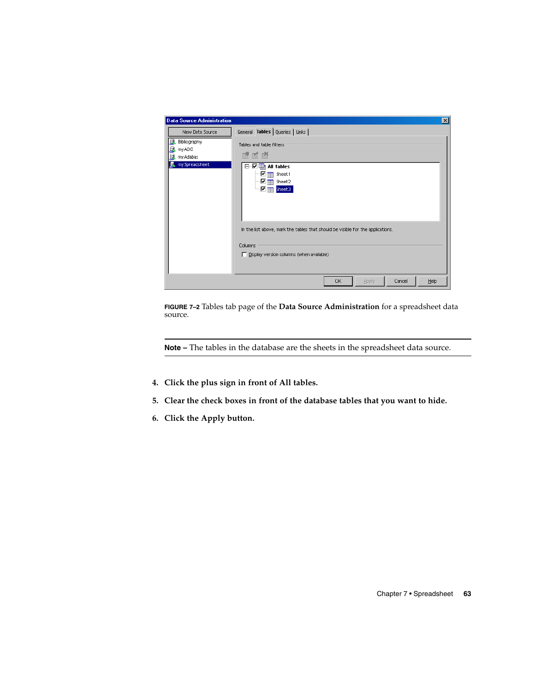| <b>Data Source Administration</b>                                                            |                                                                                                                                                                                                                                                                                                                                                      | $\vert x \vert$ |
|----------------------------------------------------------------------------------------------|------------------------------------------------------------------------------------------------------------------------------------------------------------------------------------------------------------------------------------------------------------------------------------------------------------------------------------------------------|-----------------|
| New Data Source<br>B<br>Bibliography<br>B.<br>myADO<br>e<br>my Adabas<br>my Spreadsheet<br>E | General Tables Queries   Links  <br>Tables and table filters<br><b>Ber Ed Eer</b><br>日 回 1 4 All tables<br>$\nabla$ $\boxed{1}$ Sheet1<br>$\boxed{\blacksquare}$ Sheet2<br>$\n  z$ $\overline{z}$ Sheet3<br>In the list above, mark the tables that should be visible for the applications.<br>Columns<br>□ Display version columns (when available) |                 |
|                                                                                              | 0K<br>Cancel<br>Help<br>Apply                                                                                                                                                                                                                                                                                                                        |                 |

**FIGURE 7–2** Tables tab page of the **Data Source Administration** for a spreadsheet data source.

**Note –** The tables in the database are the sheets in the spreadsheet data source.

- **4. Click the plus sign in front of All tables.**
- **5. Clear the check boxes in front of the database tables that you want to hide.**
- **6. Click the Apply button.**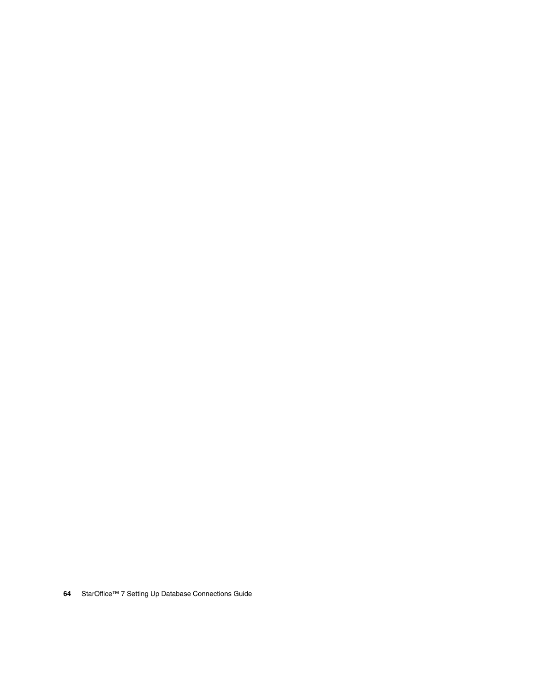StarOffice™ 7 Setting Up Database Connections Guide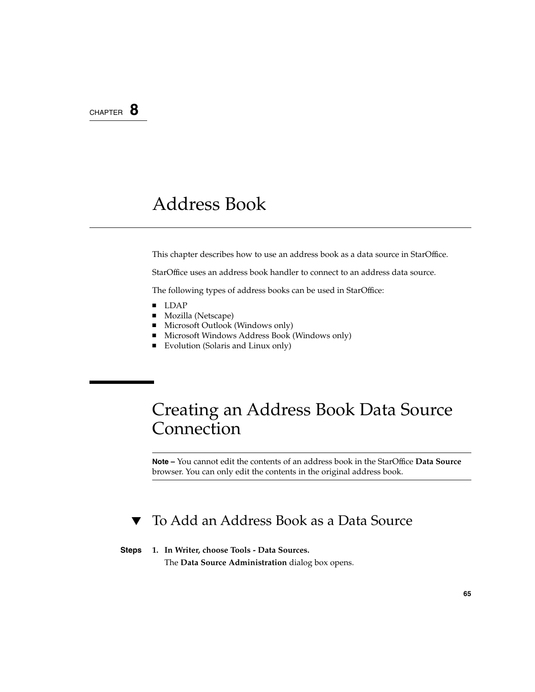# Address Book

This chapter describes how to use an address book as a data source in StarOffice.

StarOffice uses an address book handler to connect to an address data source.

The following types of address books can be used in StarOffice:

- LDAP
- Mozilla (Netscape)
- Microsoft Outlook (Windows only)
- Microsoft Windows Address Book (Windows only)
- Evolution (Solaris and Linux only)

# Creating an Address Book Data Source Connection

**Note –** You cannot edit the contents of an address book in the StarOffice **Data Source** browser. You can only edit the contents in the original address book.

#### To Add an Address Book as a Data Source

**1. In Writer, choose Tools - Data Sources.** The **Data Source Administration** dialog box opens. **Steps**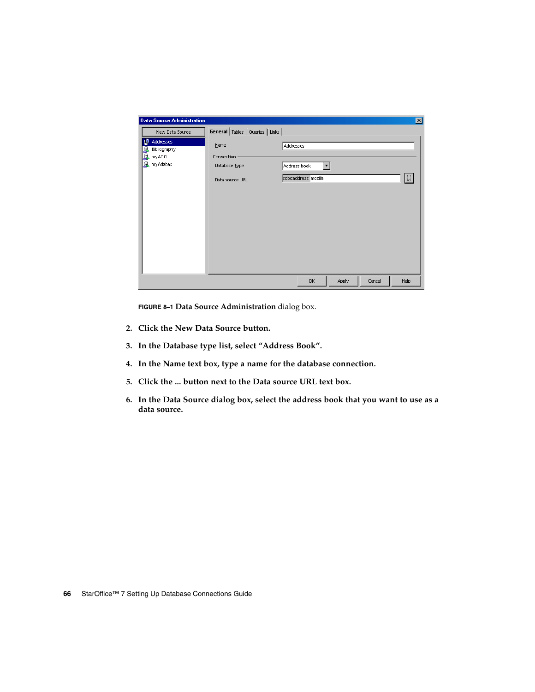| Data Source Administration                                           |                                                          |                                                         |       |        | $\mathbf{z}$ |
|----------------------------------------------------------------------|----------------------------------------------------------|---------------------------------------------------------|-------|--------|--------------|
| New Data Source                                                      | General Tables   Queries   Links                         |                                                         |       |        |              |
| g<br>Addresses<br>e<br>Bibliography<br>g<br>my ADO<br>B<br>my Adabas | $Name$<br>Connection<br>Database type<br>Data source URL | Addresses<br>Address book<br>▼<br>sdbc:address: mozilla |       |        | $\Box$       |
|                                                                      |                                                          | 0K                                                      | Apply | Cancel | Help         |

**FIGURE 8–1 Data Source Administration** dialog box.

- **2. Click the New Data Source button.**
- **3. In the Database type list, select "Address Book".**
- **4. In the Name text box, type a name for the database connection.**
- **5. Click the ... button next to the Data source URL text box.**
- **6. In the Data Source dialog box, select the address book that you want to use as a data source.**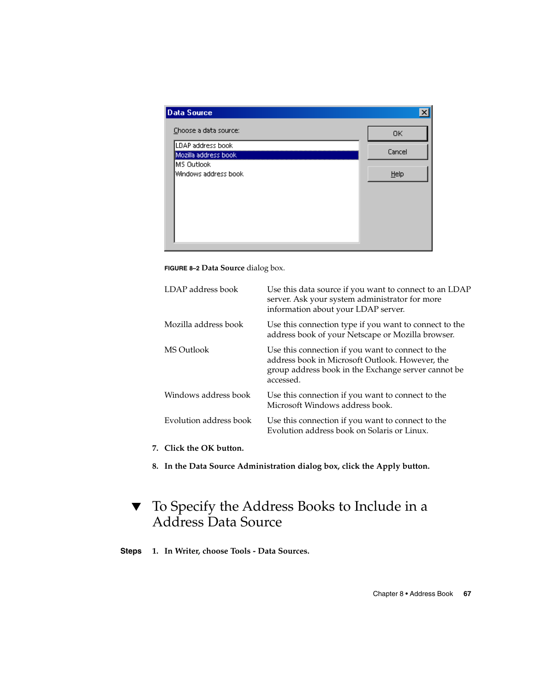| <b>Data Source</b>                        |           |
|-------------------------------------------|-----------|
| Choose a data source:                     | <b>OK</b> |
| LDAP address book<br>Mozilla address book | Cancel    |
| IMS Outlook<br>Windows address book       | Help      |
|                                           |           |
|                                           |           |
|                                           |           |

**FIGURE 8–2 Data Source** dialog box.

| LDAP address book      | Use this data source if you want to connect to an LDAP<br>server. Ask your system administrator for more<br>information about your LDAP server.                          |
|------------------------|--------------------------------------------------------------------------------------------------------------------------------------------------------------------------|
| Mozilla address book   | Use this connection type if you want to connect to the<br>address book of your Netscape or Mozilla browser.                                                              |
| MS Outlook             | Use this connection if you want to connect to the<br>address book in Microsoft Outlook. However, the<br>group address book in the Exchange server cannot be<br>accessed. |
| Windows address book   | Use this connection if you want to connect to the<br>Microsoft Windows address book.                                                                                     |
| Evolution address book | Use this connection if you want to connect to the<br>Evolution address book on Solaris or Linux.                                                                         |

- **7. Click the OK button.**
- **8. In the Data Source Administration dialog box, click the Apply button.**

### ▼ To Specify the Address Books to Include in a Address Data Source

**Steps 1. In Writer, choose Tools - Data Sources.**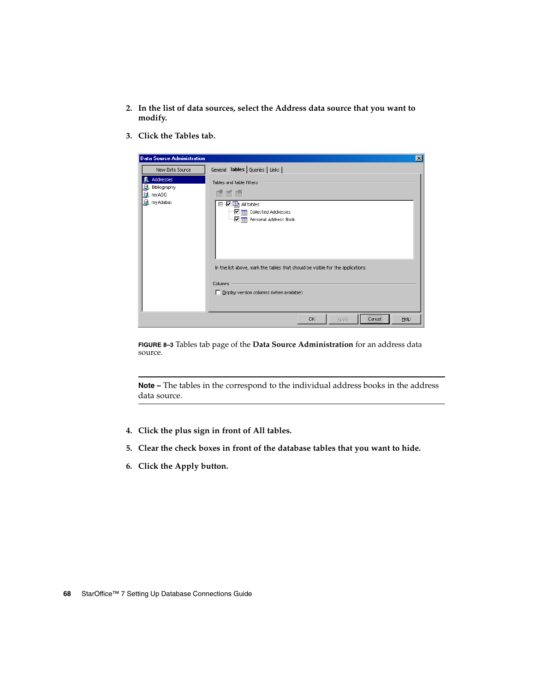- **2. In the list of data sources, select the Address data source that you want to modify.**
- **3. Click the Tables tab.**

| Data Source Administration                                                         |                                                                                                                                                                                                                                                                                                                                  | $\vert x \vert$ |
|------------------------------------------------------------------------------------|----------------------------------------------------------------------------------------------------------------------------------------------------------------------------------------------------------------------------------------------------------------------------------------------------------------------------------|-----------------|
| New Data Source<br>Addresses<br>Bibliography<br>凰<br>e<br>my ADO<br>且<br>my Adabas | General Tables Queries   Links  <br>Tables and table filters<br><b>But Bel Bel</b><br>日 M hall All tables<br>$\boxed{\blacksquare}$ Collected Addresses<br>D F Personal Address Book<br>In the list above, mark the tables that should be visible for the applications.<br>Columns<br>□ Display version columns (when available) |                 |
|                                                                                    | OK.<br>Help<br><b>Apply</b><br>Cancel:                                                                                                                                                                                                                                                                                           |                 |

**FIGURE 8–3** Tables tab page of the **Data Source Administration** for an address data source.

**Note –** The tables in the correspond to the individual address books in the address data source.

- **4. Click the plus sign in front of All tables.**
- **5. Clear the check boxes in front of the database tables that you want to hide.**
- **6. Click the Apply button.**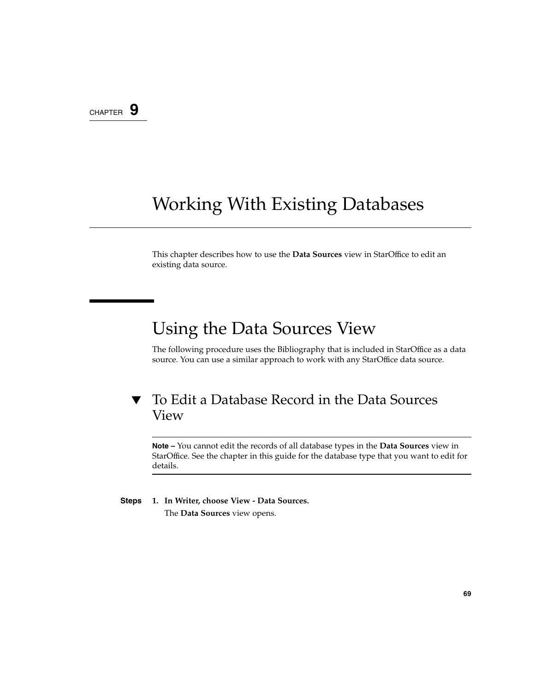# Working With Existing Databases

This chapter describes how to use the **Data Sources** view in StarOffice to edit an existing data source.

## Using the Data Sources View

The following procedure uses the Bibliography that is included in StarOffice as a data source. You can use a similar approach to work with any StarOffice data source.

#### To Edit a Database Record in the Data Sources View

**Note –** You cannot edit the records of all database types in the **Data Sources** view in StarOffice. See the chapter in this guide for the database type that you want to edit for details.

**1. In Writer, choose View - Data Sources.** The **Data Sources** view opens. **Steps**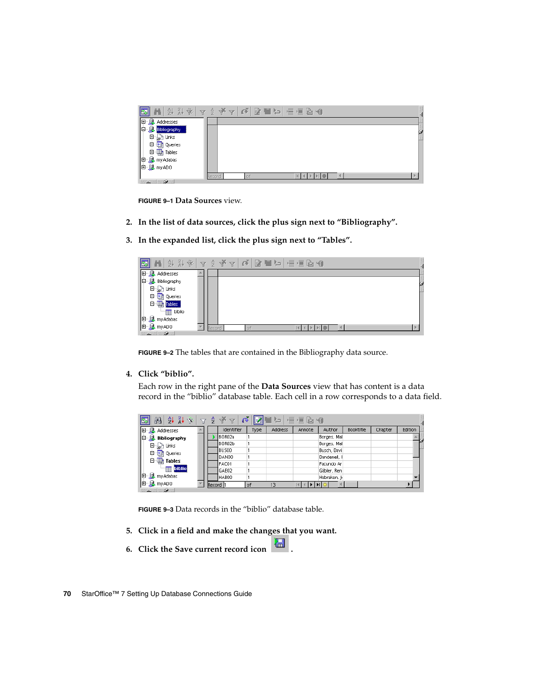|                          |              | зł |
|--------------------------|--------------|----|
| Ιœ<br>屋<br>Addresses     |              |    |
| 扈<br>18<br>Bibliography  |              | Θ  |
| 甲品 Unks                  |              |    |
| 田 Hall Queries           |              |    |
| 由 朝 Tables               |              |    |
| þ<br><b>B</b> my Adabas  |              |    |
| 由息 myADO                 |              |    |
| see or selling after all | Record<br>of |    |

**FIGURE 9–1 Data Sources** view.

- **2. In the list of data sources, click the plus sign next to "Bibliography".**
- **3. In the expanded list, click the plus sign next to "Tables".**



**FIGURE 9–2** The tables that are contained in the Bibliography data source.

**4. Click "biblio".**

Each row in the right pane of the **Data Sources** view that has content is a data record in the "biblio" database table. Each cell in a row corresponds to a data field.

| 船 a a<br>囫                                |        | <b>Y A Y</b> Y    | $\sigma$<br>$\mathbb{R}$ | ■▷▏를 들입 ◀      |        |              |           |         |         | 丽 |
|-------------------------------------------|--------|-------------------|--------------------------|----------------|--------|--------------|-----------|---------|---------|---|
| 皀<br>Œ<br>Addresses                       |        | <b>Identifier</b> | Type                     | <b>Address</b> | Annote | Author       | Booktitle | Chapter | Edition |   |
| 扈<br>IB.<br>Bibliography                  |        | BOR02a            |                          |                |        | Borges, Mal  |           |         |         |   |
| 申 <mark>D</mark> ⊔nks                     |        | BOR02b            |                          |                |        | Borges, Mal  |           |         |         |   |
| <b>B</b> Queries<br>Ð                     |        | BUS00             |                          |                |        | Busch, Davi  |           |         |         |   |
| 白 <b>县</b> Tables                         |        | DAN00             |                          |                |        | Dandenell, I |           |         |         |   |
|                                           |        | FAC01             |                          |                |        | Facundo Ar   |           |         |         |   |
| <b>BE</b> biblio                          |        | GAE02             |                          |                |        | Gäbler, Ren  |           |         |         |   |
| R my Adabas<br>Đ                          |        | HAB00             |                          |                |        | Habraken, I  |           |         |         |   |
| 由息 myADO<br>and a subscription of America | Record |                   | of                       | 13             |        |              |           |         |         |   |

**FIGURE 9–3** Data records in the "biblio" database table.

- **5. Click in a field and make the changes that you want.**
- **6. Click the Save current record icon .**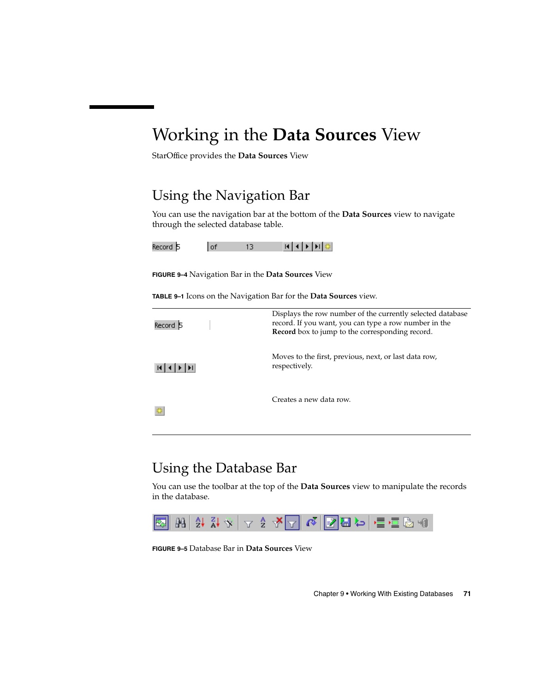# Working in the **Data Sources** View

StarOffice provides the **Data Sources** View

#### Using the Navigation Bar

You can use the navigation bar at the bottom of the **Data Sources** view to navigate through the selected database table.

 $H$   $\leftarrow$   $H$   $H$   $\odot$ Record 5  $|$  of  $13<sub>1</sub>$ 

**FIGURE 9–4** Navigation Bar in the **Data Sources** View

**TABLE 9–1** Icons on the Navigation Bar for the **Data Sources** view.

| Record <b>5</b> | Displays the row number of the currently selected database<br>record. If you want, you can type a row number in the<br>Record box to jump to the corresponding record. |
|-----------------|------------------------------------------------------------------------------------------------------------------------------------------------------------------------|
|                 | Moves to the first, previous, next, or last data row,<br>respectively.                                                                                                 |
| $\mathbb{S}^n$  | Creates a new data row.                                                                                                                                                |

### Using the Database Bar

You can use the toolbar at the top of the **Data Sources** view to manipulate the records in the database.



**FIGURE 9–5** Database Bar in **Data Sources** View

Chapter 9 • Working With Existing Databases **71**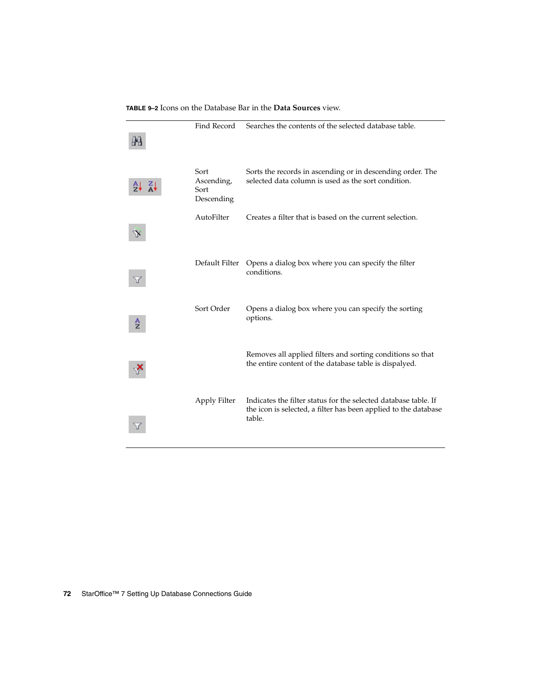| <b>TABLE 9–2</b> Icons on the Database Bar in the <b>Data Sources</b> view. |  |
|-----------------------------------------------------------------------------|--|
|-----------------------------------------------------------------------------|--|

|      | Find Record                              | Searches the contents of the selected database table.                                                                                        |
|------|------------------------------------------|----------------------------------------------------------------------------------------------------------------------------------------------|
|      |                                          |                                                                                                                                              |
| 실 같↓ | Sort<br>Ascending,<br>Sort<br>Descending | Sorts the records in ascending or in descending order. The<br>selected data column is used as the sort condition.                            |
|      | AutoFilter                               | Creates a filter that is based on the current selection.                                                                                     |
|      | Default Filter                           | Opens a dialog box where you can specify the filter<br>conditions.                                                                           |
| ŝ    | Sort Order                               | Opens a dialog box where you can specify the sorting<br>options.                                                                             |
|      |                                          | Removes all applied filters and sorting conditions so that<br>the entire content of the database table is dispalyed.                         |
|      | Apply Filter                             | Indicates the filter status for the selected database table. If<br>the icon is selected, a filter has been applied to the database<br>table. |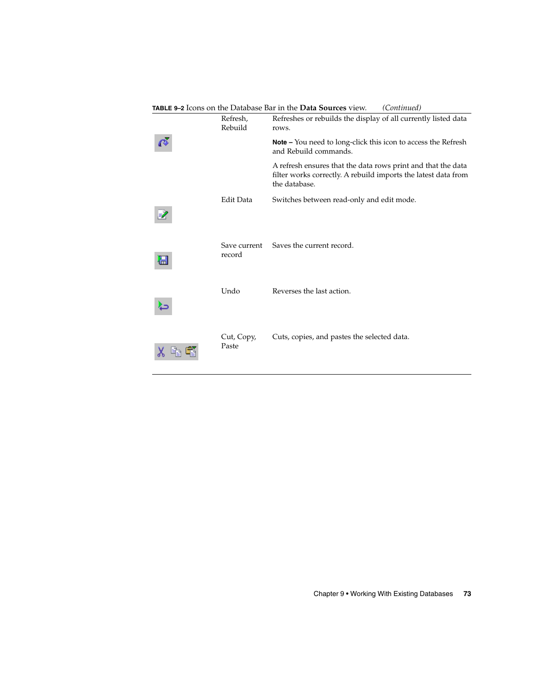|                        | <b>TABLE 9-2</b> Icons on the Database Bar in the Data Sources view.<br>(Continued)                                                             |
|------------------------|-------------------------------------------------------------------------------------------------------------------------------------------------|
| Refresh,<br>Rebuild    | Refreshes or rebuilds the display of all currently listed data<br>rows.                                                                         |
|                        | Note - You need to long-click this icon to access the Refresh<br>and Rebuild commands.                                                          |
|                        | A refresh ensures that the data rows print and that the data<br>filter works correctly. A rebuild imports the latest data from<br>the database. |
| Edit Data              | Switches between read-only and edit mode.                                                                                                       |
| Save current<br>record | Saves the current record.                                                                                                                       |
| Undo                   | Reverses the last action.                                                                                                                       |
| Cut, Copy,<br>Paste    | Cuts, copies, and pastes the selected data.                                                                                                     |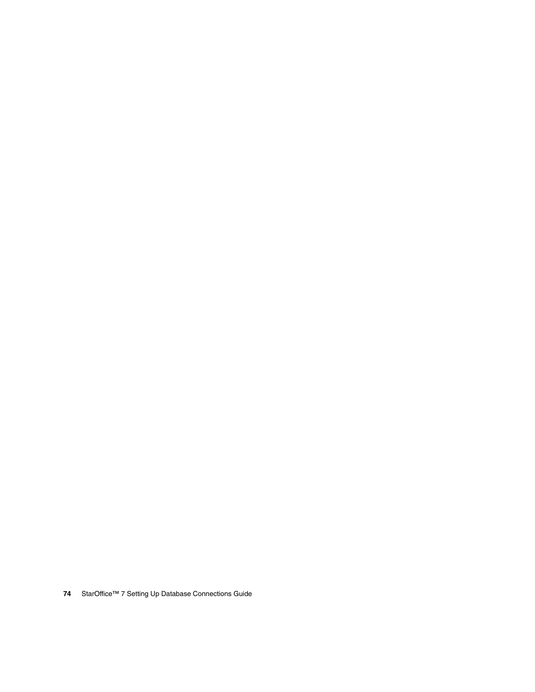StarOffice™ 7 Setting Up Database Connections Guide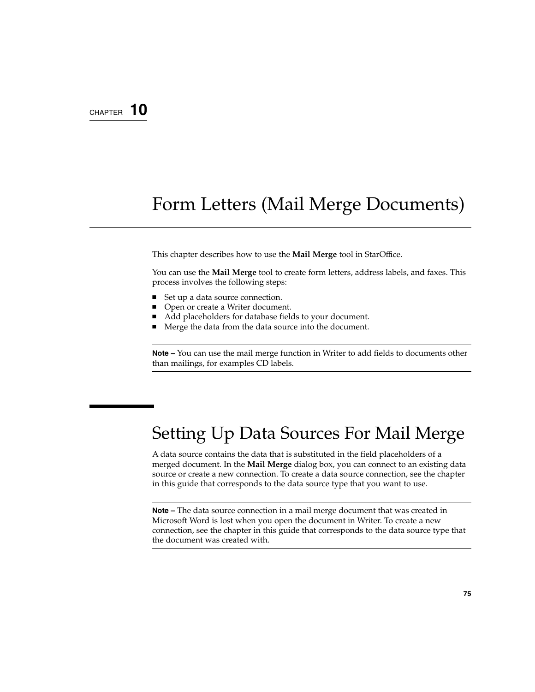## <span id="page-74-0"></span>CHAPTER **10**

# Form Letters (Mail Merge Documents)

This chapter describes how to use the **Mail Merge** tool in StarOffice.

You can use the **Mail Merge** tool to create form letters, address labels, and faxes. This process involves the following steps:

- Set up a data source connection.
- Open or create a Writer document.
- Add placeholders for database fields to your document.
- Merge the data from the data source into the document.

**Note –** You can use the mail merge function in Writer to add fields to documents other than mailings, for examples CD labels.

# Setting Up Data Sources For Mail Merge

A data source contains the data that is substituted in the field placeholders of a merged document. In the **Mail Merge** dialog box, you can connect to an existing data source or create a new connection. To create a data source connection, see the chapter in this guide that corresponds to the data source type that you want to use.

**Note –** The data source connection in a mail merge document that was created in Microsoft Word is lost when you open the document in Writer. To create a new connection, see the chapter in this guide that corresponds to the data source type that the document was created with.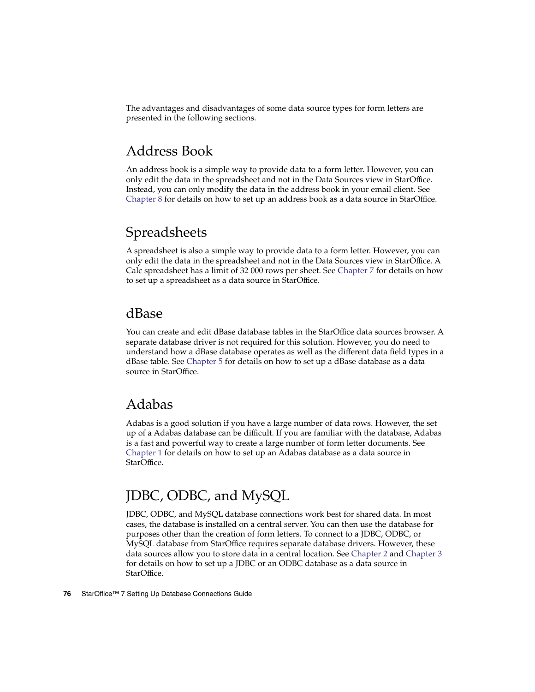<span id="page-75-0"></span>The advantages and disadvantages of some data source types for form letters are presented in the following sections.

## Address Book

An address book is a simple way to provide data to a form letter. However, you can only edit the data in the spreadsheet and not in the Data Sources view in StarOffice. Instead, you can only modify the data in the address book in your email client. See [Chapter 8](#page-64-0) for details on how to set up an address book as a data source in StarOffice.

## Spreadsheets

A spreadsheet is also a simple way to provide data to a form letter. However, you can only edit the data in the spreadsheet and not in the Data Sources view in StarOffice. A Calc spreadsheet has a limit of 32 000 rows per sheet. See [Chapter 7](#page-60-0) for details on how to set up a spreadsheet as a data source in StarOffice.

## dBase

You can create and edit dBase database tables in the StarOffice data sources browser. A separate database driver is not required for this solution. However, you do need to understand how a dBase database operates as well as the different data field types in a dBase table. See [Chapter 5](#page-52-0) for details on how to set up a dBase database as a data source in StarOffice.

## Adabas

Adabas is a good solution if you have a large number of data rows. However, the set up of a Adabas database can be difficult. If you are familiar with the database, Adabas is a fast and powerful way to create a large number of form letter documents. See [Chapter 1](#page-16-0) for details on how to set up an Adabas database as a data source in StarOffice.

## JDBC, ODBC, and MySQL

JDBC, ODBC, and MySQL database connections work best for shared data. In most cases, the database is installed on a central server. You can then use the database for purposes other than the creation of form letters. To connect to a JDBC, ODBC, or MySQL database from StarOffice requires separate database drivers. However, these data sources allow you to store data in a central location. See [Chapter 2](#page-28-0) and [Chapter 3](#page-36-0) for details on how to set up a JDBC or an ODBC database as a data source in StarOffice.

#### **76** StarOffice™ 7 Setting Up Database Connections Guide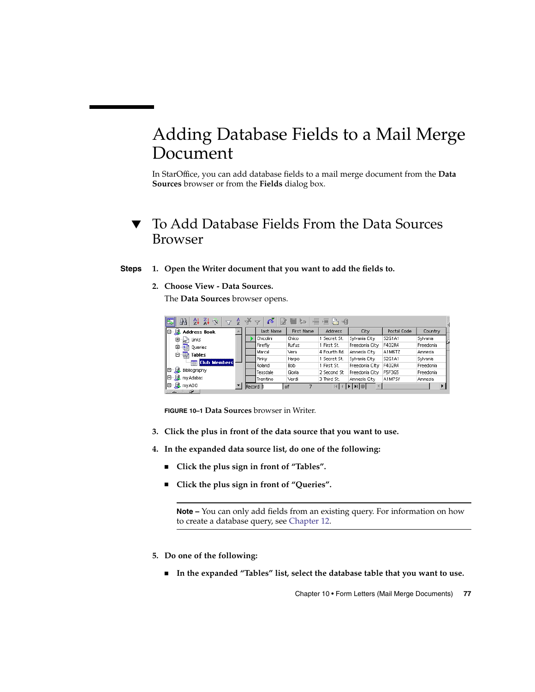# <span id="page-76-0"></span>Adding Database Fields to a Mail Merge Document

In StarOffice, you can add database fields to a mail merge document from the **Data Sources** browser or from the **Fields** dialog box.

## To Add Database Fields From the Data Sources Browser

#### **1. Open the Writer document that you want to add the fields to. Steps**

**2. Choose View - Data Sources.**

The **Data Sources** browser opens.

| 실 각 全<br>φã<br>圈                                          | 흇 | $\rightarrow$ | $\mathbf{C}$<br>l. | ∣ Ł∍       | 信道関係         |                |             |               |
|-----------------------------------------------------------|---|---------------|--------------------|------------|--------------|----------------|-------------|---------------|
| IΘ<br>屋<br><b>Address Book</b>                            |   |               | Last Name          | First Name | Address      | <b>City</b>    | Postal Code | Country       |
| 中品<br>Links                                               |   |               | Chicolini          | Chico      | Secret St.   | Sylvania City  | S2G1A1      | Sylvania<br>К |
| ⊞<br>悃<br>Queries                                         |   |               | Firefly            | Rufus      | 1 First St.  | Freedonia City | F4D2R4      | Freedonia     |
| 白雲<br><b>Tables</b>                                       |   |               | Marcal             | Vera       | 4 Fourth Rd. | Amnesia City   | A1M6TZ      | Amnesia       |
|                                                           |   |               | Pinky              | Harpo      | 1 Secret St. | Svivania Citv  | S2G1A1      | Svlvania      |
| <b>Club Members</b><br>EE                                 |   |               | Roland             | <b>Bob</b> | 1 First St.  | Freedonia Clty | F4D2R4      | Freedonia     |
| 扈<br>Iœ<br>Bibliography                                   |   |               | Teasdale           | Gloria     | 2 Second St  | Freedonia City | F5F3G5      | Freedonia     |
| 扈<br>Iœ<br>myAdabas                                       |   |               | <b>Trentino</b>    | Verdi      | 3 Third St.  | Amnesia City   | A1M75Y      | Amnesia       |
| <b>息</b> myADO<br>旧<br>the common the second and the con- |   | Record 1      |                    | of         |              |                |             |               |

**FIGURE 10–1 Data Sources** browser in Writer.

- **3. Click the plus in front of the data source that you want to use.**
- **4. In the expanded data source list, do one of the following:**
	- **Click the plus sign in front of "Tables".**
	- **Click the plus sign in front of "Queries".**

**Note –** You can only add fields from an existing query. For information on how to create a database query, see [Chapter 12.](#page-88-0)

- **5. Do one of the following:**
	- **In the expanded "Tables" list, select the database table that you want to use.**

Chapter 10 • Form Letters (Mail Merge Documents) **77**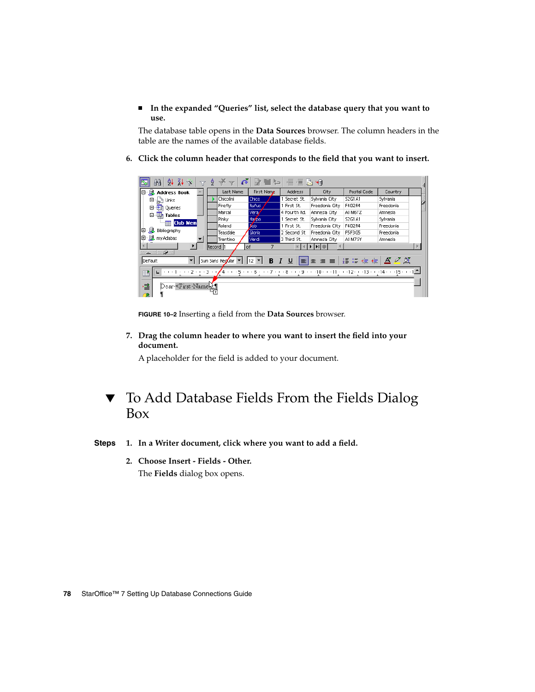<span id="page-77-0"></span>■ **In the expanded "Queries" list, select the database query that you want to use.**

The database table opens in the **Data Sources** browser. The column headers in the table are the names of the available database fields.

**6. Click the column header that corresponds to the field that you want to insert.**



**FIGURE 10–2** Inserting a field from the **Data Sources** browser.

**7. Drag the column header to where you want to insert the field into your document.**

A placeholder for the field is added to your document.

## To Add Database Fields From the Fields Dialog Box

- **1. In a Writer document, click where you want to add a field. Steps**
	- **2. Choose Insert Fields Other.** The **Fields** dialog box opens.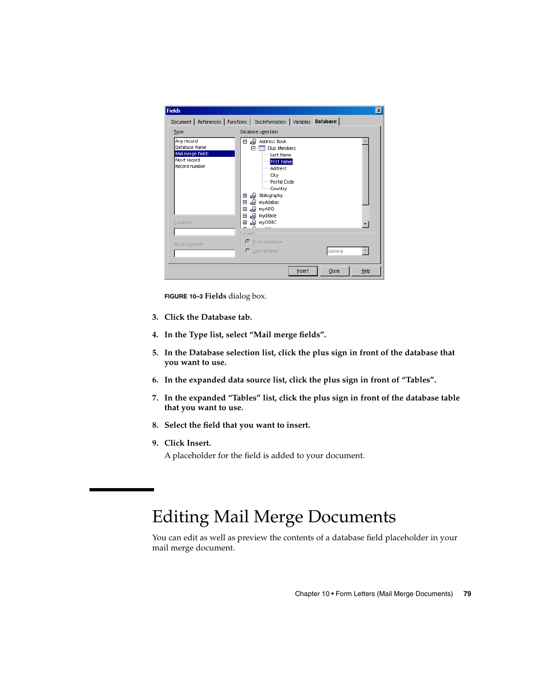<span id="page-78-0"></span>

**FIGURE 10–3 Fields** dialog box.

- **3. Click the Database tab.**
- **4. In the Type list, select "Mail merge fields".**
- **5. In the Database selection list, click the plus sign in front of the database that you want to use.**
- **6. In the expanded data source list, click the plus sign in front of "Tables".**
- **7. In the expanded "Tables" list, click the plus sign in front of the database table that you want to use.**
- **8. Select the field that you want to insert.**
- **9. Click Insert.**

A placeholder for the field is added to your document.

# Editing Mail Merge Documents

You can edit as well as preview the contents of a database field placeholder in your mail merge document.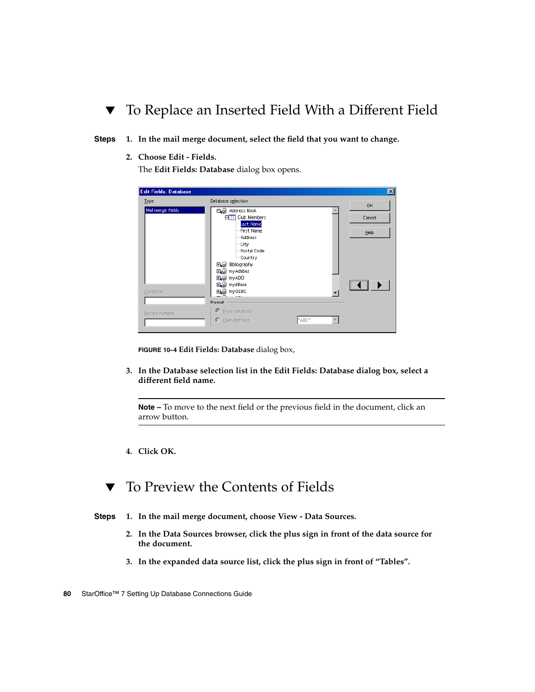# <span id="page-79-0"></span>▼ To Replace an Inserted Field With a Different Field

#### **1. In the mail merge document, select the field that you want to change. Steps**

**2. Choose Edit - Fields.**

The **Edit Fields: Database** dialog box opens.

| <b>Edit Fields: Database</b>                  |                                                                                                                                                                                                           | $\boldsymbol{\mathsf{x}}$ |
|-----------------------------------------------|-----------------------------------------------------------------------------------------------------------------------------------------------------------------------------------------------------------|---------------------------|
| <b>Lype</b><br>Mail merge fields<br>Condition | Database selection<br>日8 Address Book<br>Club Members<br>em<br>Last Name<br>First Name<br>Address<br>City<br>Postal Code<br>Country<br>田 Bibliography<br>田 my Adabas<br>田 myADO<br>田 mydBase<br>田島 myODBC | 0K<br>Cancel<br>Help      |
| Record number                                 | Format<br>From database<br>$C$ User-defined<br>"ABC"                                                                                                                                                      |                           |

**FIGURE 10–4 Edit Fields: Database** dialog box,

**3. In the Database selection list in the Edit Fields: Database dialog box, select a different field name.**

**Note –** To move to the next field or the previous field in the document, click an arrow button.

**4. Click OK.**



## ▼ To Preview the Contents of Fields

**1. In the mail merge document, choose View - Data Sources. Steps**

- **2. In the Data Sources browser, click the plus sign in front of the data source for the document.**
- **3. In the expanded data source list, click the plus sign in front of "Tables".**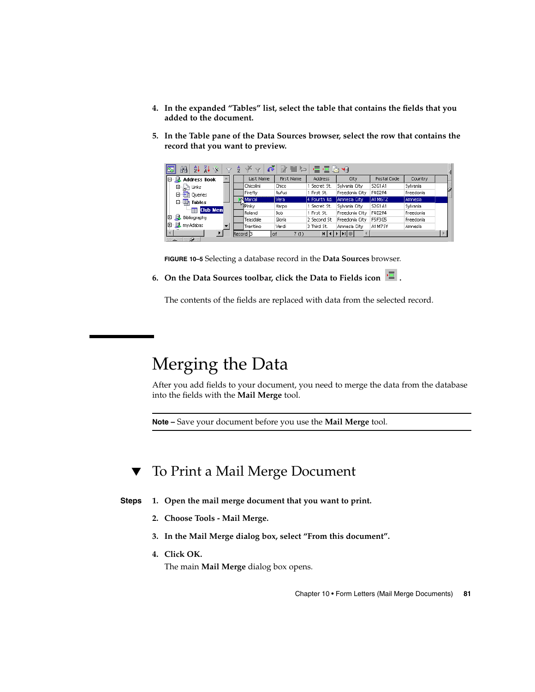- <span id="page-80-0"></span>**4. In the expanded "Tables" list, select the table that contains the fields that you added to the document.**
- **5. In the Table pane of the Data Sources browser, select the row that contains the record that you want to preview.**

| $\frac{A}{Z}$ $\frac{Z}{A}$ $\frac{C}{Y}$<br>φã<br>図 | $\frac{A}{Z}$ | Ń<br>N.<br>Y | F<br>∣ ≿∍  | 信道協会         |                |               |           |
|------------------------------------------------------|---------------|--------------|------------|--------------|----------------|---------------|-----------|
| -8<br>le-<br><b>Address Book</b>                     |               | Last Name    | First Name | Address      | City           | Postal Code   | Country   |
| 申品 Links                                             |               | Chicolini    | Chico      | 1 Secret St. | Sylvania City  | 52G1A1        | Sylvania  |
| 田田<br>Queries                                        |               | Firefly      | Rufus      | 1 First St.  | Freedonia City | F4D2R4        | Freedonia |
| 白雲<br>Tables                                         |               | Marcal       | l Vera     | 4 Fourth Rd. | Amnesia City   | A1M6TZ        | Amnesia   |
| <b>ER Club Mem</b>                                   |               | 1¥Pinkv      | Harpo      | 1 Secret St. | Svlvania Citv  | S2G1A1        | Svlvania  |
|                                                      |               | Roland       | Bob.       | 1 First St.  | Freedonia Cltv | F4D2R4        | Freedonia |
| 且<br>Œ<br>Bibliography                               |               | Teasdale     | Gloria     | 2 Second St  | Freedonia City | F5F3G5        | Freedonia |
| <b>是</b> myAdabas<br>E                               |               | Trentino     | Verdi      | 3 Third St.  | Amnesia City   | <b>A1M75Y</b> | Amnesia   |
| and the second and the second                        | Record B      | l of         | 7 (1)      | $\mathbf{H}$ |                |               |           |

**FIGURE 10–5** Selecting a database record in the **Data Sources** browser.

**6. On the Data Sources toolbar, click the Data to Fields icon .**

The contents of the fields are replaced with data from the selected record.

# Merging the Data

After you add fields to your document, you need to merge the data from the database into the fields with the **Mail Merge** tool.

**Note –** Save your document before you use the **Mail Merge** tool.

## ▼ To Print a Mail Merge Document

- **1. Open the mail merge document that you want to print. Steps**
	- **2. Choose Tools Mail Merge.**
	- **3. In the Mail Merge dialog box, select "From this document".**
	- **4. Click OK.**

The main **Mail Merge** dialog box opens.

Chapter 10 • Form Letters (Mail Merge Documents) **81**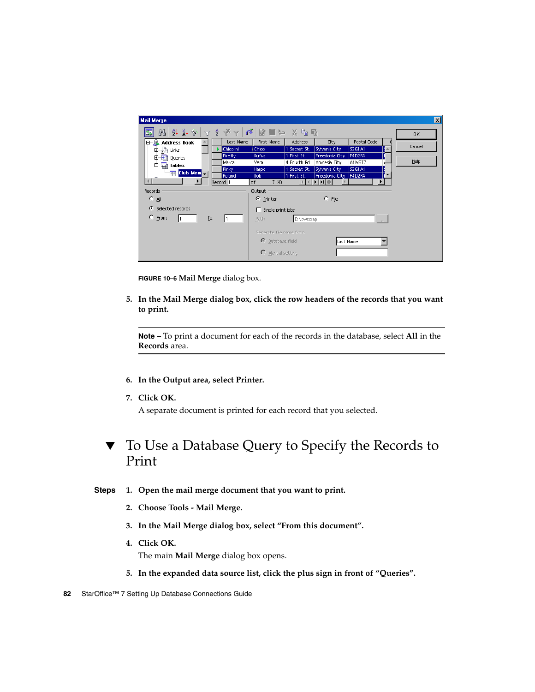<span id="page-81-0"></span>

| <b>Mail Merge</b>                                                                                                                                        |           |                            |              |                               |             |    | 図      |
|----------------------------------------------------------------------------------------------------------------------------------------------------------|-----------|----------------------------|--------------|-------------------------------|-------------|----|--------|
| $\mathbb{R}$ $\frac{1}{2}$ $\frac{1}{2}$ $\frac{1}{2}$ $\frac{1}{2}$ $\frac{1}{2}$ $\frac{1}{2}$ $\frac{1}{2}$ $\frac{1}{2}$ $\frac{1}{2}$ $\frac{1}{2}$ |           | <b>BE</b>                  | ※ 唔 量        |                               |             |    | 0K     |
| Address Book<br>o                                                                                                                                        | Last Name | First Name                 | Address      | City                          | Postal Code |    |        |
| 中心 Links                                                                                                                                                 | Chicolini | Chico                      | 1 Secret St. | Sylvania City                 | S2G1A1      |    | Cancel |
| Queries<br>⊞                                                                                                                                             | Firefly   | <b>Rufus</b>               | 1 First St.  | Freedonia City                | F4D2R4      |    |        |
| 白-1 Tables                                                                                                                                               | Marcal    | Vera                       | 4 Fourth Rd. | Amnesia City                  | A1M6TZ      |    | Help   |
| <b>THE Club Mem</b>                                                                                                                                      | Pinky     | Harpo                      | 1 Secret St. | Sylvania City                 | S2G1A1      |    |        |
|                                                                                                                                                          | Roland    | Bob                        | 1 First St.  | Freedonia Clty<br><b>IEIO</b> | F4D2R4      |    |        |
|                                                                                                                                                          | Record 1  | of<br>7(4)                 |              |                               |             |    |        |
| Records                                                                                                                                                  |           | Output                     |              |                               |             |    |        |
| O<br>All                                                                                                                                                 |           | <b>C</b> Printer           |              | $C$ File                      |             |    |        |
| C Selected records                                                                                                                                       |           | $\Gamma$ Single print jobs |              |                               |             |    |        |
| $C$ [rom:<br>Ţо:                                                                                                                                         |           | Path                       | D:\cwscrap   |                               |             | G. |        |
|                                                                                                                                                          |           |                            |              |                               |             |    |        |
|                                                                                                                                                          |           | Generate file name from    |              |                               |             |    |        |
|                                                                                                                                                          |           | C Database field           |              |                               | Last Name   |    |        |
|                                                                                                                                                          |           |                            |              |                               |             |    |        |
|                                                                                                                                                          |           | C Manual setting           |              |                               |             |    |        |
|                                                                                                                                                          |           |                            |              |                               |             |    |        |

**FIGURE 10–6 Mail Merge** dialog box.

**5. In the Mail Merge dialog box, click the row headers of the records that you want to print.**

**Note –** To print a document for each of the records in the database, select **All** in the **Records** area.

- **6. In the Output area, select Printer.**
- **7. Click OK.**

A separate document is printed for each record that you selected.

## ▼ To Use a Database Query to Specify the Records to Print

#### **1. Open the mail merge document that you want to print. Steps**

- **2. Choose Tools Mail Merge.**
- **3. In the Mail Merge dialog box, select "From this document".**
- **4. Click OK.** The main **Mail Merge** dialog box opens.
- **5. In the expanded data source list, click the plus sign in front of "Queries".**
- **82** StarOffice™ 7 Setting Up Database Connections Guide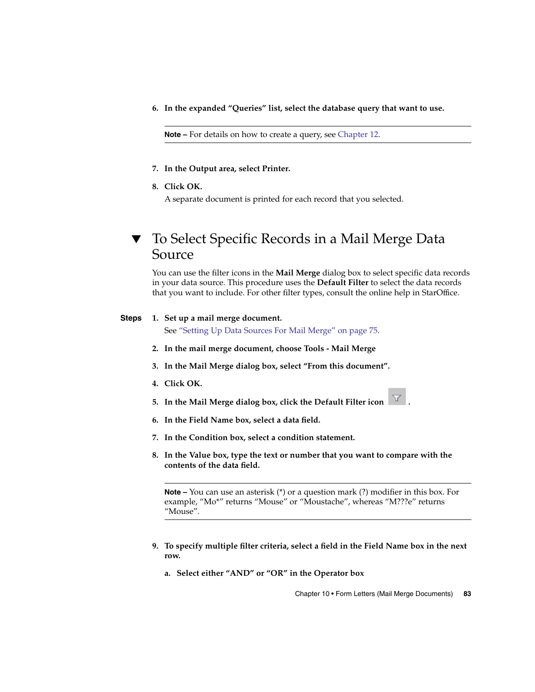<span id="page-82-0"></span>**6. In the expanded "Queries" list, select the database query that want to use.**

**Note –** For details on how to create a query, see [Chapter 12.](#page-88-0)

- **7. In the Output area, select Printer.**
- **8. Click OK.**

A separate document is printed for each record that you selected.

## To Select Specific Records in a Mail Merge Data Source

You can use the filter icons in the **Mail Merge** dialog box to select specific data records in your data source. This procedure uses the **Default Filter** to select the data records that you want to include. For other filter types, consult the online help in StarOffice.

#### **1. Set up a mail merge document. Steps**

See ["Setting Up Data Sources For Mail Merge"](#page-74-0) on page 75.

- **2. In the mail merge document, choose Tools Mail Merge**
- **3. In the Mail Merge dialog box, select "From this document".**
- **4. Click OK.**
- **5.** In the Mail Merge dialog box, click the Default Filter icon  $\boxed{\mathbb{Y}}$  .
- **6. In the Field Name box, select a data field.**
- **7. In the Condition box, select a condition statement.**
- **8. In the Value box, type the text or number that you want to compare with the contents of the data field.**

**Note –** You can use an asterisk (\*) or a question mark (?) modifier in this box. For example, "Mo\*" returns "Mouse" or "Moustache", whereas "M???e" returns "Mouse".

- **9. To specify multiple filter criteria, select a field in the Field Name box in the next row.**
	- **a. Select either "AND" or "OR" in the Operator box**

Chapter 10 • Form Letters (Mail Merge Documents) **83**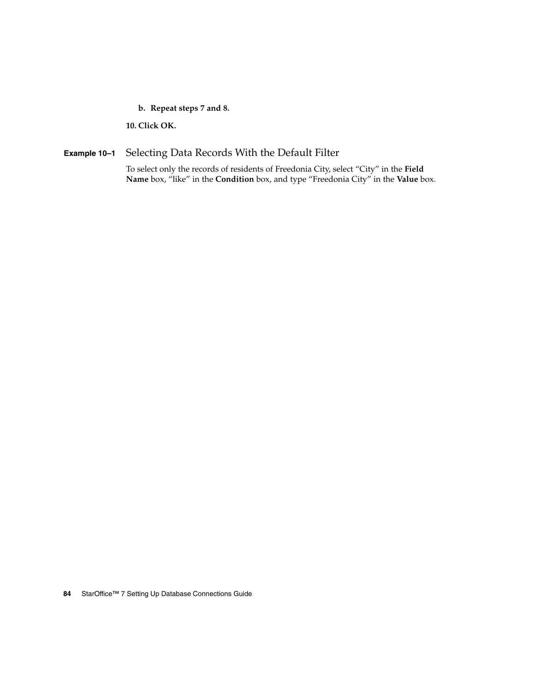#### **b. Repeat steps 7 and 8.**

**10. Click OK.**

#### Selecting Data Records With the Default Filter **Example 10–1**

To select only the records of residents of Freedonia City, select "City" in the **Field Name** box, "like" in the **Condition** box, and type "Freedonia City" in the **Value** box.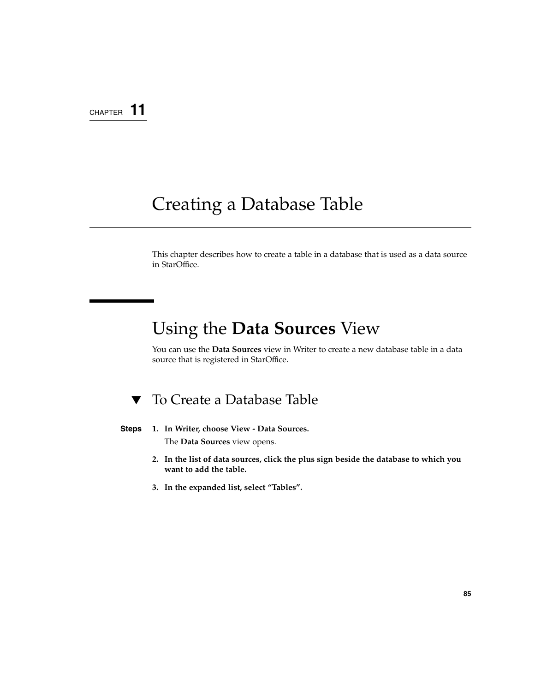# <span id="page-84-0"></span>CHAPTER **11**

# Creating a Database Table

This chapter describes how to create a table in a database that is used as a data source in StarOffice.

# Using the **Data Sources** View

You can use the **Data Sources** view in Writer to create a new database table in a data source that is registered in StarOffice.

## ▼ To Create a Database Table

- **1. In Writer, choose View Data Sources.** The **Data Sources** view opens. **Steps**
	- **2. In the list of data sources, click the plus sign beside the database to which you want to add the table.**
	- **3. In the expanded list, select "Tables".**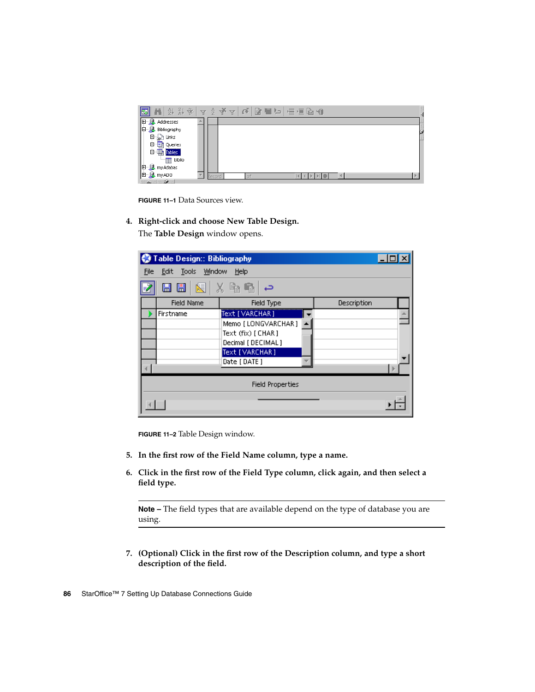| 匣<br>Addresses<br>-- 是<br>l⊟<br>Bibliography<br>e<br>:<br>中品 Links<br>田<br>Queries<br>$ \mathbf{H}_{\mathbf{a}}$ Tables<br>Θ |
|------------------------------------------------------------------------------------------------------------------------------|
|                                                                                                                              |
|                                                                                                                              |
|                                                                                                                              |
|                                                                                                                              |
|                                                                                                                              |
| $\frac{1}{\sqrt{2}}$ biblio                                                                                                  |
| 中具 myAdabas                                                                                                                  |
| 由 amyADO<br>Record<br>the part of the adapted                                                                                |

**FIGURE 11–1** Data Sources view.

**4. Right-click and choose New Table Design.**

The **Table Design** window opens.

| Table Design:: Bibliography     |                                                                                                                       |             |
|---------------------------------|-----------------------------------------------------------------------------------------------------------------------|-------------|
| Tools<br>Window<br>File<br>Edit | Help                                                                                                                  |             |
| 圓<br>圛<br>Ы<br>FØ               | X<br>暭                                                                                                                |             |
| <b>Field Name</b>               | Field Type                                                                                                            | Description |
| Firstname                       | Text [ VARCHAR ]<br>Memo [ LONGVARCHAR ]<br>Text (fix) [ CHAR ]<br>Decimal [DECIMAL]<br>Text [VARCHAR]<br>Date [DATE] |             |
|                                 | <b>Field Properties</b>                                                                                               |             |
|                                 |                                                                                                                       |             |

**FIGURE 11–2** Table Design window.

- **5. In the first row of the Field Name column, type a name.**
- **6. Click in the first row of the Field Type column, click again, and then select a field type.**

**Note –** The field types that are available depend on the type of database you are using.

**7. (Optional) Click in the first row of the Description column, and type a short description of the field.**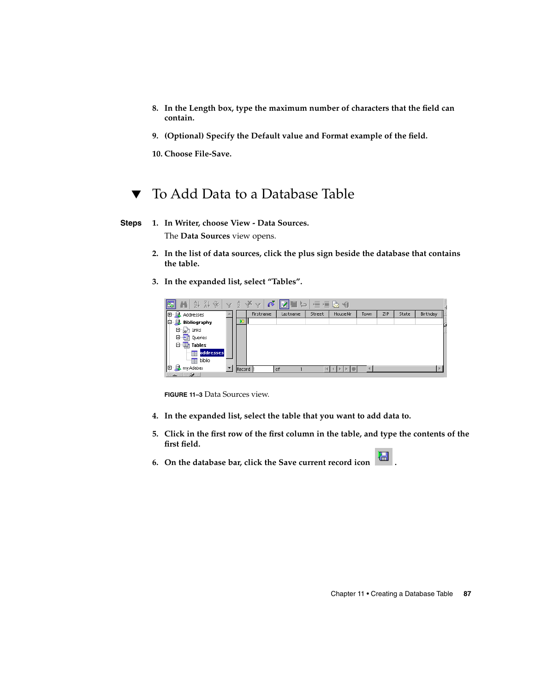- <span id="page-86-0"></span>**8. In the Length box, type the maximum number of characters that the field can contain.**
- **9. (Optional) Specify the Default value and Format example of the field.**

**10. Choose File-Save.**

## ▼ To Add Data to a Database Table

- **1. In Writer, choose View Data Sources.** The **Data Sources** view opens. **Steps**
	- **2. In the list of data sources, click the plus sign beside the database that contains the table.**
	- **3. In the expanded list, select "Tables".**



**FIGURE 11–3** Data Sources view.

- **4. In the expanded list, select the table that you want to add data to.**
- **5. Click in the first row of the first column in the table, and type the contents of the first field.**
- **6. On the database bar, click the Save current record icon .**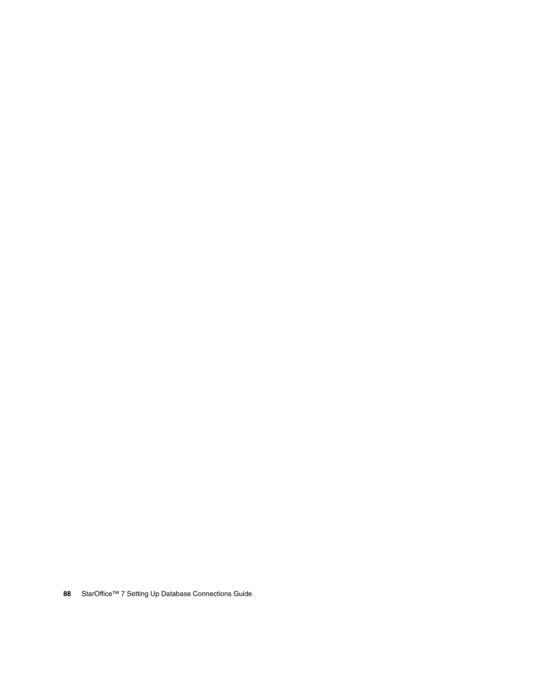StarOffice™ 7 Setting Up Database Connections Guide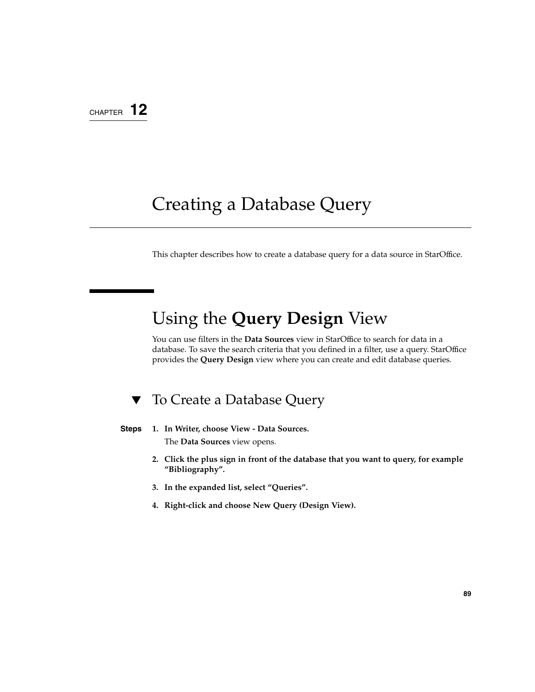# <span id="page-88-0"></span>CHAPTER **12**

# Creating a Database Query

This chapter describes how to create a database query for a data source in StarOffice.

# Using the **Query Design** View

You can use filters in the **Data Sources** view in StarOffice to search for data in a database. To save the search criteria that you defined in a filter, use a query. StarOffice provides the **Query Design** view where you can create and edit database queries.

## ▼ To Create a Database Query

- **1. In Writer, choose View Data Sources.** The **Data Sources** view opens. **Steps**
	- **2. Click the plus sign in front of the database that you want to query, for example "Bibliography".**
	- **3. In the expanded list, select "Queries".**
	- **4. Right-click and choose New Query (Design View).**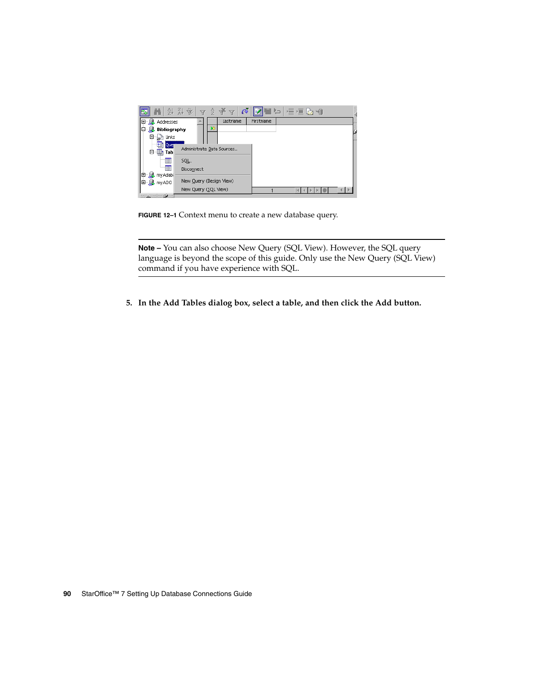| м.                                      | 計 計 家<br>Y 2 Y Y          | õ.       | 17        | 日本 信道度相 |  |    |
|-----------------------------------------|---------------------------|----------|-----------|---------|--|----|
| ⊞<br>Addresses<br>厚                     |                           | Lastname | Firstname |         |  |    |
| Bibliography<br>Ε<br>尾                  | x                         |          |           |         |  | IJ |
| Links<br>⊞                              |                           |          |           |         |  |    |
| Que<br>靊<br>o.<br>Tab                   | Administrate Data Sources |          |           |         |  |    |
| 匪                                       | SQL.                      |          |           |         |  |    |
| 雷                                       | Disconnect                |          |           |         |  |    |
| 田<br>my Adab:<br>扈<br>myADO<br>田<br>-13 | New Query (Design View)   |          |           |         |  |    |
| and the company's company's and         | New Query (SQL View)      |          |           |         |  |    |

**FIGURE 12–1** Context menu to create a new database query.

**Note –** You can also choose New Query (SQL View). However, the SQL query language is beyond the scope of this guide. Only use the New Query (SQL View) command if you have experience with SQL.

**5. In the Add Tables dialog box, select a table, and then click the Add button.**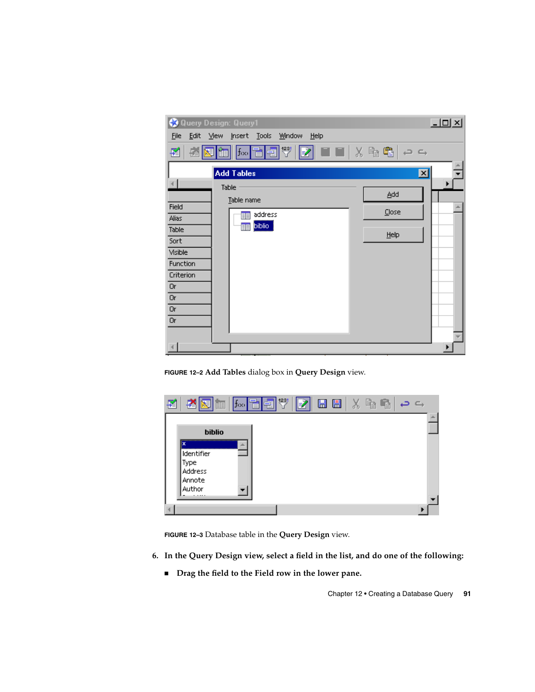



| 苜<br>中<br>罔<br>EE<br>t∞l<br>m<br>₩ | $\frac{423!}{7}$<br>57 | 鳯<br>Ы | E<br>菖 |  |
|------------------------------------|------------------------|--------|--------|--|
| <b>biblio</b>                      |                        |        |        |  |
| lκ<br>Identifier                   |                        |        |        |  |
| Type<br>Address                    |                        |        |        |  |
| Annote<br>Author<br>1.1.1.1        |                        |        |        |  |
|                                    |                        |        |        |  |

**FIGURE 12–3** Database table in the **Query Design** view.

- **6. In the Query Design view, select a field in the list, and do one of the following:**
	- **Drag the field to the Field row in the lower pane.**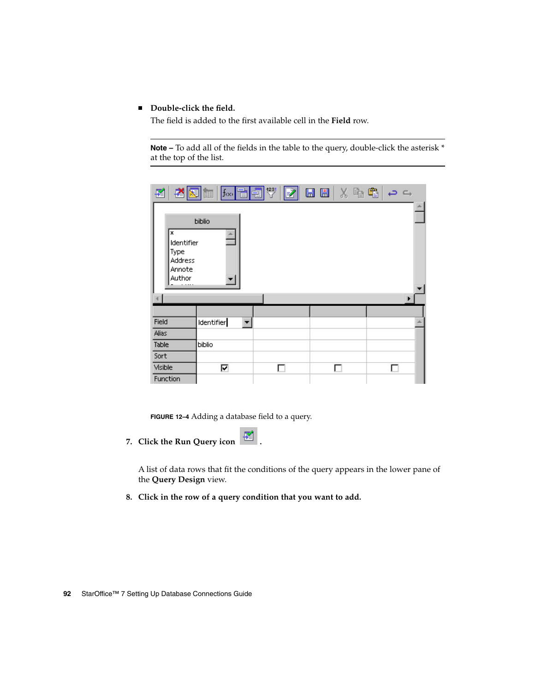■ **Double-click the field.** 

The field is added to the first available cell in the **Field** row.

**Note –** To add all of the fields in the table to the query, double-click the asterisk \* at the top of the list.

| 舀                                                                       | SE de <mark>de de d</mark>         | 12 | 日日メ争 | € |  |
|-------------------------------------------------------------------------|------------------------------------|----|------|---|--|
| biblio<br>ж<br>Identifier<br>Type<br><b>Address</b><br>Annote<br>Author |                                    |    |      |   |  |
| $\overline{\phantom{a}}$                                                |                                    |    |      |   |  |
|                                                                         |                                    |    |      | ۰ |  |
|                                                                         |                                    |    |      |   |  |
| Field                                                                   | Identifier<br>$\blacktriangledown$ |    |      |   |  |
| Alias                                                                   |                                    |    |      |   |  |
| Table                                                                   | biblio                             |    |      |   |  |
| Sort                                                                    |                                    |    |      |   |  |
| Visible                                                                 | ⊽                                  |    |      | г |  |
| Function                                                                |                                    |    |      |   |  |

**FIGURE 12–4** Adding a database field to a query.

**7. Click the Run Query icon .**

A list of data rows that fit the conditions of the query appears in the lower pane of the **Query Design** view.

**8. Click in the row of a query condition that you want to add.**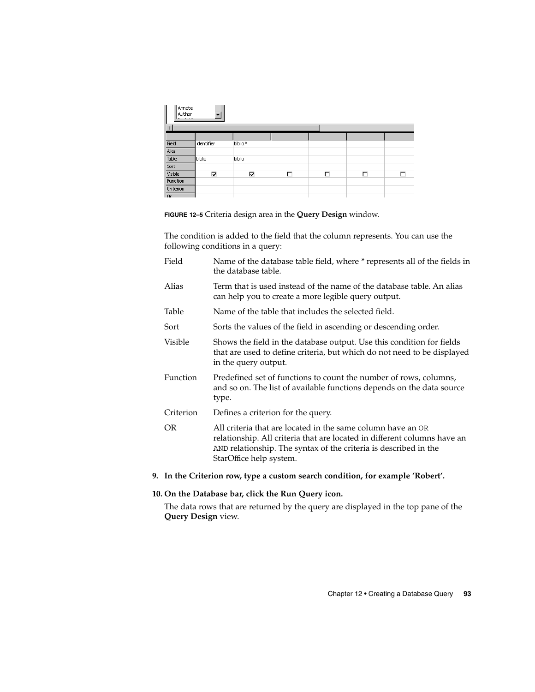| Annote<br>Author<br>1.111 |            |                      |   |   |   |  |
|---------------------------|------------|----------------------|---|---|---|--|
|                           |            |                      |   |   |   |  |
|                           |            |                      |   |   |   |  |
| Field                     | Identifier | biblio. <sup>*</sup> |   |   |   |  |
| Alias                     |            |                      |   |   |   |  |
| Table                     | biblio     | biblio               |   |   |   |  |
| Sort                      |            |                      |   |   |   |  |
| Visible                   | ⊽          | ⊽                    | г | ┍ | ┍ |  |
| Function                  |            |                      |   |   |   |  |
| Criterion                 |            |                      |   |   |   |  |
| $\Gamma$                  |            |                      |   |   |   |  |

**FIGURE 12–5** Criteria design area in the **Query Design** window.

The condition is added to the field that the column represents. You can use the following conditions in a query:

| Field     | Name of the database table field, where * represents all of the fields in<br>the database table.                                                                                                                                       |
|-----------|----------------------------------------------------------------------------------------------------------------------------------------------------------------------------------------------------------------------------------------|
| Alias     | Term that is used instead of the name of the database table. An alias<br>can help you to create a more legible query output.                                                                                                           |
| Table     | Name of the table that includes the selected field.                                                                                                                                                                                    |
| Sort      | Sorts the values of the field in ascending or descending order.                                                                                                                                                                        |
| Visible   | Shows the field in the database output. Use this condition for fields<br>that are used to define criteria, but which do not need to be displayed<br>in the query output.                                                               |
| Function  | Predefined set of functions to count the number of rows, columns,<br>and so on. The list of available functions depends on the data source<br>type.                                                                                    |
| Criterion | Defines a criterion for the query.                                                                                                                                                                                                     |
| OR.       | All criteria that are located in the same column have an OR<br>relationship. All criteria that are located in different columns have an<br>AND relationship. The syntax of the criteria is described in the<br>StarOffice help system. |

**9. In the Criterion row, type a custom search condition, for example 'Robert'.**

#### **10. On the Database bar, click the Run Query icon.**

The data rows that are returned by the query are displayed in the top pane of the **Query Design** view.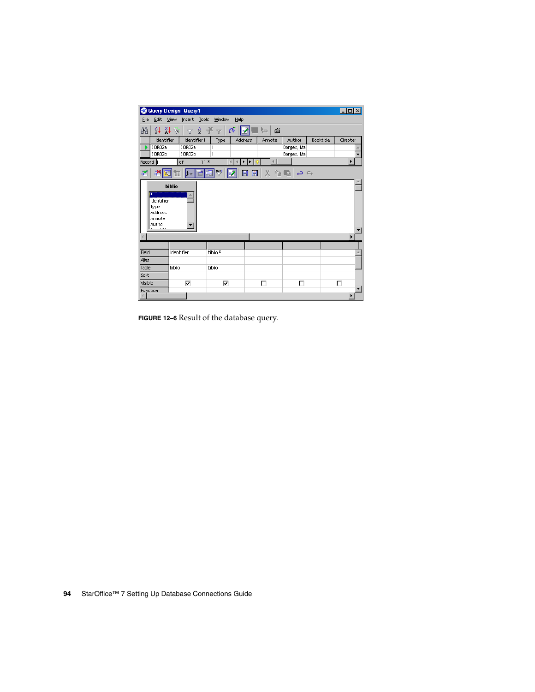|                                                                               | <b>Query Design: Query1</b>                                                   |                      |             |             |  | $-$ 0 $\times$ |  |  |  |  |  |  |
|-------------------------------------------------------------------------------|-------------------------------------------------------------------------------|----------------------|-------------|-------------|--|----------------|--|--|--|--|--|--|
| Edit View Insert Tools Window<br>File<br>Help                                 |                                                                               |                      |             |             |  |                |  |  |  |  |  |  |
| <b>┪╏╇│</b> ┰┋╇┰│ <b>Q│⋑</b> ▙<br>ΑA<br>一首                                    |                                                                               |                      |             |             |  |                |  |  |  |  |  |  |
|                                                                               | Identifier<br>Identifier1<br>Booktitle<br>Address<br>Author<br>Type<br>Annote |                      |             |             |  |                |  |  |  |  |  |  |
| BOR02a                                                                        | BOR02a                                                                        | 1                    | Borges, Mal |             |  |                |  |  |  |  |  |  |
| BOR02b                                                                        | BOR02b                                                                        | 1                    |             | Borges, Mal |  |                |  |  |  |  |  |  |
| Record 1                                                                      | of                                                                            | $11*$                |             |             |  |                |  |  |  |  |  |  |
| 駋<br>ø                                                                        | $ f_{\infty}$<br>実<br>幅                                                       | $\frac{423!}{7}$     | 圖<br>X<br>⊞ | ☞ ● ● ● ●   |  |                |  |  |  |  |  |  |
| biblio<br><br>Identifier<br>Type<br>Address<br>Annote<br>Author<br>بمحمد<br>٠ |                                                                               |                      |             |             |  |                |  |  |  |  |  |  |
| Field                                                                         | Identifier                                                                    | biblio. <sup>*</sup> |             |             |  |                |  |  |  |  |  |  |
| Alias                                                                         |                                                                               |                      |             |             |  |                |  |  |  |  |  |  |
| Table                                                                         | biblio                                                                        | biblio               |             |             |  |                |  |  |  |  |  |  |
| Sort                                                                          |                                                                               |                      |             |             |  |                |  |  |  |  |  |  |
| Visible                                                                       | ⊽                                                                             | ⊽                    | г           | п           |  | п              |  |  |  |  |  |  |
| Function                                                                      |                                                                               |                      |             |             |  |                |  |  |  |  |  |  |

**FIGURE 12–6** Result of the database query.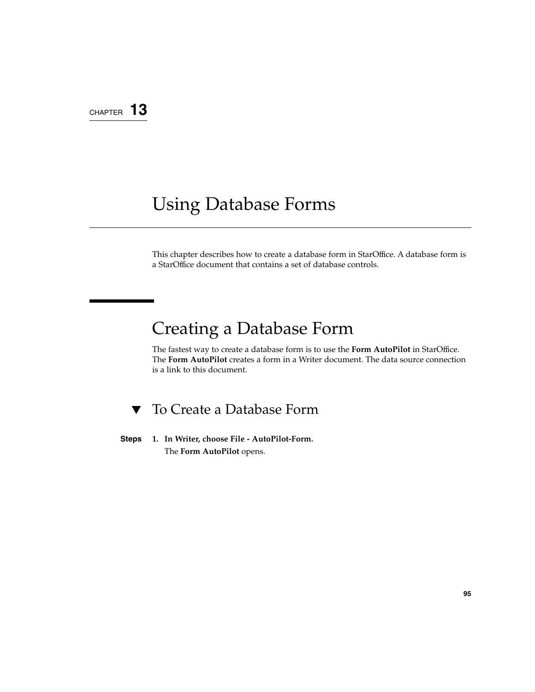# <span id="page-94-0"></span>CHAPTER **13**

# Using Database Forms

This chapter describes how to create a database form in StarOffice. A database form is a StarOffice document that contains a set of database controls.

# Creating a Database Form

The fastest way to create a database form is to use the **Form AutoPilot** in StarOffice. The **Form AutoPilot** creates a form in a Writer document. The data source connection is a link to this document.



**1. In Writer, choose File - AutoPilot-Form.** The **Form AutoPilot** opens. **Steps**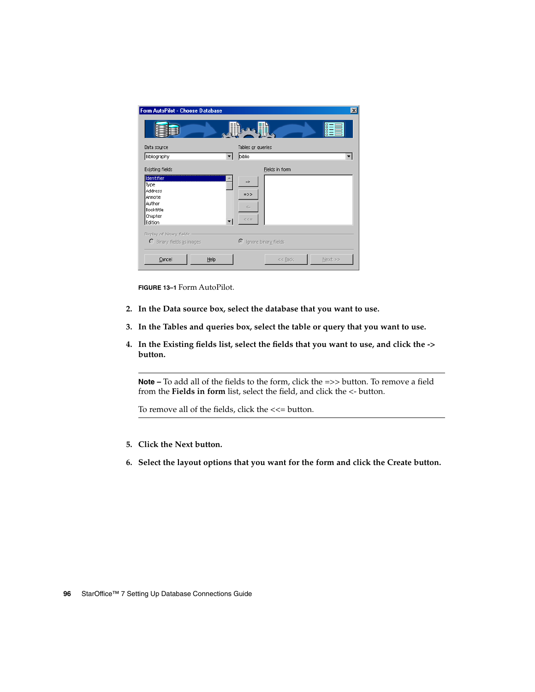

**FIGURE 13–1** Form AutoPilot.

- **2. In the Data source box, select the database that you want to use.**
- **3. In the Tables and queries box, select the table or query that you want to use.**
- **4. In the Existing fields list, select the fields that you want to use, and click the -> button.**

**Note –** To add all of the fields to the form, click the =>> button. To remove a field from the **Fields in form** list, select the field, and click the <- button.

To remove all of the fields, click the <<= button.

- **5. Click the Next button.**
- **6. Select the layout options that you want for the form and click the Create button.**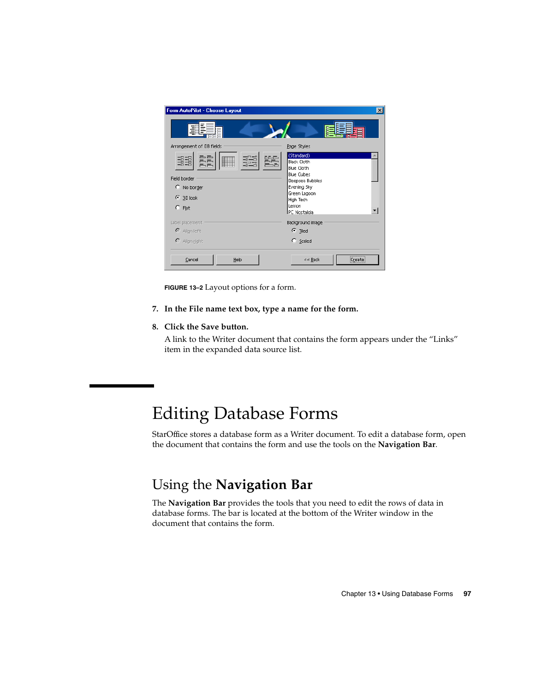<span id="page-96-0"></span>

**FIGURE 13–2** Layout options for a form.

- **7. In the File name text box, type a name for the form.**
- **8. Click the Save button.**

A link to the Writer document that contains the form appears under the "Links" item in the expanded data source list.

# Editing Database Forms

StarOffice stores a database form as a Writer document. To edit a database form, open the document that contains the form and use the tools on the **Navigation Bar**.

# Using the **Navigation Bar**

The **Navigation Bar** provides the tools that you need to edit the rows of data in database forms. The bar is located at the bottom of the Writer window in the document that contains the form.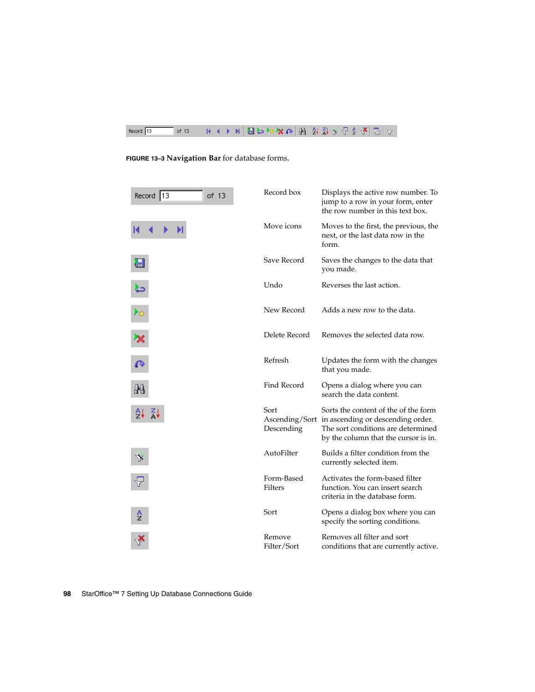#### Record  $\boxed{13}$ H I → H | a > > x A | A | 2 2 3 × 7 2 × 8 × 4 2 × 7 × 8 × 7 × 8 × 7 × 8 × 7 × 8 × 7 × 8 × 7 × 8 × 7 of  $13$

### **FIGURE 13–3 Navigation Bar** for database forms.

the control of the control of the control of the control of the control of

| Record $\boxed{13}$         | of 13 | Record box            | Displays the active row number. To<br>jump to a row in your form, enter<br>the row number in this text box.                                                            |
|-----------------------------|-------|-----------------------|------------------------------------------------------------------------------------------------------------------------------------------------------------------------|
|                             |       | Move icons            | Moves to the first, the previous, the<br>next, or the last data row in the<br>form.                                                                                    |
| 础                           |       | Save Record           | Saves the changes to the data that<br>you made.                                                                                                                        |
|                             |       | Undo                  | Reverses the last action.                                                                                                                                              |
| i<br>Ve                     |       | New Record            | Adds a new row to the data.                                                                                                                                            |
|                             |       | Delete Record         | Removes the selected data row.                                                                                                                                         |
| $\ddot{\alpha}$             |       | Refresh               | Updates the form with the changes<br>that you made.                                                                                                                    |
|                             |       | Find Record           | Opens a dialog where you can<br>search the data content.                                                                                                               |
| $\frac{A}{2}$ $\frac{Z}{A}$ |       | Sort<br>Descending    | Sorts the content of the of the form<br>Ascending/Sort in ascending or descending order.<br>The sort conditions are determined<br>by the column that the cursor is in. |
|                             |       | AutoFilter            | Builds a filter condition from the<br>currently selected item.                                                                                                         |
|                             |       | Form-Based<br>Filters | Activates the form-based filter<br>function. You can insert search<br>criteria in the database form.                                                                   |
| $\frac{A}{Z}$               |       | Sort                  | Opens a dialog box where you can<br>specify the sorting conditions.                                                                                                    |
|                             |       | Remove<br>Filter/Sort | Removes all filter and sort<br>conditions that are currently active.                                                                                                   |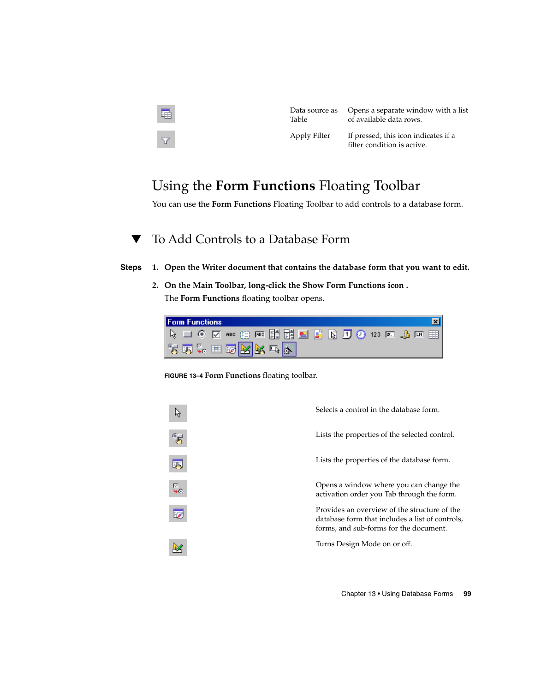<span id="page-98-0"></span>

| 囁 | <b>Table</b> | Data source as Opens a separate window with a list<br>of available data rows. |
|---|--------------|-------------------------------------------------------------------------------|
|   | Apply Filter | If pressed, this icon indicates if a<br>filter condition is active.           |

# Using the **Form Functions** Floating Toolbar

You can use the **Form Functions** Floating Toolbar to add controls to a database form.

## ▼ To Add Controls to a Database Form

#### **1. Open the Writer document that contains the database form that you want to edit. Steps**

**2. On the Main Toolbar, long-click the Show Form Functions icon .** The **Form Functions** floating toolbar opens.

| <b>Form Functions</b> |  |  |                                                    |  |  |  |  |  |  |  |  |  |  |  |
|-----------------------|--|--|----------------------------------------------------|--|--|--|--|--|--|--|--|--|--|--|
|                       |  |  |                                                    |  |  |  |  |  |  |  |  |  |  |  |
|                       |  |  | $\mathbb{Z}$ where $\mathbb{Z}$ where $\mathbb{Z}$ |  |  |  |  |  |  |  |  |  |  |  |

**FIGURE 13–4 Form Functions** floating toolbar.



Chapter 13 • Using Database Forms **99**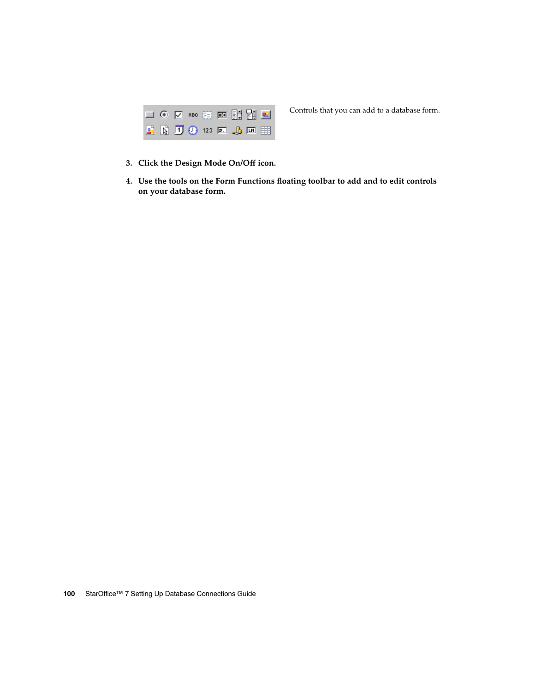|  |  | <b>□ ⊙ ☑ ☞ ⊞  </b>                                                                                                                                    |  |  |
|--|--|-------------------------------------------------------------------------------------------------------------------------------------------------------|--|--|
|  |  | $\blacksquare$ $\blacksquare$ $\blacksquare$ $\blacksquare$ $\blacksquare$ $\blacksquare$ $\blacksquare$ $\blacksquare$ $\blacksquare$ $\blacksquare$ |  |  |

Controls that you can add to a database form.

- **3. Click the Design Mode On/Off icon.**
- **4. Use the tools on the Form Functions floating toolbar to add and to edit controls on your database form.**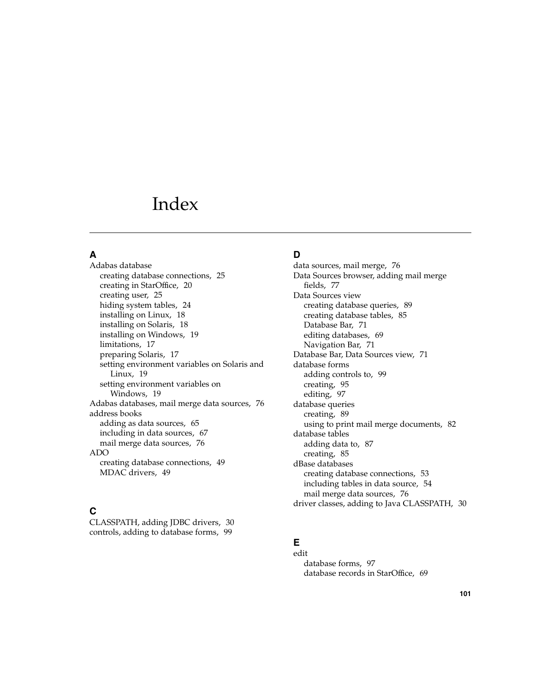# Index

## **A**

Adabas database creating database connections, [25](#page-24-0) creating in StarOffice, [20](#page-19-0) creating user, [25](#page-24-0) hiding system tables, [24](#page-23-0) installing on Linux, [18](#page-17-0) installing on Solaris, [18](#page-17-0) installing on Windows, [19](#page-18-0) limitations, [17](#page-16-0) preparing Solaris, [17](#page-16-0) setting environment variables on Solaris and Linux, [19](#page-18-0) setting environment variables on Windows, [19](#page-18-0) Adabas databases, mail merge data sources, [76](#page-75-0) address books adding as data sources, [65](#page-64-0) including in data sources, [67](#page-66-0) mail merge data sources, [76](#page-75-0) ADO creating database connections, [49](#page-48-0) MDAC drivers, [49](#page-48-0)

### **C**

CLASSPATH, adding JDBC drivers, [30](#page-29-0) controls, adding to database forms, [99](#page-98-0)

## **D**

data sources, mail merge, [76](#page-75-0) Data Sources browser, adding mail merge fields, [77](#page-76-0) Data Sources view creating database queries, [89](#page-88-0) creating database tables, [85](#page-84-0) Database Bar, [71](#page-70-0) editing databases, [69](#page-68-0) Navigation Bar, [71](#page-70-0) Database Bar, Data Sources view, [71](#page-70-0) database forms adding controls to, [99](#page-98-0) creating, [95](#page-94-0) editing, [97](#page-96-0) database queries creating, [89](#page-88-0) using to print mail merge documents, [82](#page-81-0) database tables adding data to, [87](#page-86-0) creating, [85](#page-84-0) dBase databases creating database connections, [53](#page-52-0) including tables in data source, [54](#page-53-0) mail merge data sources, [76](#page-75-0) driver classes, adding to Java CLASSPATH, [30](#page-29-0)

## **E**

edit database forms, [97](#page-96-0) database records in StarOffice, [69](#page-68-0)

**101**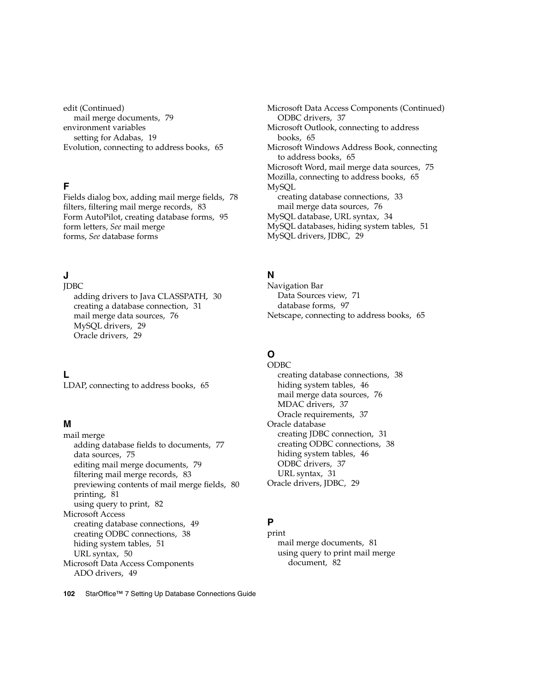edit (Continued) mail merge documents, [79](#page-78-0) environment variables setting for Adabas, [19](#page-18-0) Evolution, connecting to address books, [65](#page-64-0)

#### **F**

Fields dialog box, adding mail merge fields, [78](#page-77-0) filters, filtering mail merge records, [83](#page-82-0) Form AutoPilot, creating database forms, [95](#page-94-0) form letters, *See* mail merge forms, *See* database forms

#### **J** JDBC

adding drivers to Java CLASSPATH, [30](#page-29-0) creating a database connection, [31](#page-30-0) mail merge data sources, [76](#page-75-0) MySQL drivers, [29](#page-28-0) Oracle drivers, [29](#page-28-0)

**L** LDAP, connecting to address books, [65](#page-64-0)

### **M**

mail merge adding database fields to documents, [77](#page-76-0) data sources, [75](#page-74-0) editing mail merge documents, [79](#page-78-0) filtering mail merge records, [83](#page-82-0) previewing contents of mail merge fields, [80](#page-79-0) printing, [81](#page-80-0) using query to print, [82](#page-81-0) Microsoft Access creating database connections, [49](#page-48-0) creating ODBC connections, [38](#page-37-0) hiding system tables, [51](#page-50-0) URL syntax, [50](#page-49-0) Microsoft Data Access Components ADO drivers, [49](#page-48-0)

Microsoft Data Access Components (Continued) ODBC drivers, [37](#page-36-0) Microsoft Outlook, connecting to address books, [65](#page-64-0) Microsoft Windows Address Book, connecting to address books, [65](#page-64-0) Microsoft Word, mail merge data sources, [75](#page-74-0) Mozilla, connecting to address books, [65](#page-64-0) MySQL creating database connections, [33](#page-32-0) mail merge data sources, [76](#page-75-0) MySQL database, URL syntax, [34](#page-33-0) MySQL databases, hiding system tables, [51](#page-50-0) MySQL drivers, JDBC, [29](#page-28-0)

### **N**

Navigation Bar Data Sources view, [71](#page-70-0) database forms, [97](#page-96-0) Netscape, connecting to address books, [65](#page-64-0)

## **O**

ODBC creating database connections, [38](#page-37-0) hiding system tables, [46](#page-45-0) mail merge data sources, [76](#page-75-0) MDAC drivers, [37](#page-36-0) Oracle requirements, [37](#page-36-0) Oracle database creating JDBC connection, [31](#page-30-0) creating ODBC connections, [38](#page-37-0) hiding system tables, [46](#page-45-0) ODBC drivers, [37](#page-36-0) URL syntax, [31](#page-30-0) Oracle drivers, JDBC, [29](#page-28-0)

### **P**

print mail merge documents, [81](#page-80-0) using query to print mail merge document, [82](#page-81-0)

**102** StarOffice™ 7 Setting Up Database Connections Guide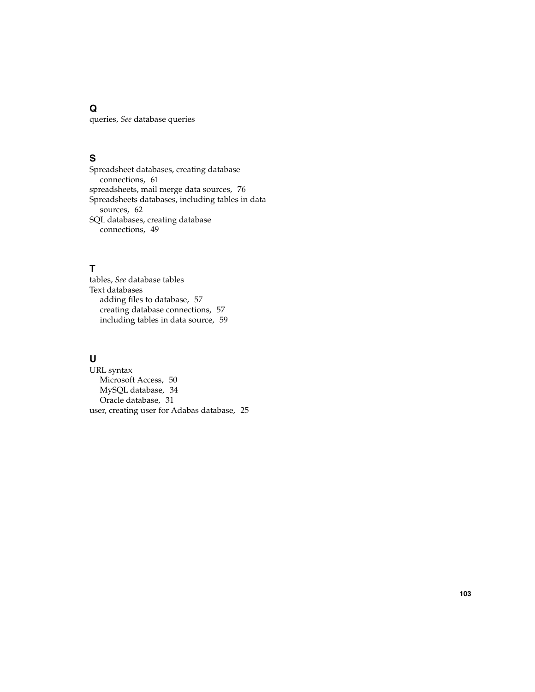### **Q**

queries, *See* database queries

## **S**

Spreadsheet databases, creating database connections, [61](#page-60-0) spreadsheets, mail merge data sources, [76](#page-75-0) Spreadsheets databases, including tables in data sources, [62](#page-61-0) SQL databases, creating database connections, [49](#page-48-0)

## **T**

tables, *See* database tables Text databases adding files to database, [57](#page-56-0) creating database connections, [57](#page-56-0) including tables in data source, [59](#page-58-0)

### **U**

URL syntax Microsoft Access, [50](#page-49-0) MySQL database, [34](#page-33-0) Oracle database, [31](#page-30-0) user, creating user for Adabas database, [25](#page-24-0)